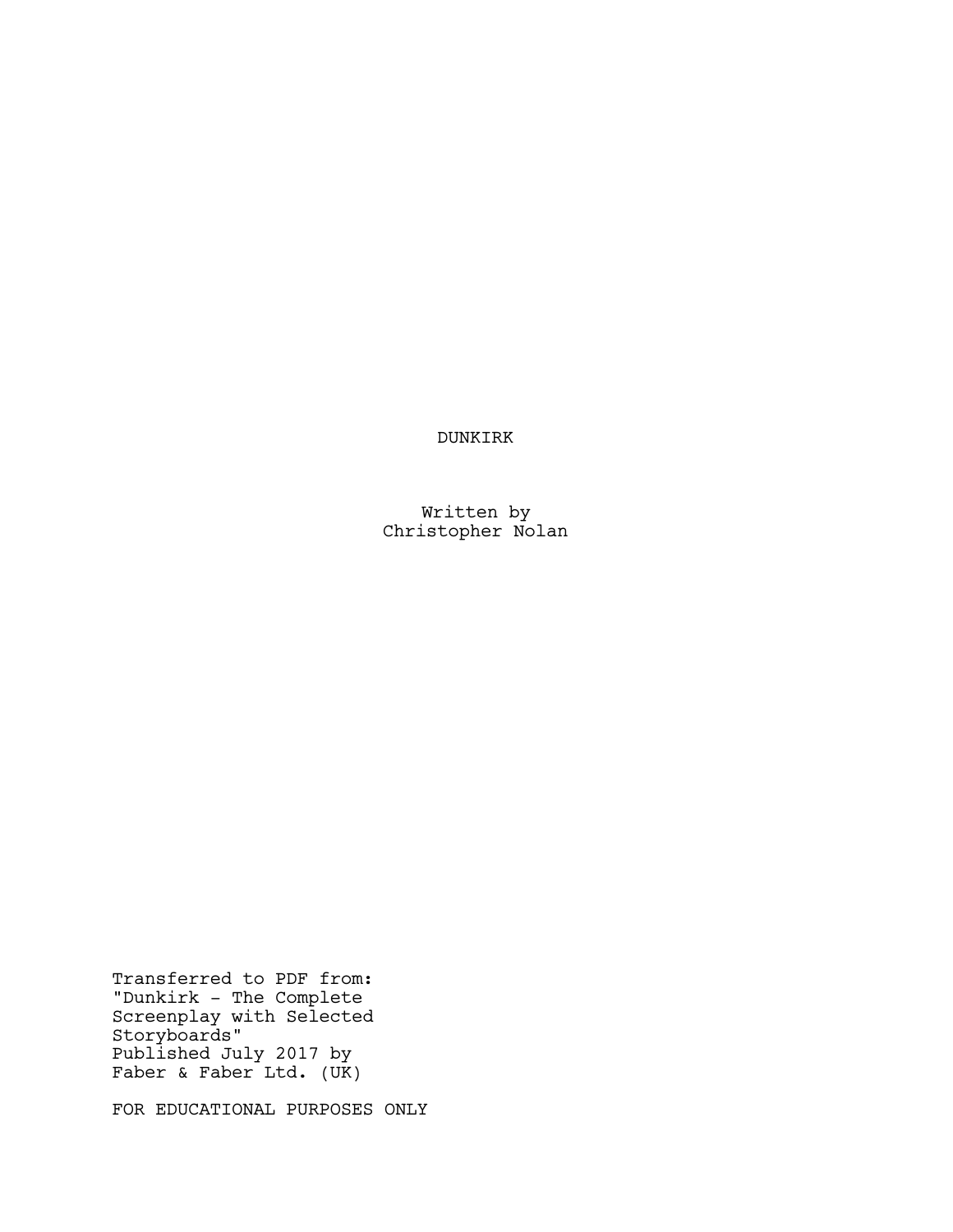DUNKIRK

Written by Christopher Nolan

Transferred to PDF from: "Dunkirk - The Complete Screenplay with Selected Storyboards" Published July 2017 by Faber & Faber Ltd. (UK)

FOR EDUCATIONAL PURPOSES ONLY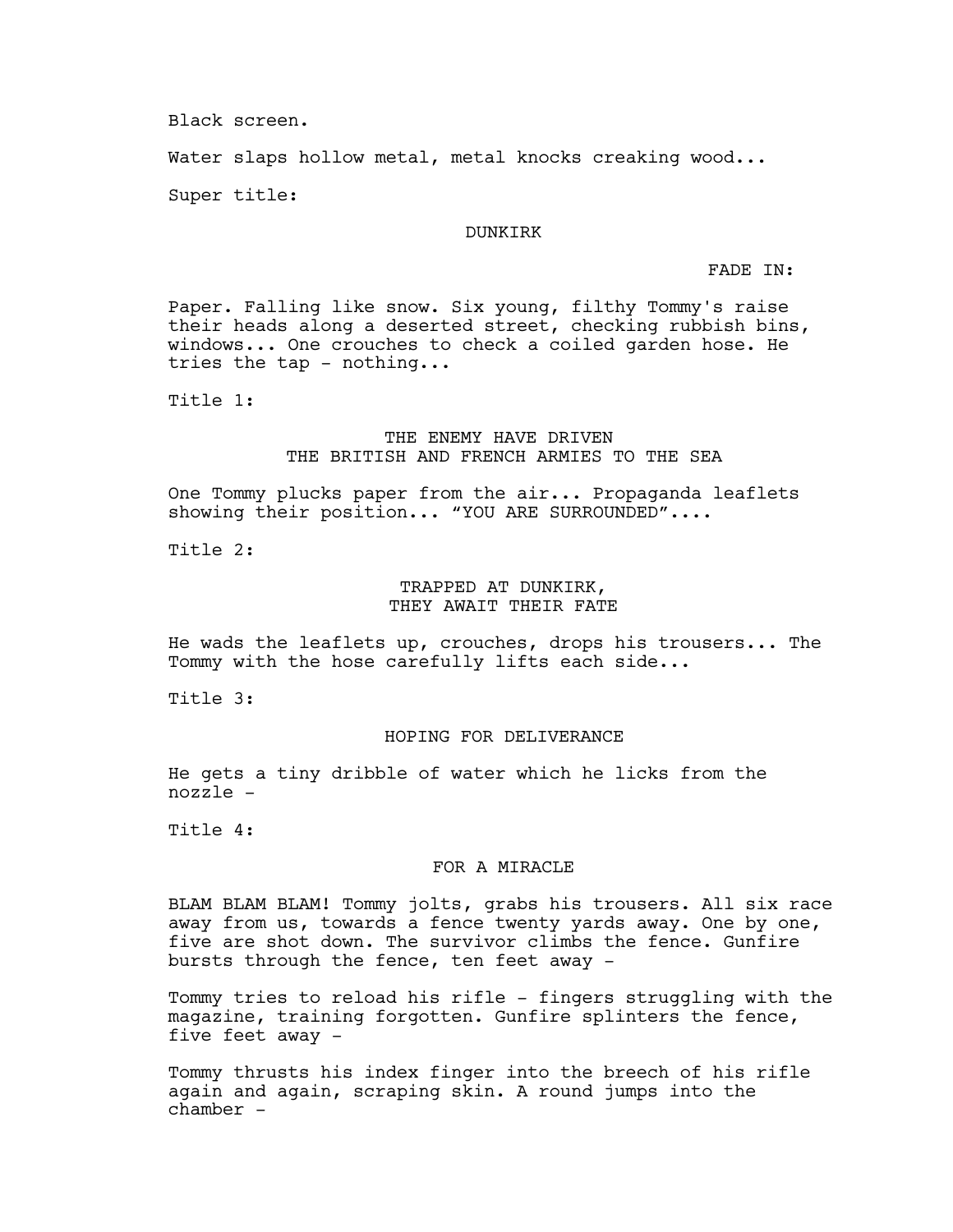Black screen.

Water slaps hollow metal, metal knocks creaking wood...

Super title:

### DUNKIRK

FADE IN:

Paper. Falling like snow. Six young, filthy Tommy's raise their heads along a deserted street, checking rubbish bins, windows... One crouches to check a coiled garden hose. He tries the tap - nothing...

Title 1:

## THE ENEMY HAVE DRIVEN THE BRITISH AND FRENCH ARMIES TO THE SEA

One Tommy plucks paper from the air... Propaganda leaflets showing their position... "YOU ARE SURROUNDED"....

Title 2:

### TRAPPED AT DUNKIRK, THEY AWAIT THEIR FATE

He wads the leaflets up, crouches, drops his trousers... The Tommy with the hose carefully lifts each side...

Title 3:

# HOPING FOR DELIVERANCE

He gets a tiny dribble of water which he licks from the nozzle -

Title 4:

## FOR A MIRACLE

BLAM BLAM BLAM! Tommy jolts, grabs his trousers. All six race away from us, towards a fence twenty yards away. One by one, five are shot down. The survivor climbs the fence. Gunfire bursts through the fence, ten feet away -

Tommy tries to reload his rifle - fingers struggling with the magazine, training forgotten. Gunfire splinters the fence, five feet away -

Tommy thrusts his index finger into the breech of his rifle again and again, scraping skin. A round jumps into the chamber -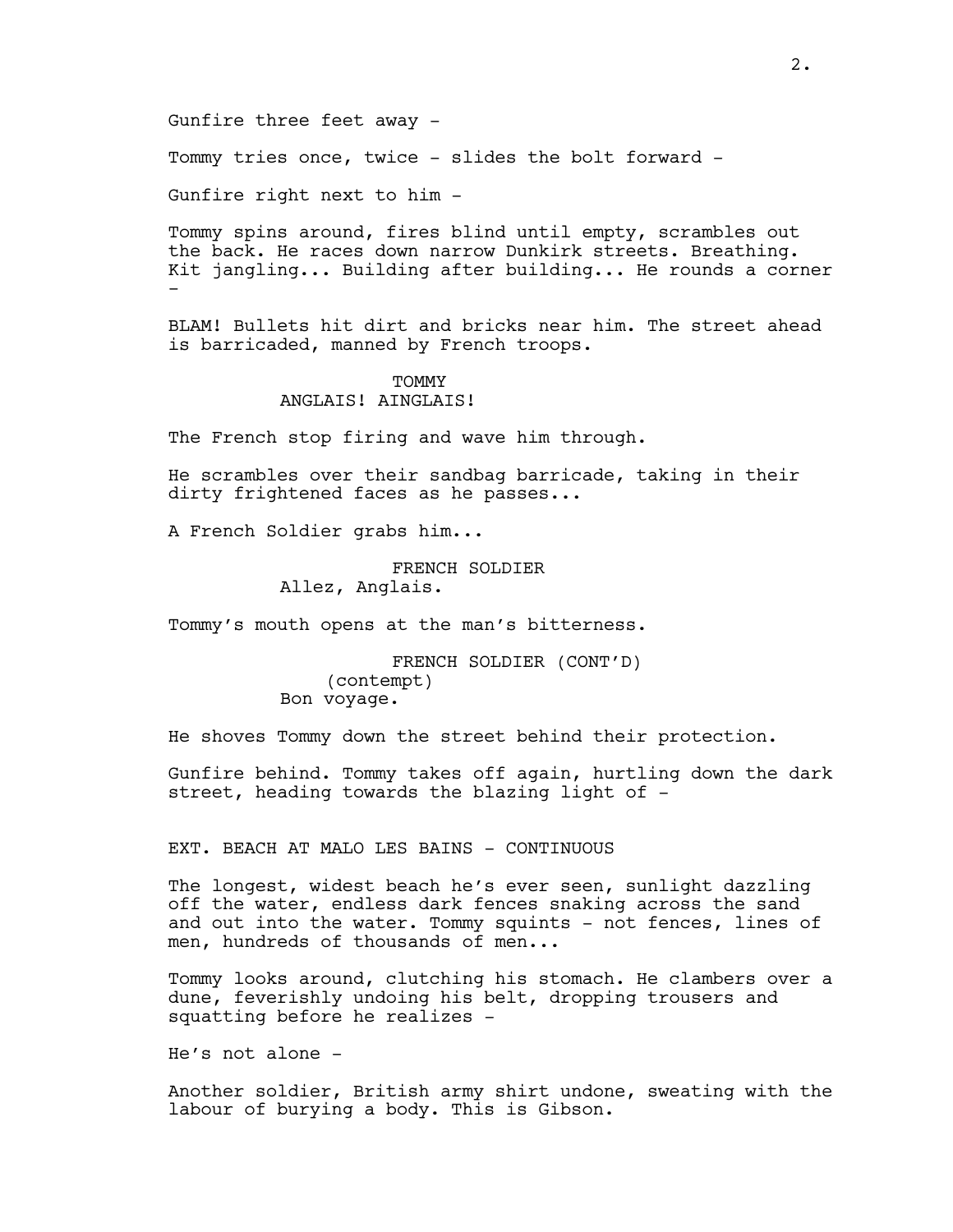Gunfire three feet away -

Tommy tries once, twice - slides the bolt forward -

Gunfire right next to him -

Tommy spins around, fires blind until empty, scrambles out the back. He races down narrow Dunkirk streets. Breathing. Kit jangling... Building after building... He rounds a corner -

BLAM! Bullets hit dirt and bricks near him. The street ahead is barricaded, manned by French troops.

#### **TOMMY**

ANGLAIS! AINGLAIS!

The French stop firing and wave him through.

He scrambles over their sandbag barricade, taking in their dirty frightened faces as he passes...

A French Soldier grabs him...

FRENCH SOLDIER Allez, Anglais.

Tommy's mouth opens at the man's bitterness.

FRENCH SOLDIER (CONT'D) (contempt) Bon voyage.

He shoves Tommy down the street behind their protection.

Gunfire behind. Tommy takes off again, hurtling down the dark street, heading towards the blazing light of -

EXT. BEACH AT MALO LES BAINS - CONTINUOUS

The longest, widest beach he's ever seen, sunlight dazzling off the water, endless dark fences snaking across the sand and out into the water. Tommy squints - not fences, lines of men, hundreds of thousands of men...

Tommy looks around, clutching his stomach. He clambers over a dune, feverishly undoing his belt, dropping trousers and squatting before he realizes -

He's not alone -

Another soldier, British army shirt undone, sweating with the labour of burying a body. This is Gibson.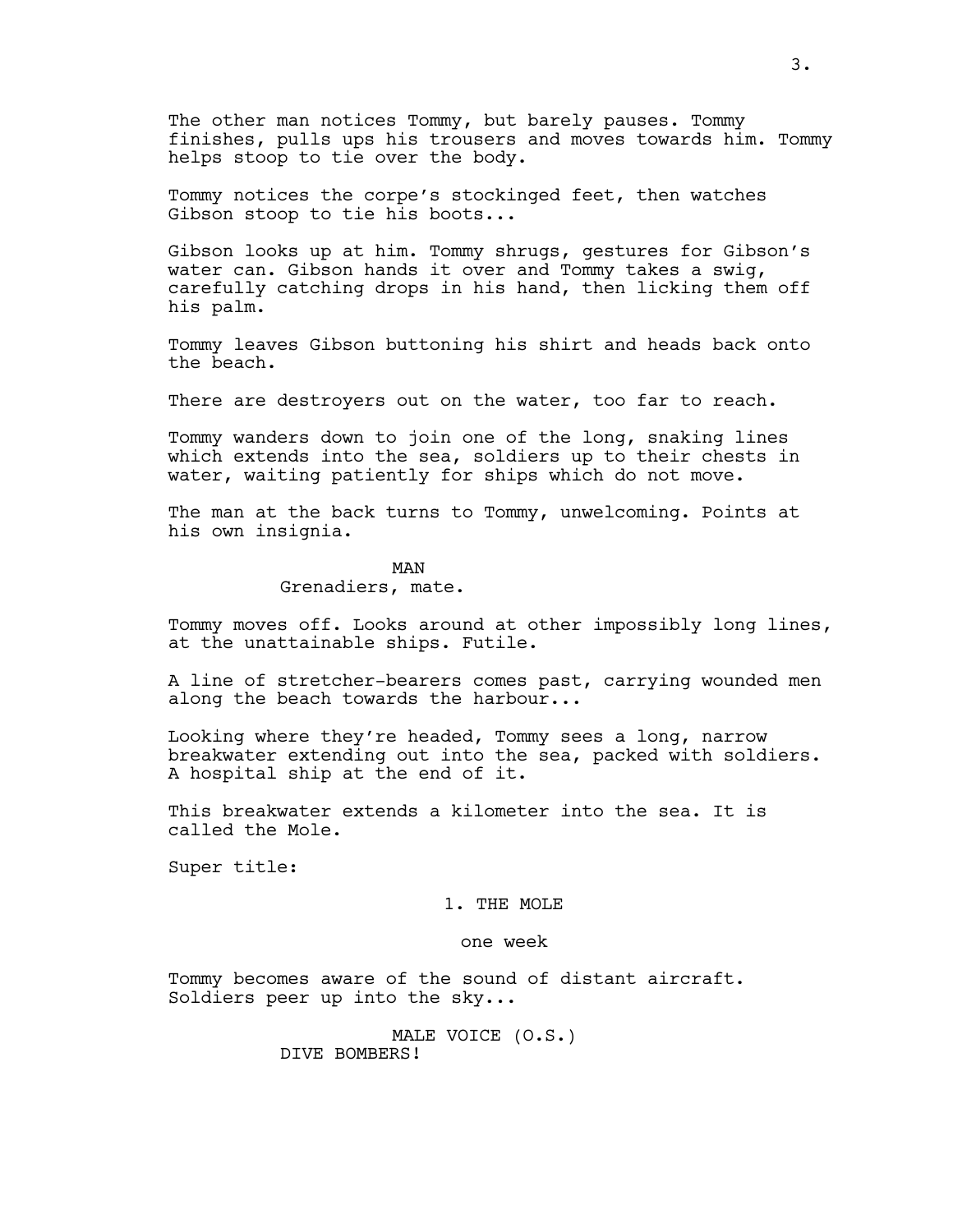The other man notices Tommy, but barely pauses. Tommy finishes, pulls ups his trousers and moves towards him. Tommy helps stoop to tie over the body.

Tommy notices the corpe's stockinged feet, then watches Gibson stoop to tie his boots...

Gibson looks up at him. Tommy shrugs, gestures for Gibson's water can. Gibson hands it over and Tommy takes a swig, carefully catching drops in his hand, then licking them off his palm.

Tommy leaves Gibson buttoning his shirt and heads back onto the beach.

There are destroyers out on the water, too far to reach.

Tommy wanders down to join one of the long, snaking lines which extends into the sea, soldiers up to their chests in water, waiting patiently for ships which do not move.

The man at the back turns to Tommy, unwelcoming. Points at his own insignia.

> MAN Grenadiers, mate.

Tommy moves off. Looks around at other impossibly long lines, at the unattainable ships. Futile.

A line of stretcher-bearers comes past, carrying wounded men along the beach towards the harbour...

Looking where they're headed, Tommy sees a long, narrow breakwater extending out into the sea, packed with soldiers. A hospital ship at the end of it.

This breakwater extends a kilometer into the sea. It is called the Mole.

Super title:

## 1. THE MOLE

## one week

Tommy becomes aware of the sound of distant aircraft. Soldiers peer up into the sky...

> MALE VOICE (O.S.) DIVE BOMBERS!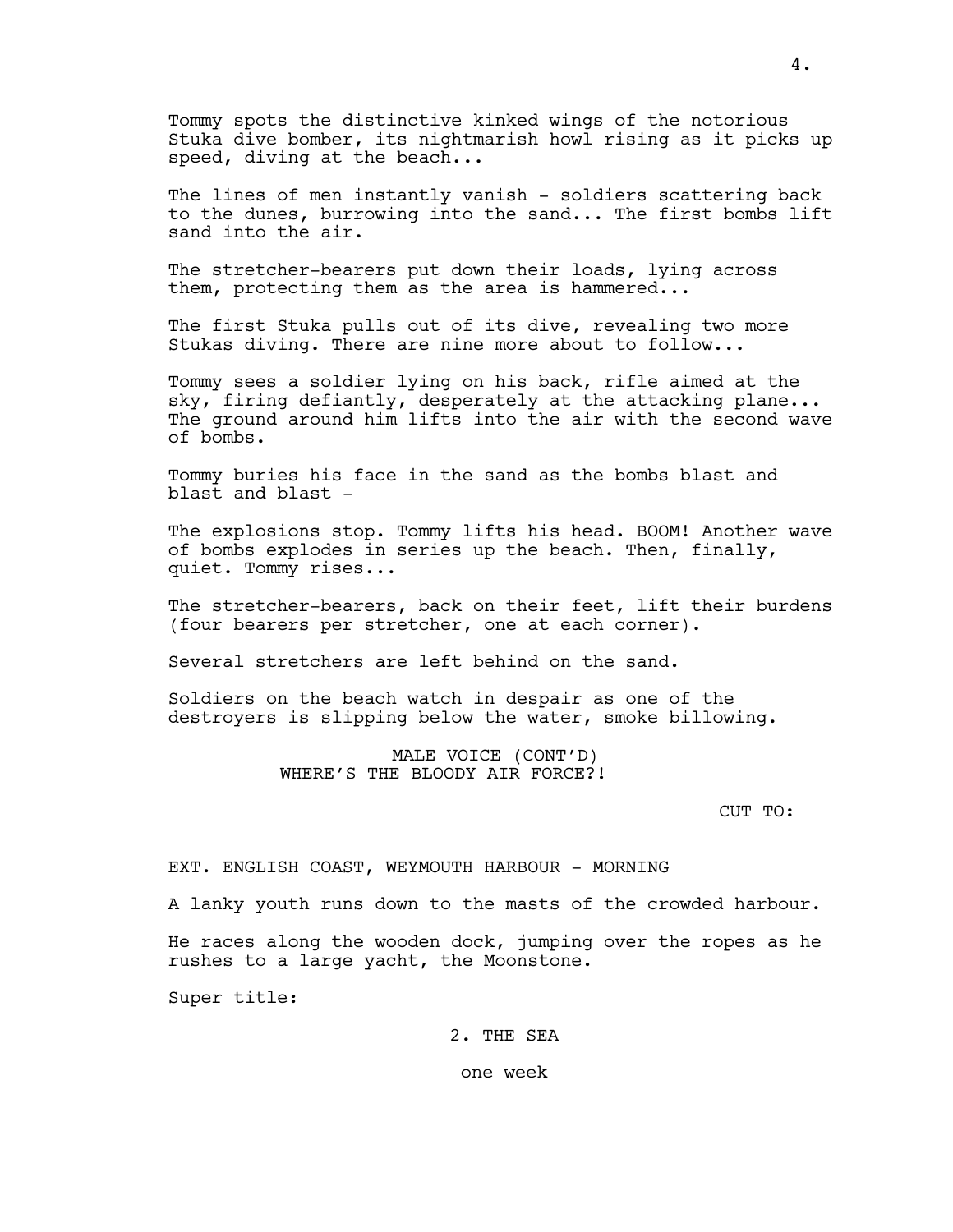Tommy spots the distinctive kinked wings of the notorious Stuka dive bomber, its nightmarish howl rising as it picks up speed, diving at the beach...

The lines of men instantly vanish - soldiers scattering back to the dunes, burrowing into the sand... The first bombs lift sand into the air.

The stretcher-bearers put down their loads, lying across them, protecting them as the area is hammered...

The first Stuka pulls out of its dive, revealing two more Stukas diving. There are nine more about to follow...

Tommy sees a soldier lying on his back, rifle aimed at the sky, firing defiantly, desperately at the attacking plane... The ground around him lifts into the air with the second wave of bombs.

Tommy buries his face in the sand as the bombs blast and blast and blast -

The explosions stop. Tommy lifts his head. BOOM! Another wave of bombs explodes in series up the beach. Then, finally, quiet. Tommy rises...

The stretcher-bearers, back on their feet, lift their burdens (four bearers per stretcher, one at each corner).

Several stretchers are left behind on the sand.

Soldiers on the beach watch in despair as one of the destroyers is slipping below the water, smoke billowing.

> MALE VOICE (CONT'D) WHERE'S THE BLOODY AIR FORCE?!

> > CUT TO:

### EXT. ENGLISH COAST, WEYMOUTH HARBOUR - MORNING

A lanky youth runs down to the masts of the crowded harbour.

He races along the wooden dock, jumping over the ropes as he rushes to a large yacht, the Moonstone.

Super title:

2. THE SEA

one week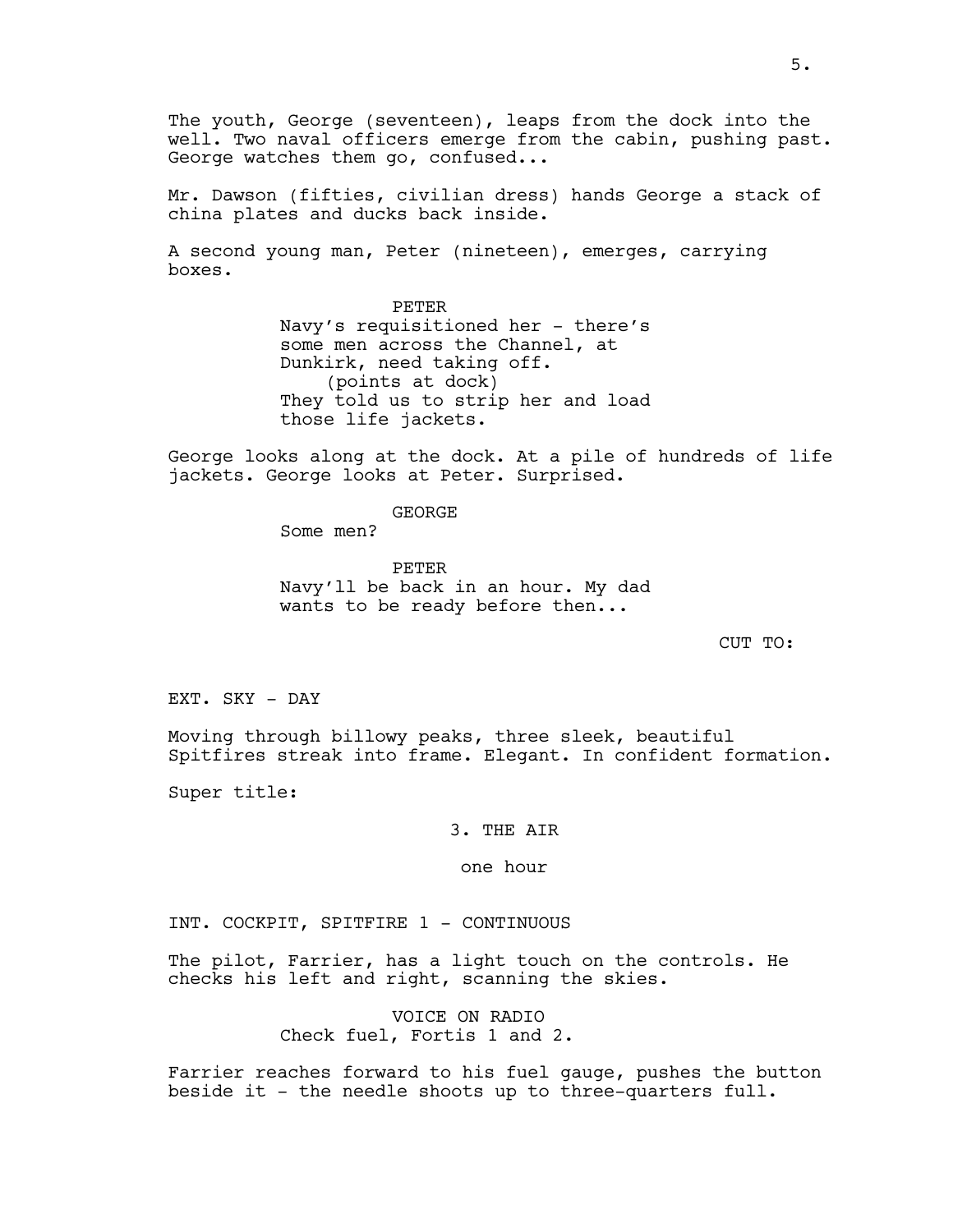The youth, George (seventeen), leaps from the dock into the well. Two naval officers emerge from the cabin, pushing past. George watches them go, confused...

Mr. Dawson (fifties, civilian dress) hands George a stack of china plates and ducks back inside.

A second young man, Peter (nineteen), emerges, carrying boxes.

> PETER Navy's requisitioned her - there's some men across the Channel, at Dunkirk, need taking off. (points at dock) They told us to strip her and load those life jackets.

George looks along at the dock. At a pile of hundreds of life jackets. George looks at Peter. Surprised.

GEORGE

Some men?

PETER Navy'll be back in an hour. My dad wants to be ready before then...

CUT TO:

EXT. SKY - DAY

Moving through billowy peaks, three sleek, beautiful Spitfires streak into frame. Elegant. In confident formation.

Super title:

3. THE AIR

one hour

INT. COCKPIT, SPITFIRE 1 - CONTINUOUS

The pilot, Farrier, has a light touch on the controls. He checks his left and right, scanning the skies.

> VOICE ON RADIO Check fuel, Fortis 1 and 2.

Farrier reaches forward to his fuel gauge, pushes the button beside it - the needle shoots up to three-quarters full.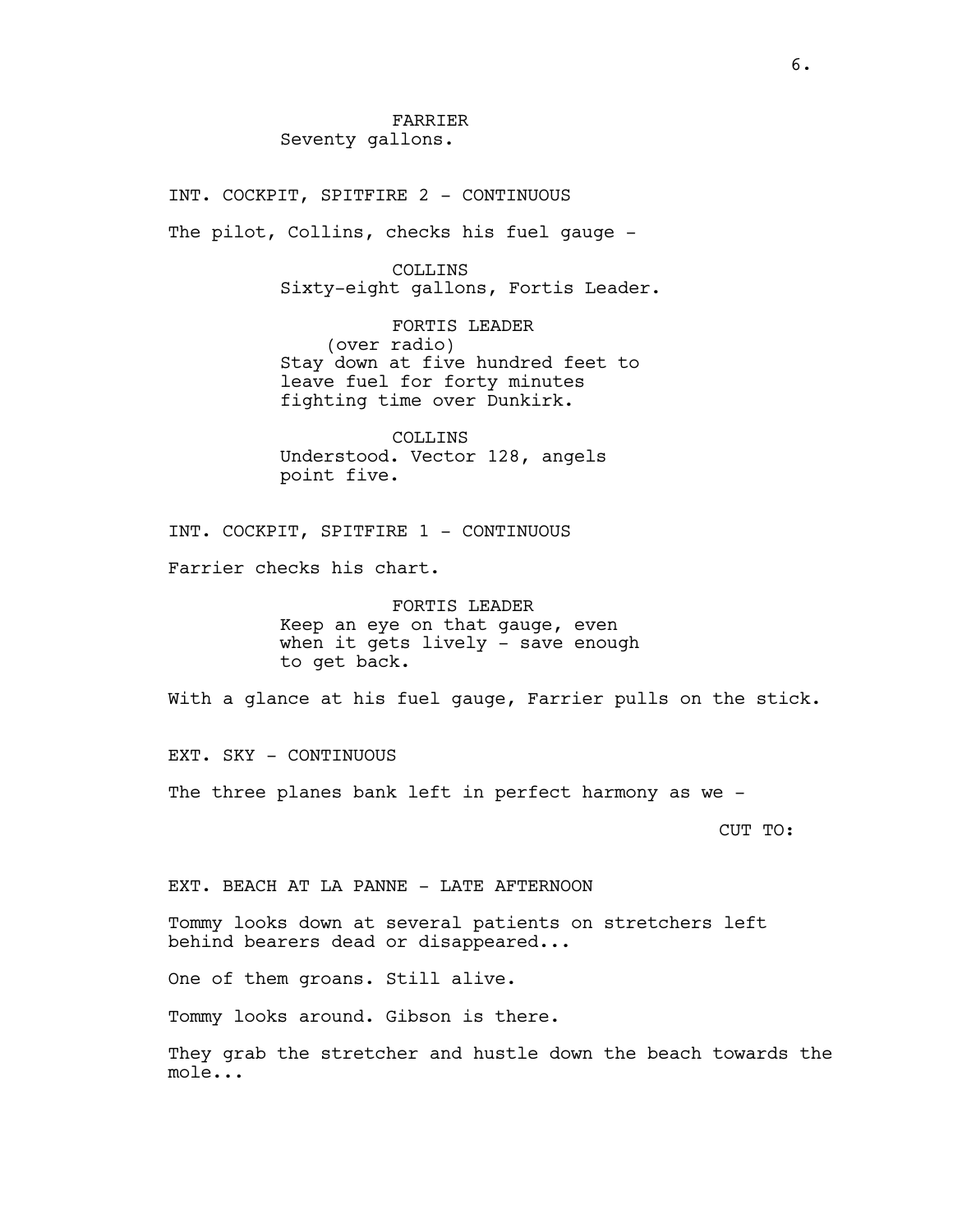INT. COCKPIT, SPITFIRE 2 - CONTINUOUS

The pilot, Collins, checks his fuel gauge -

COLLINS Sixty-eight gallons, Fortis Leader.

FORTIS LEADER (over radio) Stay down at five hundred feet to leave fuel for forty minutes fighting time over Dunkirk.

COLLINS Understood. Vector 128, angels point five.

INT. COCKPIT, SPITFIRE 1 - CONTINUOUS

Farrier checks his chart.

FORTIS LEADER Keep an eye on that gauge, even when it gets lively - save enough to get back.

With a glance at his fuel gauge, Farrier pulls on the stick.

EXT. SKY - CONTINUOUS

The three planes bank left in perfect harmony as we -

CUT TO:

EXT. BEACH AT LA PANNE - LATE AFTERNOON

Tommy looks down at several patients on stretchers left behind bearers dead or disappeared...

One of them groans. Still alive.

Tommy looks around. Gibson is there.

They grab the stretcher and hustle down the beach towards the mole...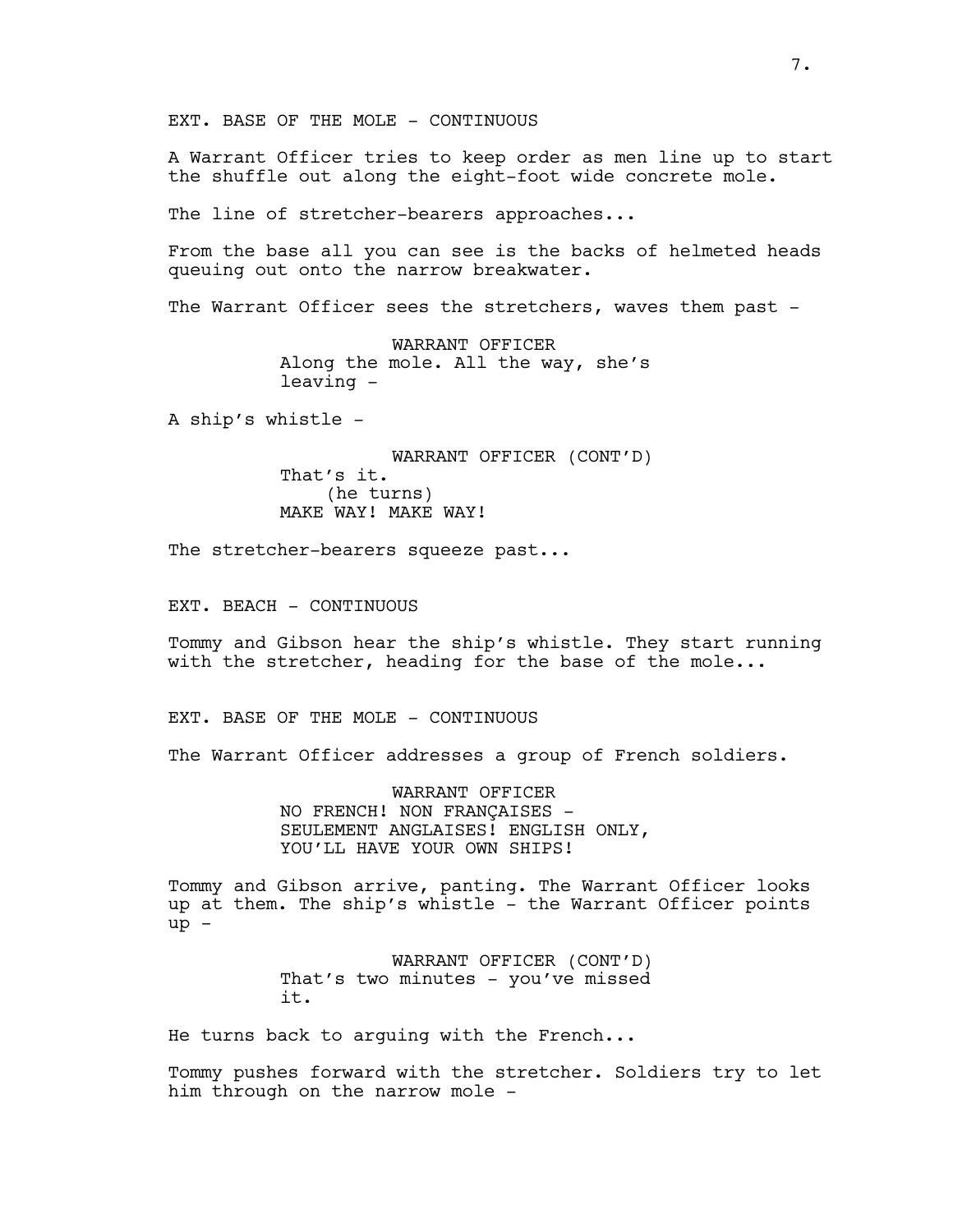EXT. BASE OF THE MOLE - CONTINUOUS

A Warrant Officer tries to keep order as men line up to start the shuffle out along the eight-foot wide concrete mole.

The line of stretcher-bearers approaches...

From the base all you can see is the backs of helmeted heads queuing out onto the narrow breakwater.

The Warrant Officer sees the stretchers, waves them past -

WARRANT OFFICER Along the mole. All the way, she's leaving -

A ship's whistle -

WARRANT OFFICER (CONT'D) That's it. (he turns) MAKE WAY! MAKE WAY!

The stretcher-bearers squeeze past...

EXT. BEACH - CONTINUOUS

Tommy and Gibson hear the ship's whistle. They start running with the stretcher, heading for the base of the mole...

EXT. BASE OF THE MOLE - CONTINUOUS

The Warrant Officer addresses a group of French soldiers.

WARRANT OFFICER NO FRENCH! NON FRANÇAISES - SEULEMENT ANGLAISES! ENGLISH ONLY, YOU'LL HAVE YOUR OWN SHIPS!

Tommy and Gibson arrive, panting. The Warrant Officer looks up at them. The ship's whistle - the Warrant Officer points up -

> WARRANT OFFICER (CONT'D) That's two minutes - you've missed it.

He turns back to arguing with the French...

Tommy pushes forward with the stretcher. Soldiers try to let him through on the narrow mole -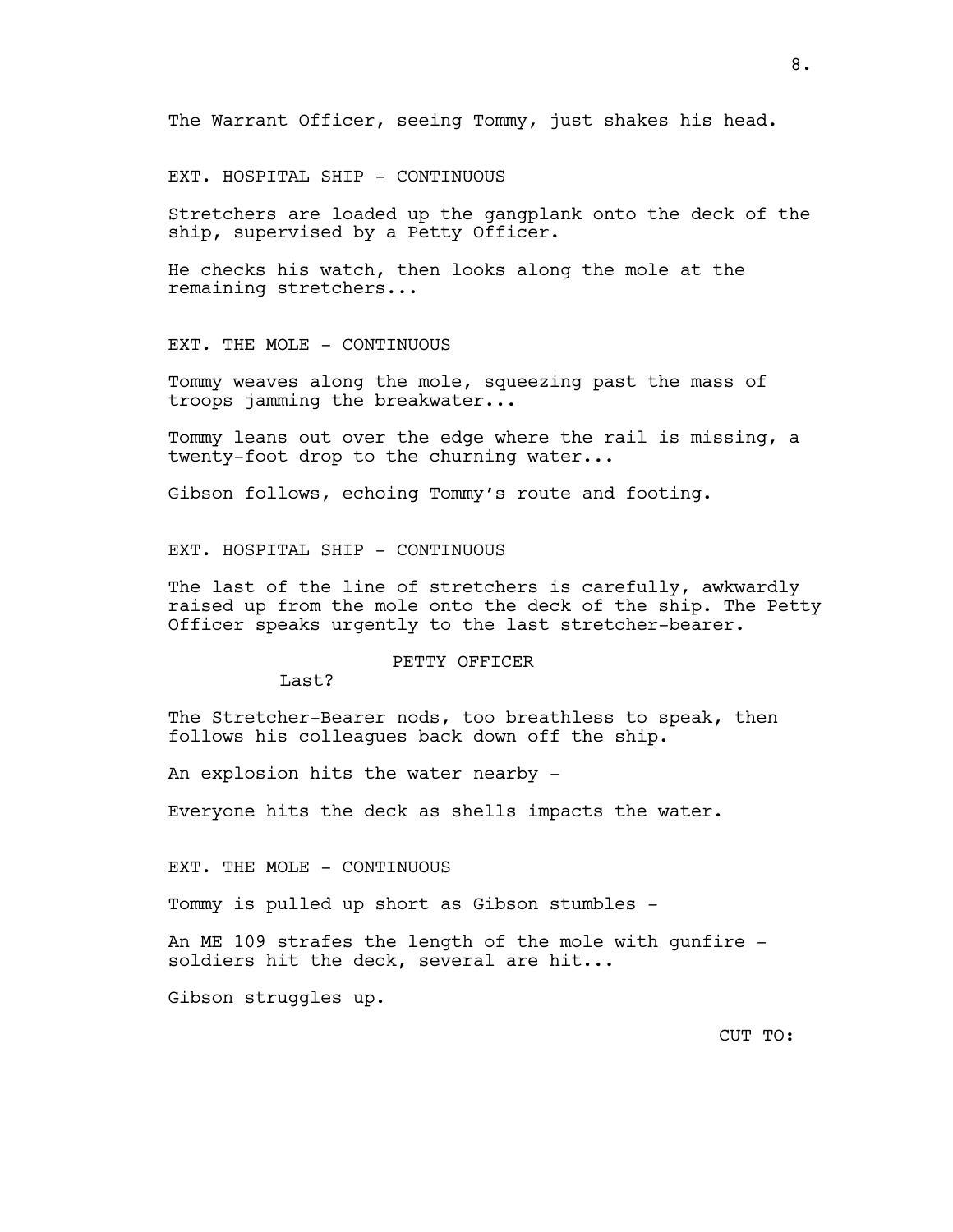The Warrant Officer, seeing Tommy, just shakes his head.

EXT. HOSPITAL SHIP - CONTINUOUS

Stretchers are loaded up the gangplank onto the deck of the ship, supervised by a Petty Officer.

He checks his watch, then looks along the mole at the remaining stretchers...

EXT. THE MOLE - CONTINUOUS

Tommy weaves along the mole, squeezing past the mass of troops jamming the breakwater...

Tommy leans out over the edge where the rail is missing, a twenty-foot drop to the churning water...

Gibson follows, echoing Tommy's route and footing.

EXT. HOSPITAL SHIP - CONTINUOUS

The last of the line of stretchers is carefully, awkwardly raised up from the mole onto the deck of the ship. The Petty Officer speaks urgently to the last stretcher-bearer.

#### PETTY OFFICER

Last?

The Stretcher-Bearer nods, too breathless to speak, then follows his colleagues back down off the ship.

An explosion hits the water nearby -

Everyone hits the deck as shells impacts the water.

EXT. THE MOLE - CONTINUOUS

Tommy is pulled up short as Gibson stumbles -

An ME 109 strafes the length of the mole with gunfire soldiers hit the deck, several are hit...

Gibson struggles up.

CUT TO: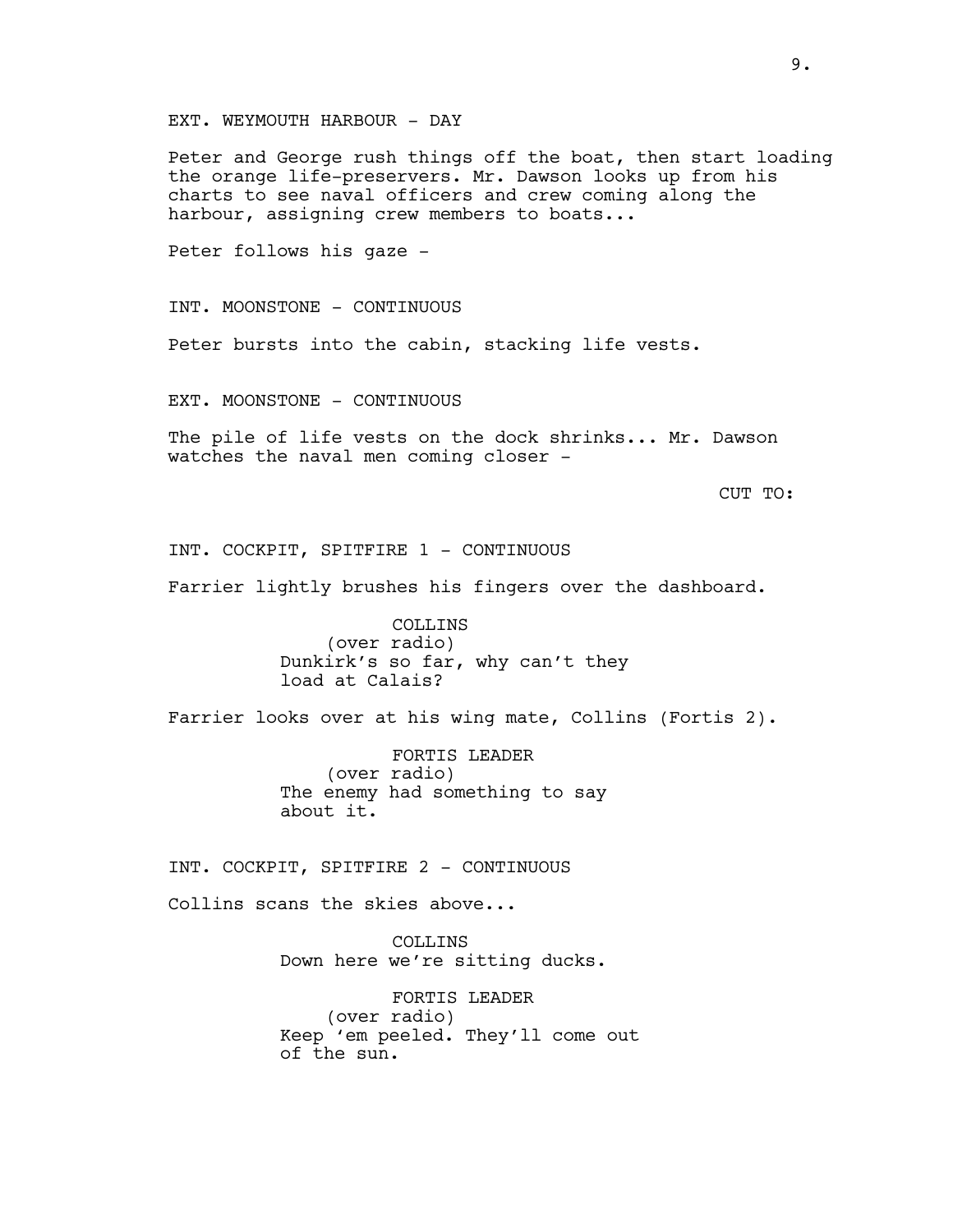EXT. WEYMOUTH HARBOUR - DAY

Peter and George rush things off the boat, then start loading the orange life-preservers. Mr. Dawson looks up from his charts to see naval officers and crew coming along the harbour, assigning crew members to boats...

Peter follows his gaze -

INT. MOONSTONE - CONTINUOUS

Peter bursts into the cabin, stacking life vests.

EXT. MOONSTONE - CONTINUOUS

The pile of life vests on the dock shrinks... Mr. Dawson watches the naval men coming closer -

CUT TO:

INT. COCKPIT, SPITFIRE 1 - CONTINUOUS

Farrier lightly brushes his fingers over the dashboard.

COLLINS (over radio) Dunkirk's so far, why can't they load at Calais?

Farrier looks over at his wing mate, Collins (Fortis 2).

FORTIS LEADER (over radio) The enemy had something to say about it.

INT. COCKPIT, SPITFIRE 2 - CONTINUOUS

Collins scans the skies above...

COLLINS Down here we're sitting ducks.

FORTIS LEADER (over radio) Keep 'em peeled. They'll come out of the sun.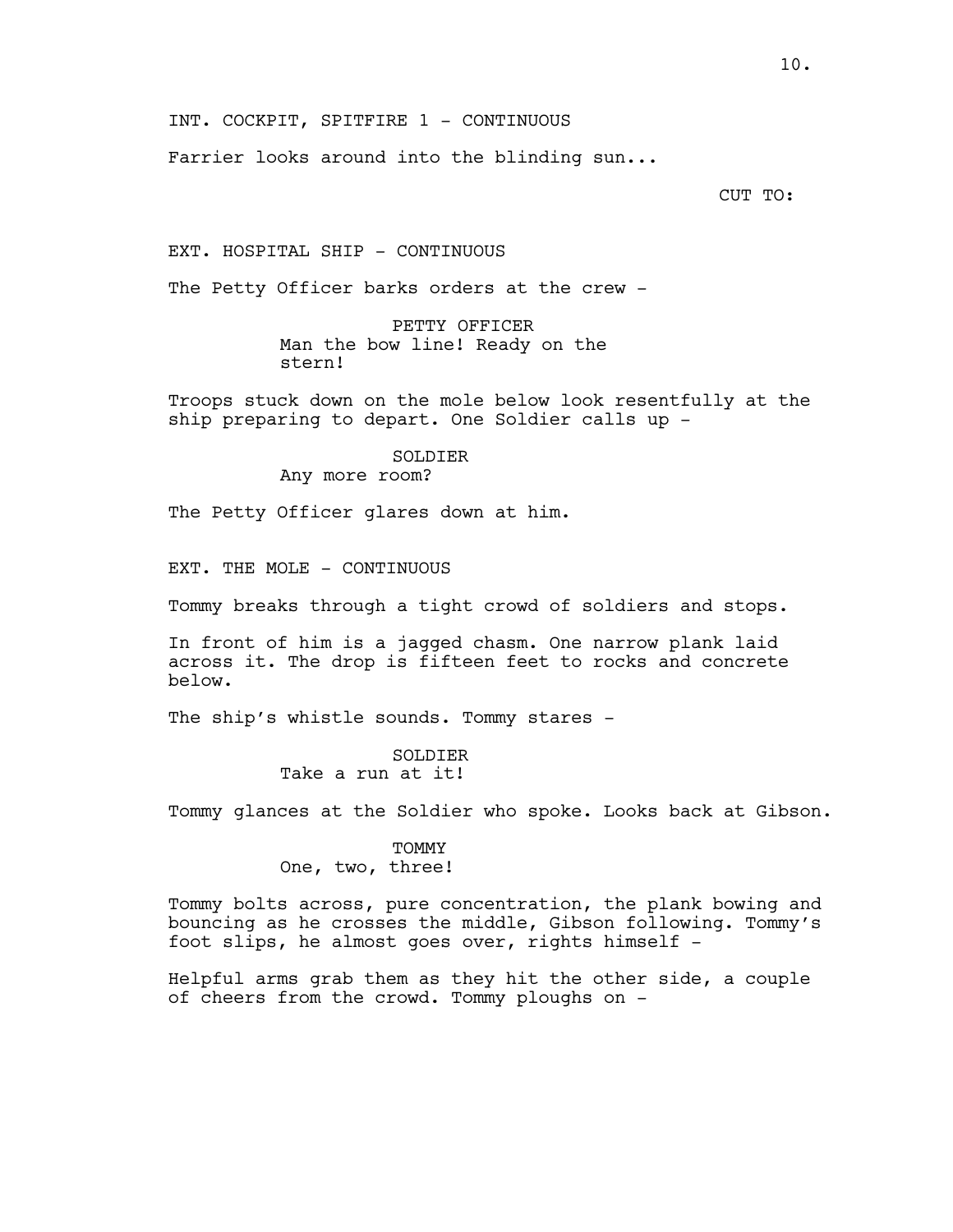INT. COCKPIT, SPITFIRE 1 - CONTINUOUS

Farrier looks around into the blinding sun...

CUT TO:

EXT. HOSPITAL SHIP - CONTINUOUS

The Petty Officer barks orders at the crew -

PETTY OFFICER Man the bow line! Ready on the stern!

Troops stuck down on the mole below look resentfully at the ship preparing to depart. One Soldier calls up -

### SOLDIER

Any more room?

The Petty Officer glares down at him.

EXT. THE MOLE - CONTINUOUS

Tommy breaks through a tight crowd of soldiers and stops.

In front of him is a jagged chasm. One narrow plank laid across it. The drop is fifteen feet to rocks and concrete below.

The ship's whistle sounds. Tommy stares -

SOLDIER Take a run at it!

Tommy glances at the Soldier who spoke. Looks back at Gibson.

TOMMY One, two, three!

Tommy bolts across, pure concentration, the plank bowing and bouncing as he crosses the middle, Gibson following. Tommy's foot slips, he almost goes over, rights himself -

Helpful arms grab them as they hit the other side, a couple of cheers from the crowd. Tommy ploughs on -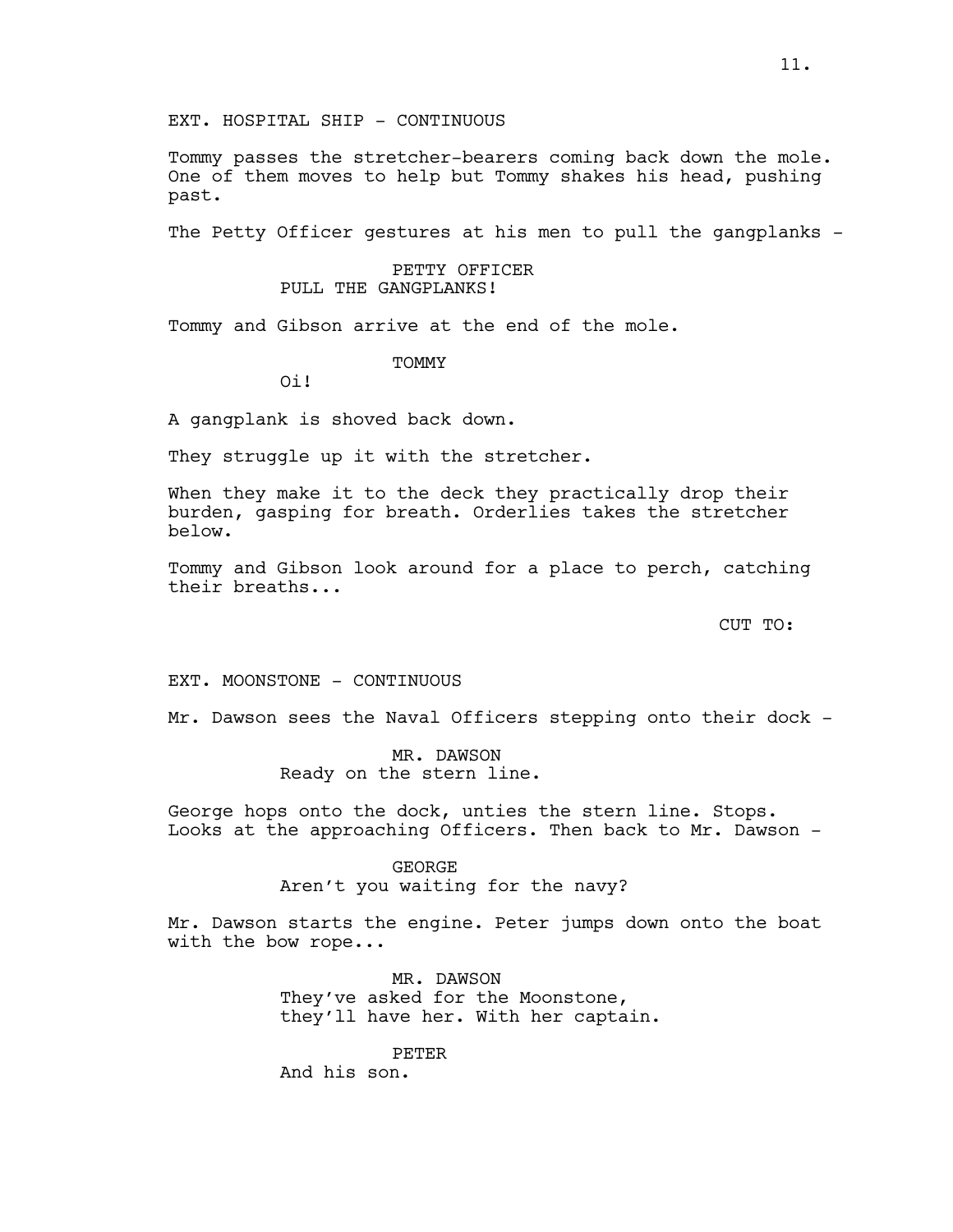Tommy passes the stretcher-bearers coming back down the mole. One of them moves to help but Tommy shakes his head, pushing past.

The Petty Officer gestures at his men to pull the gangplanks -

## PETTY OFFICER PULL THE GANGPLANKS!

Tommy and Gibson arrive at the end of the mole.

## **TOMMY**

Oi!

A gangplank is shoved back down.

They struggle up it with the stretcher.

When they make it to the deck they practically drop their burden, gasping for breath. Orderlies takes the stretcher below.

Tommy and Gibson look around for a place to perch, catching their breaths...

CUT TO:

EXT. MOONSTONE - CONTINUOUS

Mr. Dawson sees the Naval Officers stepping onto their dock -

MR. DAWSON Ready on the stern line.

George hops onto the dock, unties the stern line. Stops. Looks at the approaching Officers. Then back to Mr. Dawson -

> GEORGE Aren't you waiting for the navy?

Mr. Dawson starts the engine. Peter jumps down onto the boat with the bow rope...

> MR. DAWSON They've asked for the Moonstone, they'll have her. With her captain.

PETER And his son.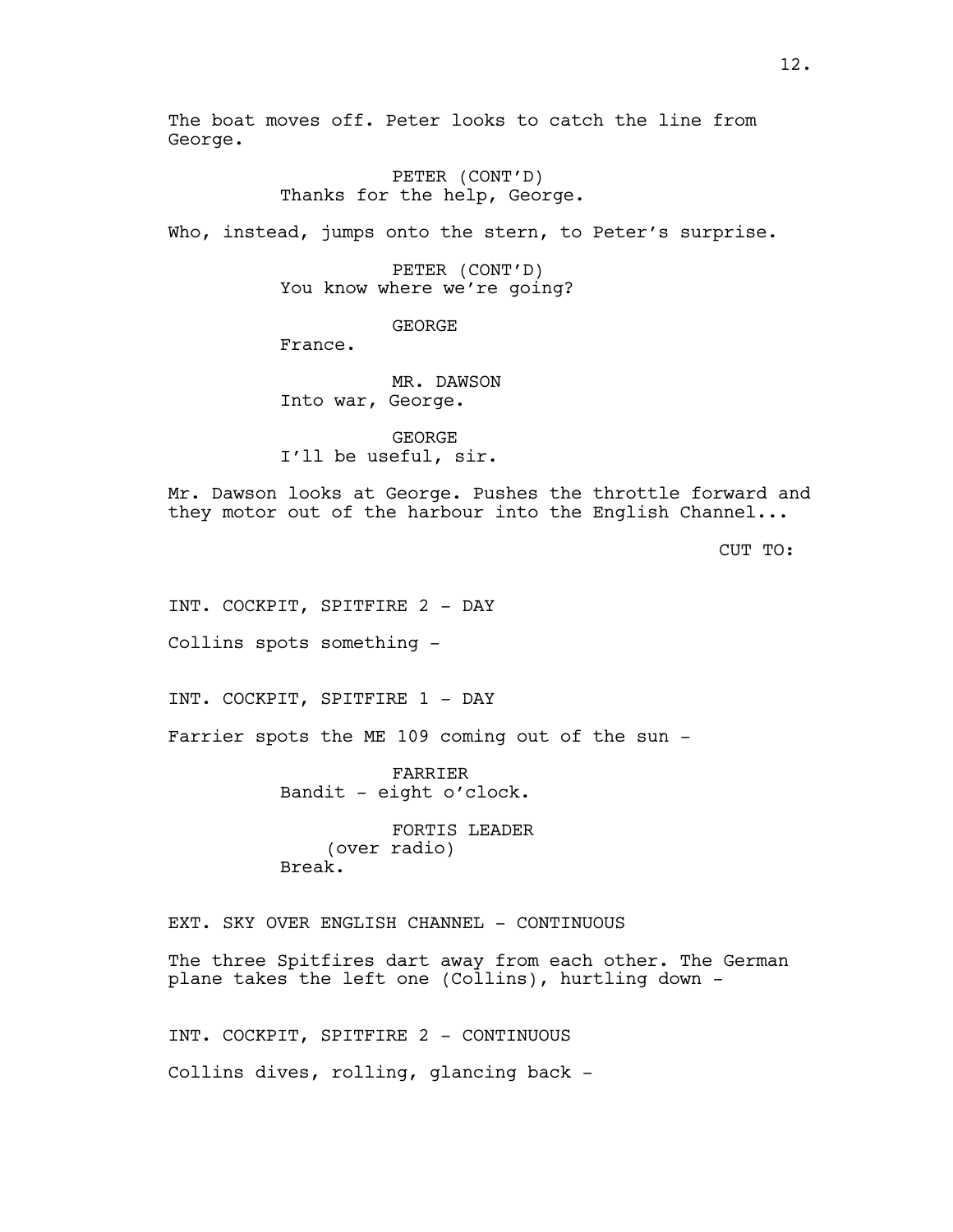The boat moves off. Peter looks to catch the line from George.

> PETER (CONT'D) Thanks for the help, George.

Who, instead, jumps onto the stern, to Peter's surprise.

PETER (CONT'D) You know where we're going?

GEORGE

France.

MR. DAWSON Into war, George.

GEORGE I'll be useful, sir.

Mr. Dawson looks at George. Pushes the throttle forward and they motor out of the harbour into the English Channel...

CUT TO:

INT. COCKPIT, SPITFIRE 2 - DAY

Collins spots something -

INT. COCKPIT, SPITFIRE 1 - DAY

Farrier spots the ME 109 coming out of the sun -

FARRIER Bandit - eight o'clock.

FORTIS LEADER (over radio) Break.

EXT. SKY OVER ENGLISH CHANNEL - CONTINUOUS

The three Spitfires dart away from each other. The German plane takes the left one (Collins), hurtling down -

INT. COCKPIT, SPITFIRE 2 - CONTINUOUS Collins dives, rolling, glancing back -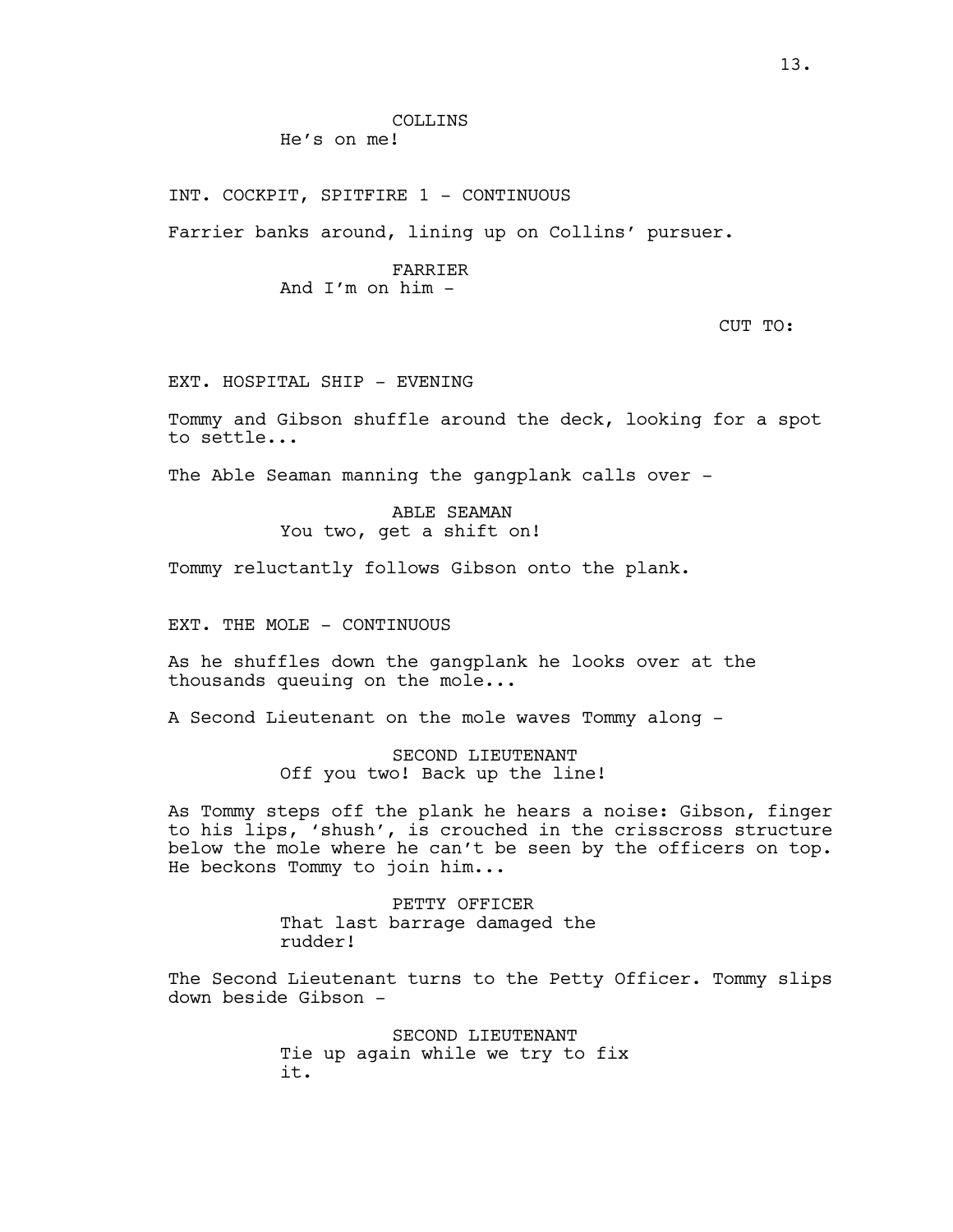INT. COCKPIT, SPITFIRE 1 - CONTINUOUS

Farrier banks around, lining up on Collins' pursuer.

### FARRIER And I'm on him -

CUT TO:

EXT. HOSPITAL SHIP - EVENING

Tommy and Gibson shuffle around the deck, looking for a spot to settle...

The Able Seaman manning the gangplank calls over -

ABLE SEAMAN You two, get a shift on!

Tommy reluctantly follows Gibson onto the plank.

EXT. THE MOLE - CONTINUOUS

As he shuffles down the gangplank he looks over at the thousands queuing on the mole...

A Second Lieutenant on the mole waves Tommy along -

SECOND LIEUTENANT Off you two! Back up the line!

As Tommy steps off the plank he hears a noise: Gibson, finger to his lips, 'shush', is crouched in the crisscross structure below the mole where he can't be seen by the officers on top. He beckons Tommy to join him...

> PETTY OFFICER That last barrage damaged the rudder!

The Second Lieutenant turns to the Petty Officer. Tommy slips down beside Gibson -

> SECOND LIEUTENANT Tie up again while we try to fix it.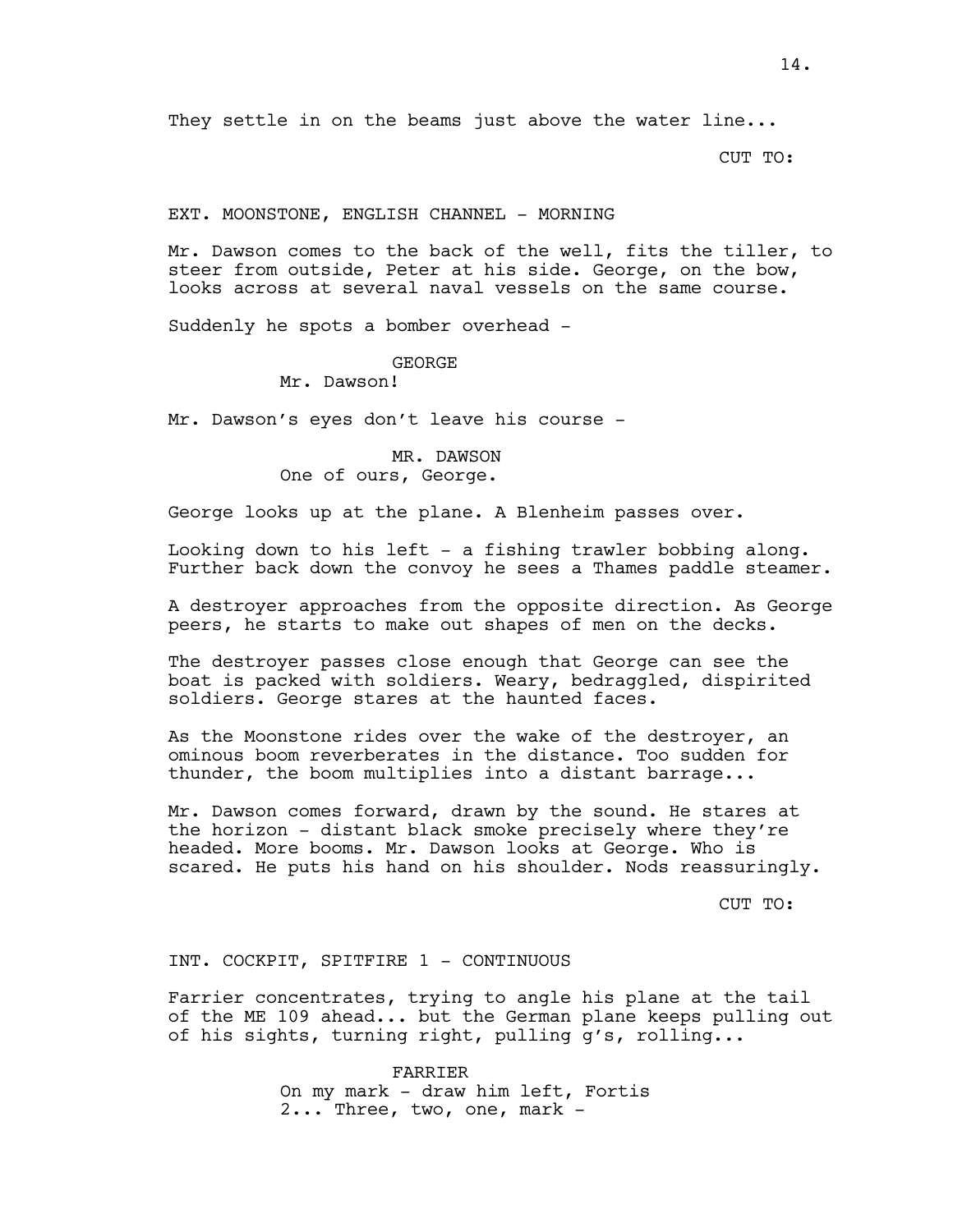They settle in on the beams just above the water line...

CUT TO:

### EXT. MOONSTONE, ENGLISH CHANNEL - MORNING

Mr. Dawson comes to the back of the well, fits the tiller, to steer from outside, Peter at his side. George, on the bow, looks across at several naval vessels on the same course.

Suddenly he spots a bomber overhead -

# GEORGE

Mr. Dawson!

Mr. Dawson's eyes don't leave his course -

# MR. DAWSON One of ours, George.

George looks up at the plane. A Blenheim passes over.

Looking down to his left - a fishing trawler bobbing along. Further back down the convoy he sees a Thames paddle steamer.

A destroyer approaches from the opposite direction. As George peers, he starts to make out shapes of men on the decks.

The destroyer passes close enough that George can see the boat is packed with soldiers. Weary, bedraggled, dispirited soldiers. George stares at the haunted faces.

As the Moonstone rides over the wake of the destroyer, an ominous boom reverberates in the distance. Too sudden for thunder, the boom multiplies into a distant barrage...

Mr. Dawson comes forward, drawn by the sound. He stares at the horizon - distant black smoke precisely where they're headed. More booms. Mr. Dawson looks at George. Who is scared. He puts his hand on his shoulder. Nods reassuringly.

CUT TO:

INT. COCKPIT, SPITFIRE 1 - CONTINUOUS

Farrier concentrates, trying to angle his plane at the tail of the ME 109 ahead... but the German plane keeps pulling out of his sights, turning right, pulling g's, rolling...

> FARRIER On my mark - draw him left, Fortis 2... Three, two, one, mark -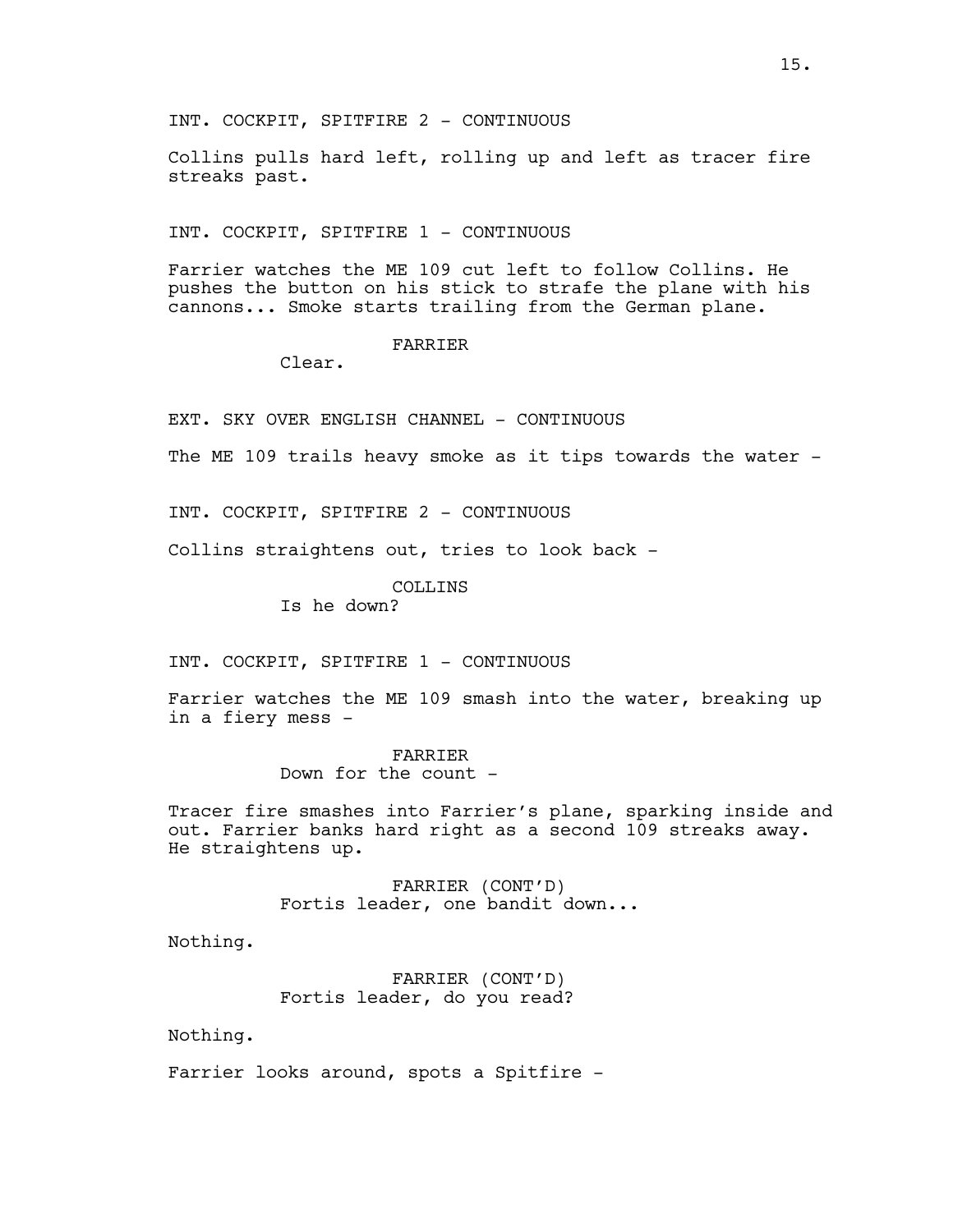INT. COCKPIT, SPITFIRE 2 - CONTINUOUS

Collins pulls hard left, rolling up and left as tracer fire streaks past.

INT. COCKPIT, SPITFIRE 1 - CONTINUOUS

Farrier watches the ME 109 cut left to follow Collins. He pushes the button on his stick to strafe the plane with his cannons... Smoke starts trailing from the German plane.

## FARRIER

Clear.

EXT. SKY OVER ENGLISH CHANNEL - CONTINUOUS

The ME 109 trails heavy smoke as it tips towards the water -

INT. COCKPIT, SPITFIRE 2 - CONTINUOUS

Collins straightens out, tries to look back -

COLLINS

Is he down?

INT. COCKPIT, SPITFIRE 1 - CONTINUOUS

Farrier watches the ME 109 smash into the water, breaking up in a fiery mess -

> FARRIER Down for the count -

Tracer fire smashes into Farrier's plane, sparking inside and out. Farrier banks hard right as a second 109 streaks away. He straightens up.

> FARRIER (CONT'D) Fortis leader, one bandit down...

Nothing.

FARRIER (CONT'D) Fortis leader, do you read?

Nothing.

Farrier looks around, spots a Spitfire -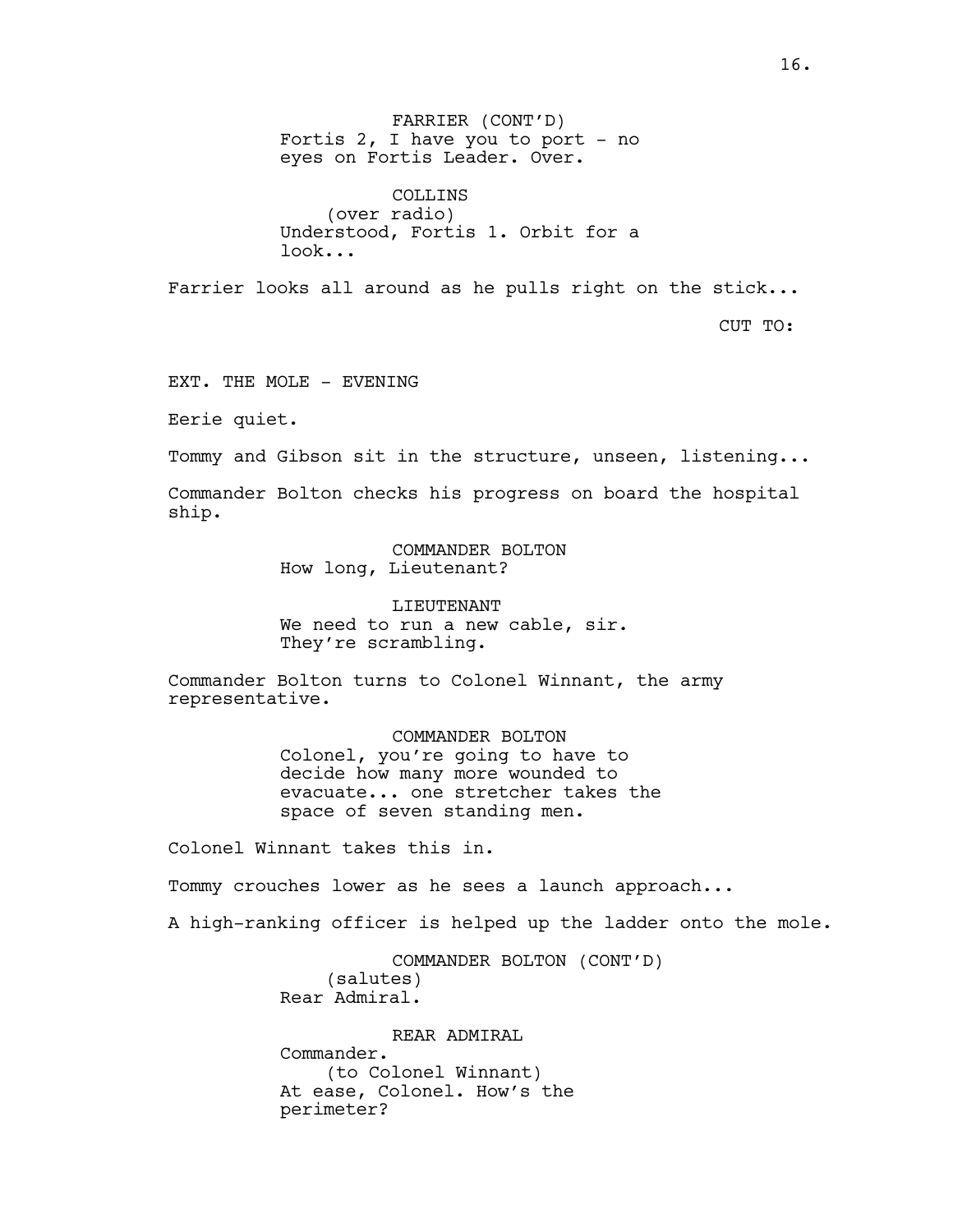FARRIER (CONT'D) Fortis  $2$ , I have you to port - no eyes on Fortis Leader. Over.

COLLINS (over radio) Understood, Fortis 1. Orbit for a look...

Farrier looks all around as he pulls right on the stick...

CUT TO:

EXT. THE MOLE - EVENING

Eerie quiet.

Tommy and Gibson sit in the structure, unseen, listening...

Commander Bolton checks his progress on board the hospital ship.

> COMMANDER BOLTON How long, Lieutenant?

LIEUTENANT We need to run a new cable, sir. They're scrambling.

Commander Bolton turns to Colonel Winnant, the army representative.

> COMMANDER BOLTON Colonel, you're going to have to decide how many more wounded to evacuate... one stretcher takes the space of seven standing men.

Colonel Winnant takes this in.

Tommy crouches lower as he sees a launch approach...

A high-ranking officer is helped up the ladder onto the mole.

COMMANDER BOLTON (CONT'D) (salutes) Rear Admiral.

REAR ADMIRAL Commander. (to Colonel Winnant) At ease, Colonel. How's the perimeter?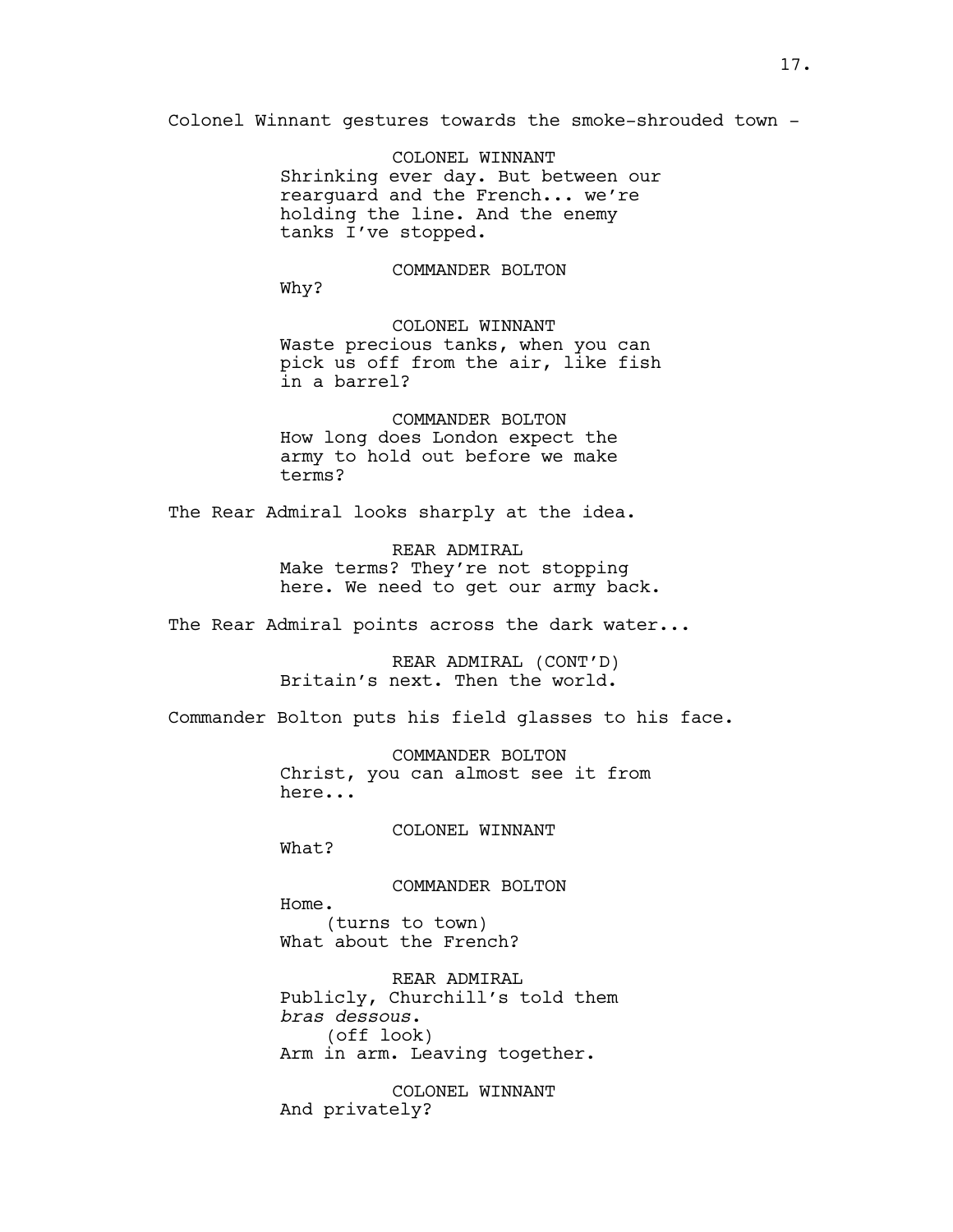Colonel Winnant gestures towards the smoke-shrouded town -

COLONEL WINNANT Shrinking ever day. But between our rearguard and the French... we're holding the line. And the enemy tanks I've stopped.

COMMANDER BOLTON

Why?

COLONEL WINNANT Waste precious tanks, when you can pick us off from the air, like fish in a barrel?

COMMANDER BOLTON How long does London expect the army to hold out before we make terms?

The Rear Admiral looks sharply at the idea.

REAR ADMIRAL Make terms? They're not stopping here. We need to get our army back.

The Rear Admiral points across the dark water...

REAR ADMIRAL (CONT'D) Britain's next. Then the world.

Commander Bolton puts his field glasses to his face.

COMMANDER BOLTON Christ, you can almost see it from here...

COLONEL WINNANT

What?

COMMANDER BOLTON Home. (turns to town) What about the French?

REAR ADMIRAL Publicly, Churchill's told them *bras dessous*. (off look) Arm in arm. Leaving together.

COLONEL WINNANT And privately?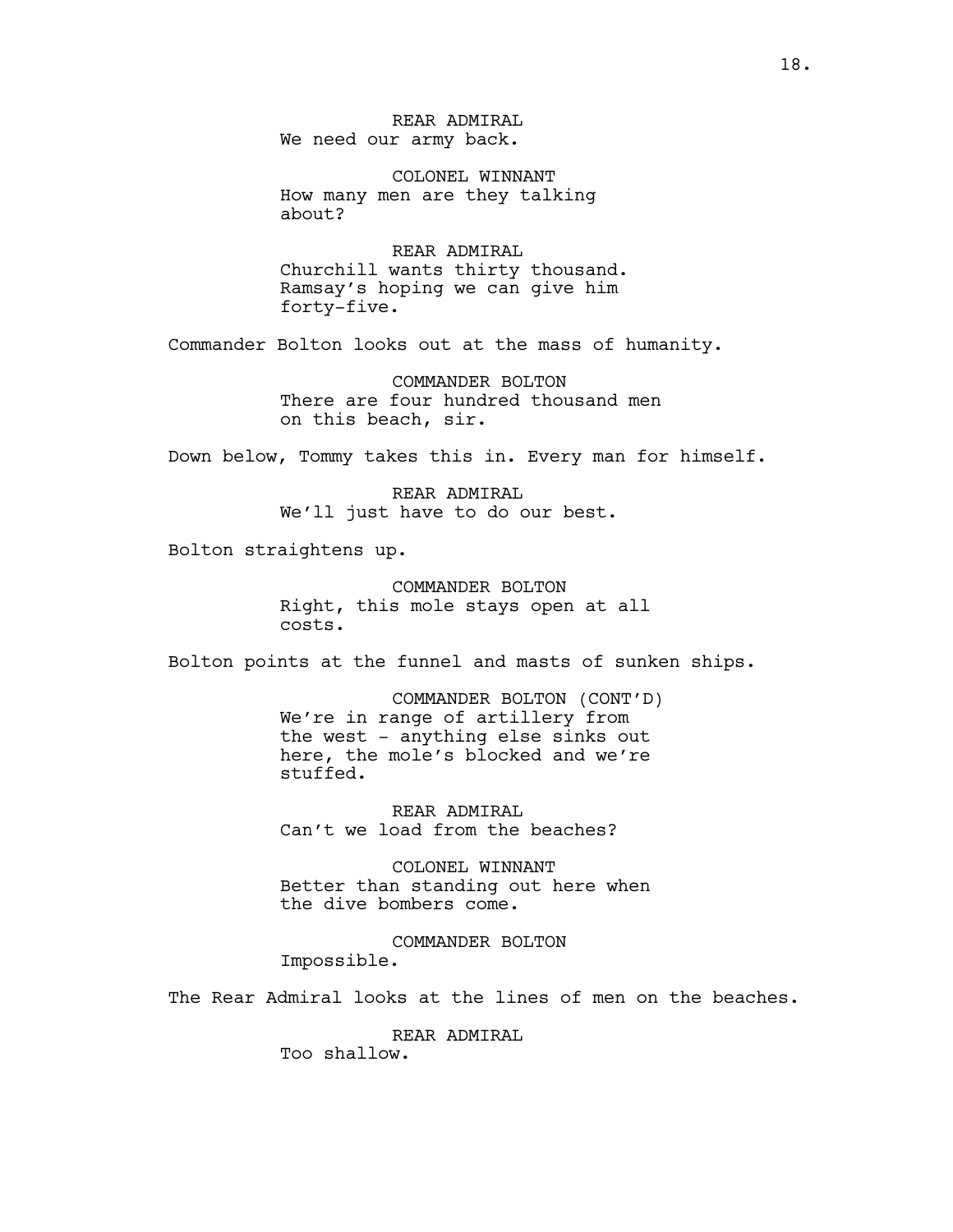REAR ADMIRAL We need our army back.

COLONEL WINNANT How many men are they talking about?

REAR ADMIRAL Churchill wants thirty thousand. Ramsay's hoping we can give him forty-five.

Commander Bolton looks out at the mass of humanity.

COMMANDER BOLTON There are four hundred thousand men on this beach, sir.

Down below, Tommy takes this in. Every man for himself.

REAR ADMIRAL We'll just have to do our best.

Bolton straightens up.

COMMANDER BOLTON Right, this mole stays open at all costs.

Bolton points at the funnel and masts of sunken ships.

COMMANDER BOLTON (CONT'D) We're in range of artillery from the west - anything else sinks out here, the mole's blocked and we're stuffed.

REAR ADMIRAL Can't we load from the beaches?

COLONEL WINNANT Better than standing out here when the dive bombers come.

COMMANDER BOLTON Impossible.

The Rear Admiral looks at the lines of men on the beaches.

REAR ADMIRAL Too shallow.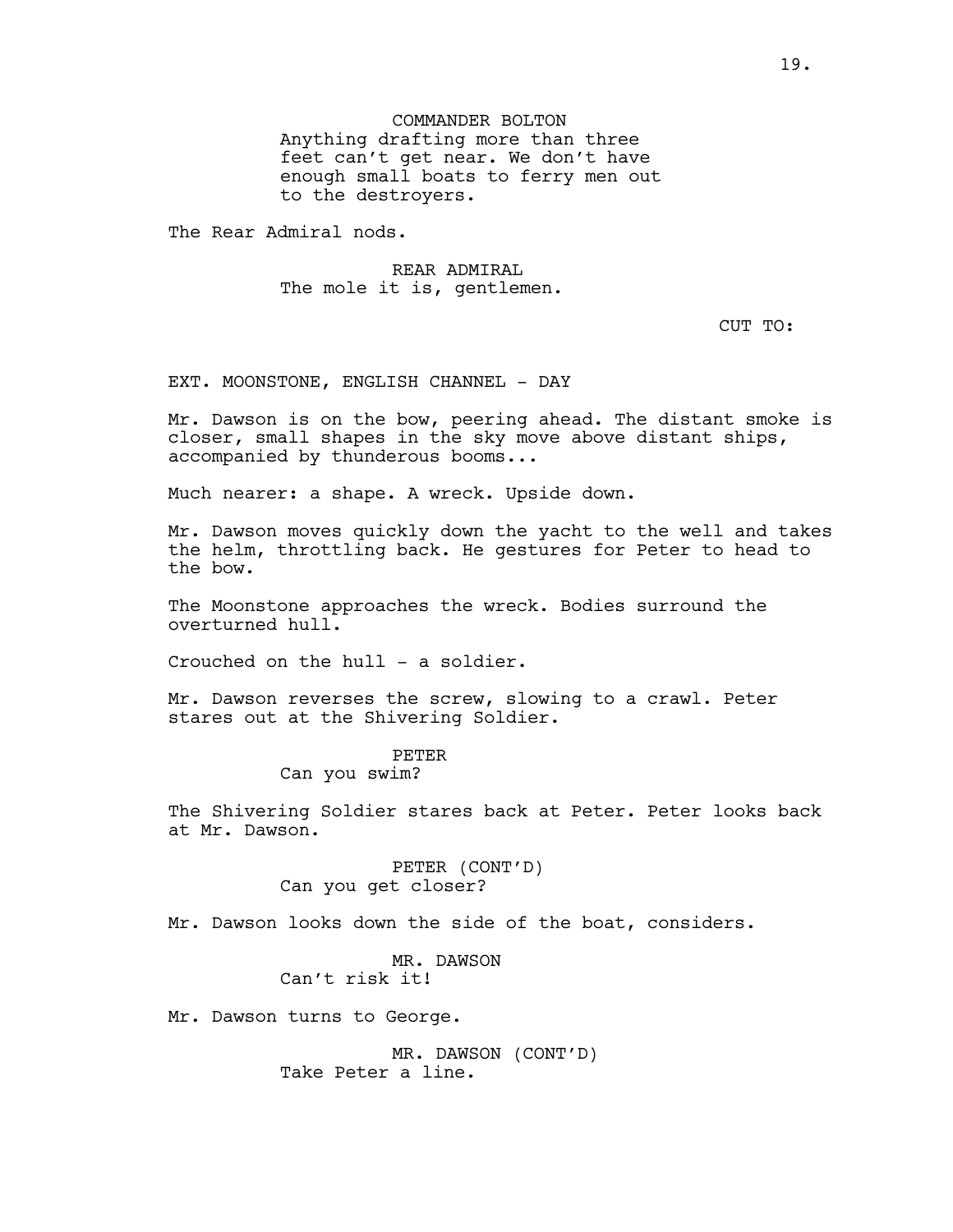COMMANDER BOLTON Anything drafting more than three feet can't get near. We don't have enough small boats to ferry men out to the destroyers.

The Rear Admiral nods.

REAR ADMIRAL The mole it is, gentlemen.

# CUT TO:

EXT. MOONSTONE, ENGLISH CHANNEL - DAY

Mr. Dawson is on the bow, peering ahead. The distant smoke is closer, small shapes in the sky move above distant ships, accompanied by thunderous booms...

Much nearer: a shape. A wreck. Upside down.

Mr. Dawson moves quickly down the yacht to the well and takes the helm, throttling back. He gestures for Peter to head to the bow.

The Moonstone approaches the wreck. Bodies surround the overturned hull.

Crouched on the hull - a soldier.

Mr. Dawson reverses the screw, slowing to a crawl. Peter stares out at the Shivering Soldier.

### PETER

# Can you swim?

The Shivering Soldier stares back at Peter. Peter looks back at Mr. Dawson.

> PETER (CONT'D) Can you get closer?

Mr. Dawson looks down the side of the boat, considers.

MR. DAWSON Can't risk it!

Mr. Dawson turns to George.

MR. DAWSON (CONT'D) Take Peter a line.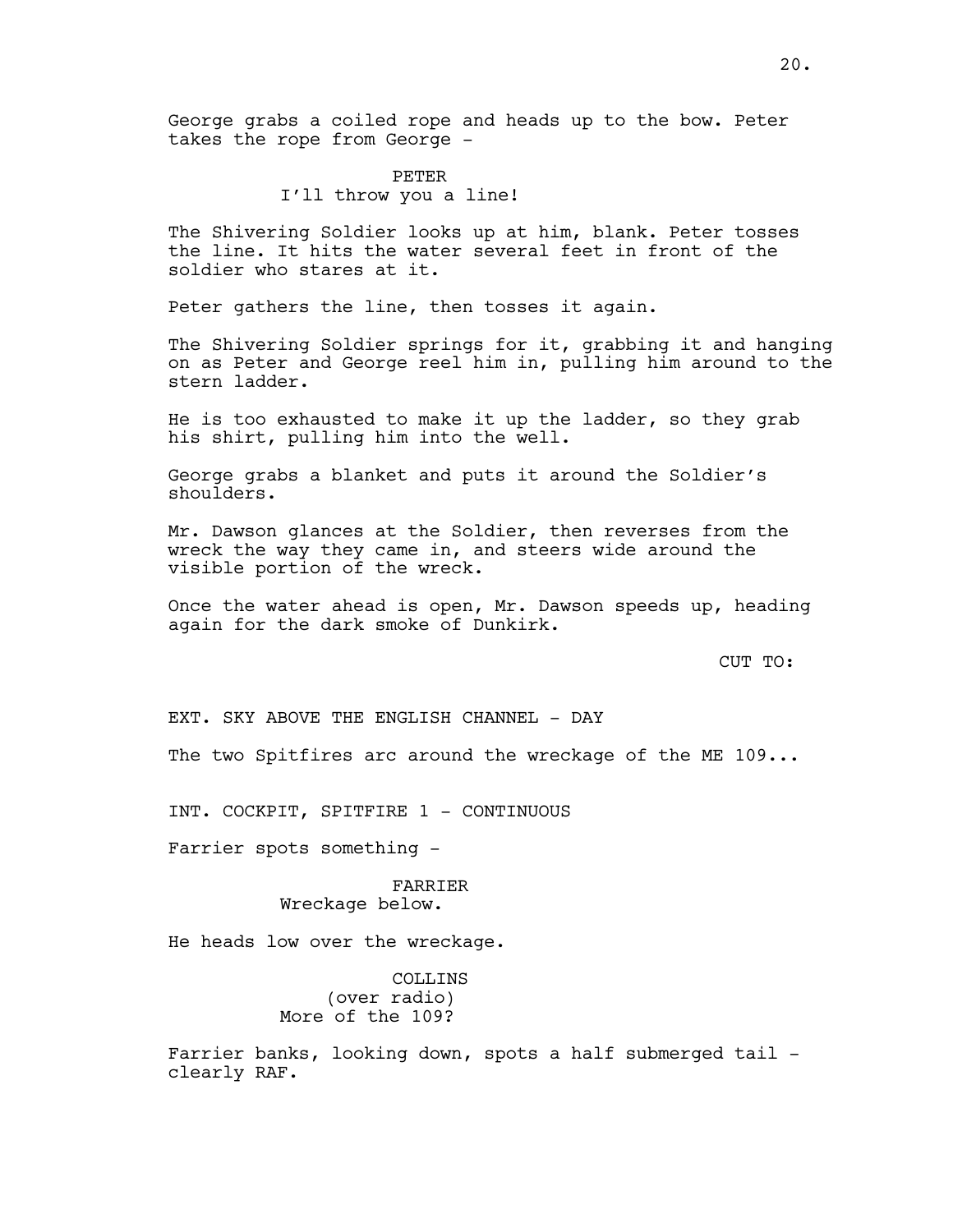George grabs a coiled rope and heads up to the bow. Peter takes the rope from George -

> PETER I'll throw you a line!

The Shivering Soldier looks up at him, blank. Peter tosses the line. It hits the water several feet in front of the soldier who stares at it.

Peter gathers the line, then tosses it again.

The Shivering Soldier springs for it, grabbing it and hanging on as Peter and George reel him in, pulling him around to the stern ladder.

He is too exhausted to make it up the ladder, so they grab his shirt, pulling him into the well.

George grabs a blanket and puts it around the Soldier's shoulders.

Mr. Dawson glances at the Soldier, then reverses from the wreck the way they came in, and steers wide around the visible portion of the wreck.

Once the water ahead is open, Mr. Dawson speeds up, heading again for the dark smoke of Dunkirk.

CUT TO:

EXT. SKY ABOVE THE ENGLISH CHANNEL - DAY

The two Spitfires arc around the wreckage of the ME 109...

INT. COCKPIT, SPITFIRE 1 - CONTINUOUS

Farrier spots something -

## FARRIER Wreckage below.

He heads low over the wreckage.

COLLINS (over radio) More of the 109?

Farrier banks, looking down, spots a half submerged tail clearly RAF.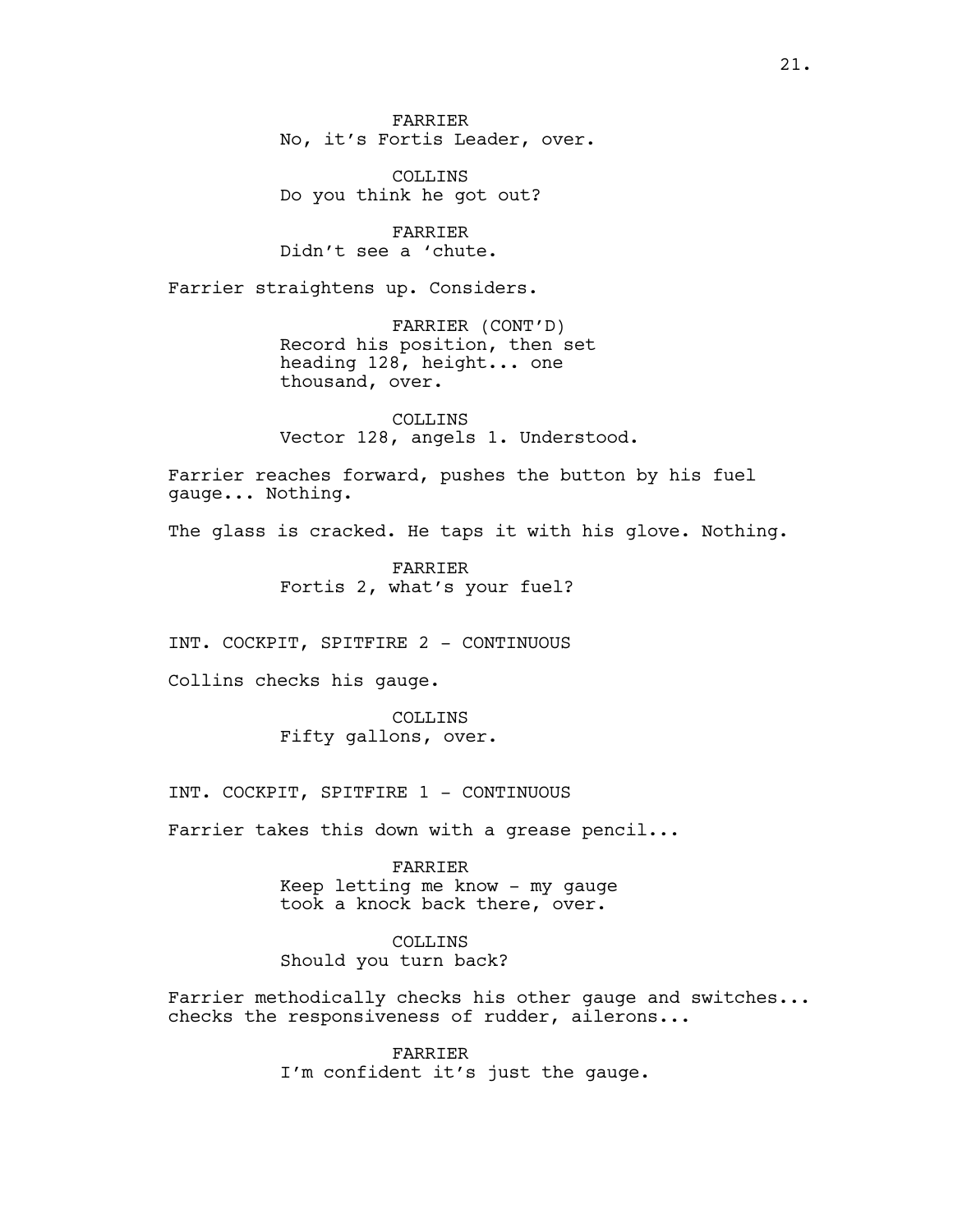FARRIER No, it's Fortis Leader, over.

COLLINS Do you think he got out?

FARRIER Didn't see a 'chute.

Farrier straightens up. Considers.

FARRIER (CONT'D) Record his position, then set heading 128, height... one thousand, over.

COLLINS Vector 128, angels 1. Understood.

Farrier reaches forward, pushes the button by his fuel gauge... Nothing.

The glass is cracked. He taps it with his glove. Nothing.

FARRIER Fortis 2, what's your fuel?

INT. COCKPIT, SPITFIRE 2 - CONTINUOUS

Collins checks his gauge.

COLLINS Fifty gallons, over.

INT. COCKPIT, SPITFIRE 1 - CONTINUOUS

Farrier takes this down with a grease pencil...

FARRIER Keep letting me know - my gauge took a knock back there, over.

COLLINS Should you turn back?

Farrier methodically checks his other gauge and switches... checks the responsiveness of rudder, ailerons...

> FARRIER I'm confident it's just the gauge.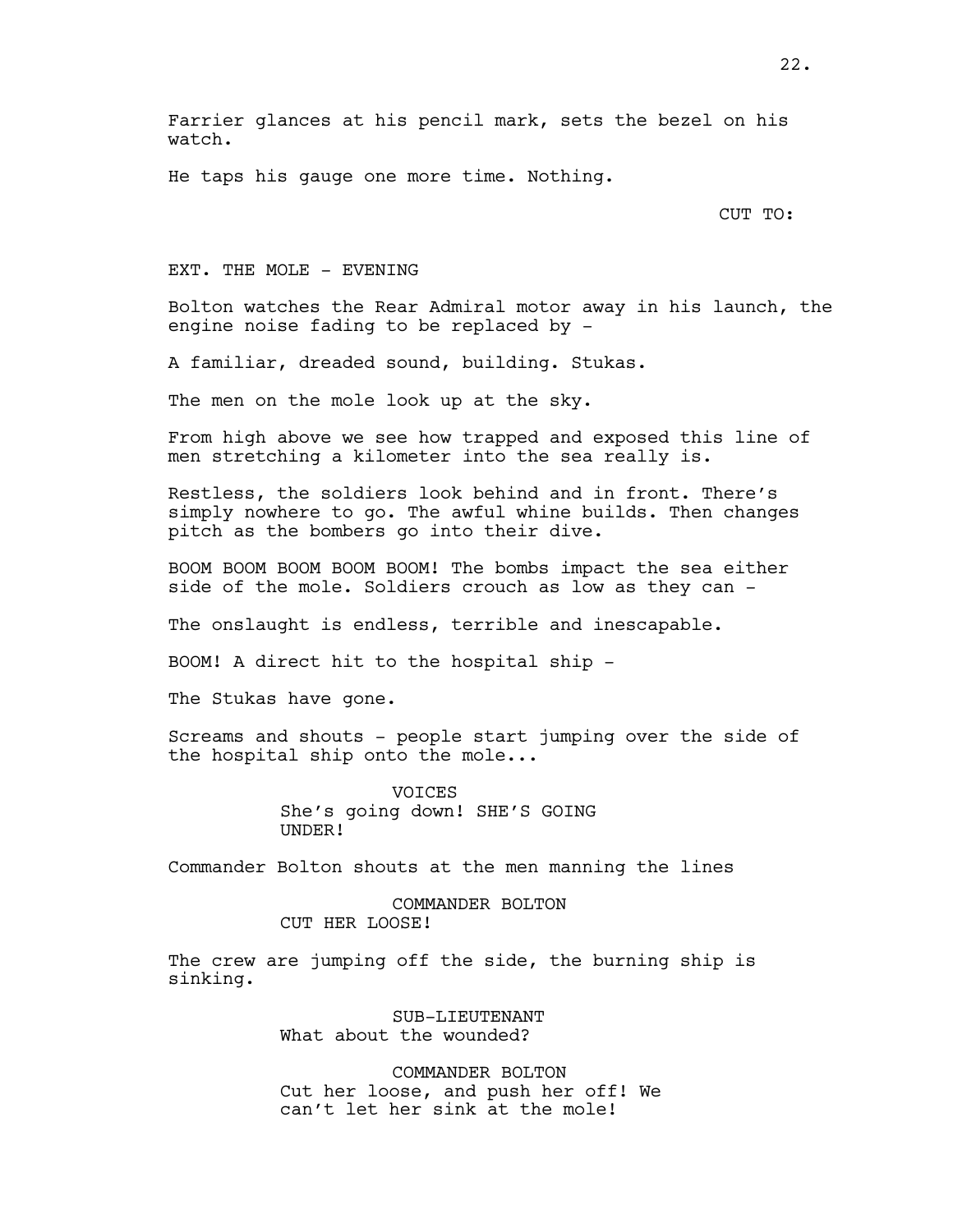He taps his gauge one more time. Nothing.

#### CUT TO:

#### EXT. THE MOLE - EVENING

Bolton watches the Rear Admiral motor away in his launch, the engine noise fading to be replaced by -

A familiar, dreaded sound, building. Stukas.

The men on the mole look up at the sky.

From high above we see how trapped and exposed this line of men stretching a kilometer into the sea really is.

Restless, the soldiers look behind and in front. There's simply nowhere to go. The awful whine builds. Then changes pitch as the bombers go into their dive.

BOOM BOOM BOOM BOOM BOOM! The bombs impact the sea either side of the mole. Soldiers crouch as low as they can -

The onslaught is endless, terrible and inescapable.

BOOM! A direct hit to the hospital ship -

The Stukas have gone.

Screams and shouts - people start jumping over the side of the hospital ship onto the mole...

> **VOTCES** She's going down! SHE'S GOING UNDER!

Commander Bolton shouts at the men manning the lines

### COMMANDER BOLTON CUT HER LOOSE!

The crew are jumping off the side, the burning ship is sinking.

> SUB-LIEUTENANT What about the wounded?

COMMANDER BOLTON Cut her loose, and push her off! We can't let her sink at the mole!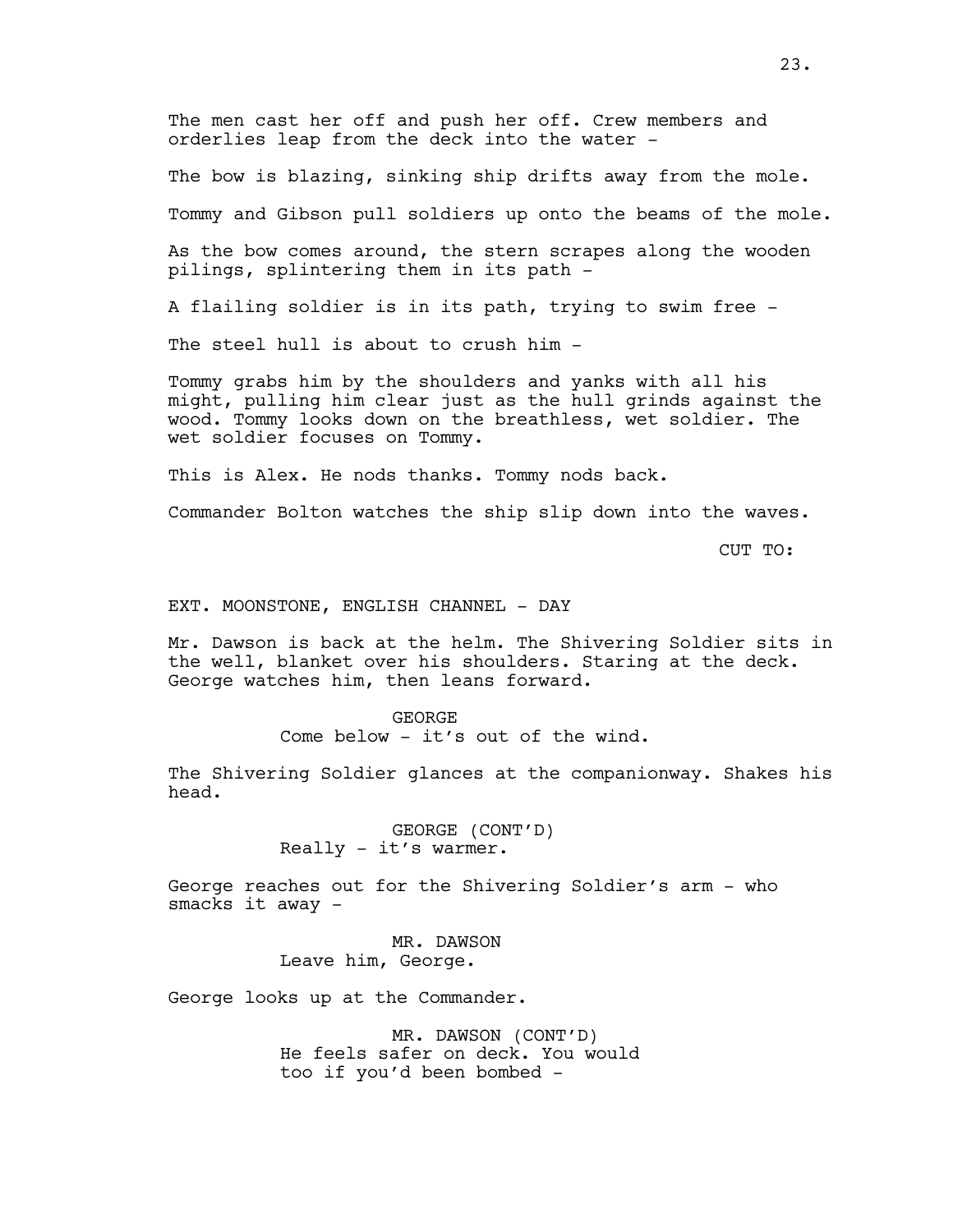The men cast her off and push her off. Crew members and orderlies leap from the deck into the water -

The bow is blazing, sinking ship drifts away from the mole.

Tommy and Gibson pull soldiers up onto the beams of the mole.

As the bow comes around, the stern scrapes along the wooden pilings, splintering them in its path -

A flailing soldier is in its path, trying to swim free -

The steel hull is about to crush him -

Tommy grabs him by the shoulders and yanks with all his might, pulling him clear just as the hull grinds against the wood. Tommy looks down on the breathless, wet soldier. The wet soldier focuses on Tommy.

This is Alex. He nods thanks. Tommy nods back.

Commander Bolton watches the ship slip down into the waves.

CUT TO:

### EXT. MOONSTONE, ENGLISH CHANNEL - DAY

Mr. Dawson is back at the helm. The Shivering Soldier sits in the well, blanket over his shoulders. Staring at the deck. George watches him, then leans forward.

> GEORGE Come below - it's out of the wind.

The Shivering Soldier glances at the companionway. Shakes his head.

> GEORGE (CONT'D) Really - it's warmer.

George reaches out for the Shivering Soldier's arm - who smacks it away -

> MR. DAWSON Leave him, George.

George looks up at the Commander.

MR. DAWSON (CONT'D) He feels safer on deck. You would too if you'd been bombed -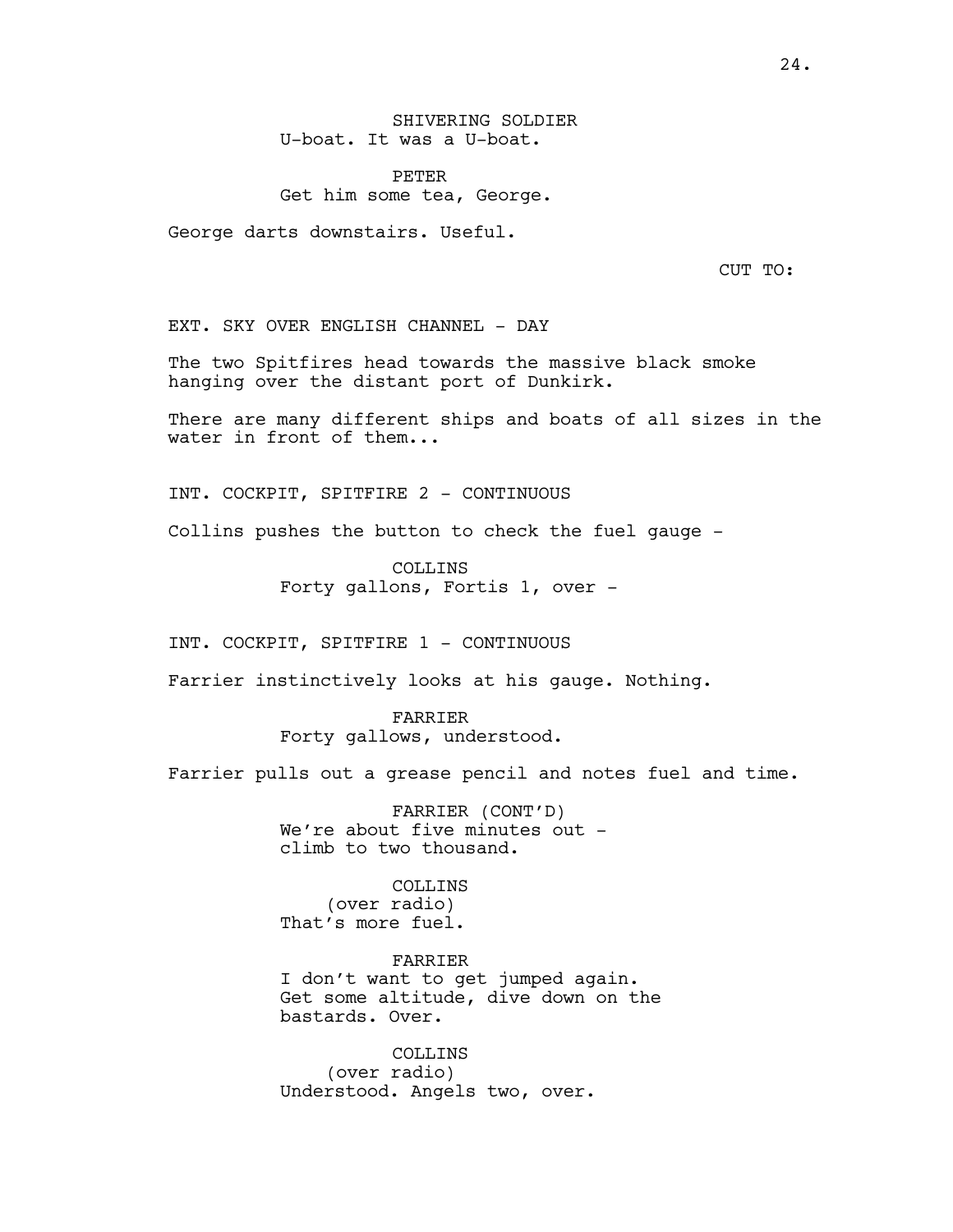PETER Get him some tea, George.

George darts downstairs. Useful.

CUT TO:

EXT. SKY OVER ENGLISH CHANNEL - DAY

The two Spitfires head towards the massive black smoke hanging over the distant port of Dunkirk.

There are many different ships and boats of all sizes in the water in front of them...

INT. COCKPIT, SPITFIRE 2 - CONTINUOUS

Collins pushes the button to check the fuel gauge -

COLLINS Forty gallons, Fortis 1, over -

INT. COCKPIT, SPITFIRE 1 - CONTINUOUS

Farrier instinctively looks at his gauge. Nothing.

FARRIER Forty gallows, understood.

Farrier pulls out a grease pencil and notes fuel and time.

FARRIER (CONT'D) We're about five minutes out climb to two thousand.

COLLINS (over radio) That's more fuel.

FARRIER I don't want to get jumped again. Get some altitude, dive down on the bastards. Over.

COLLINS (over radio) Understood. Angels two, over.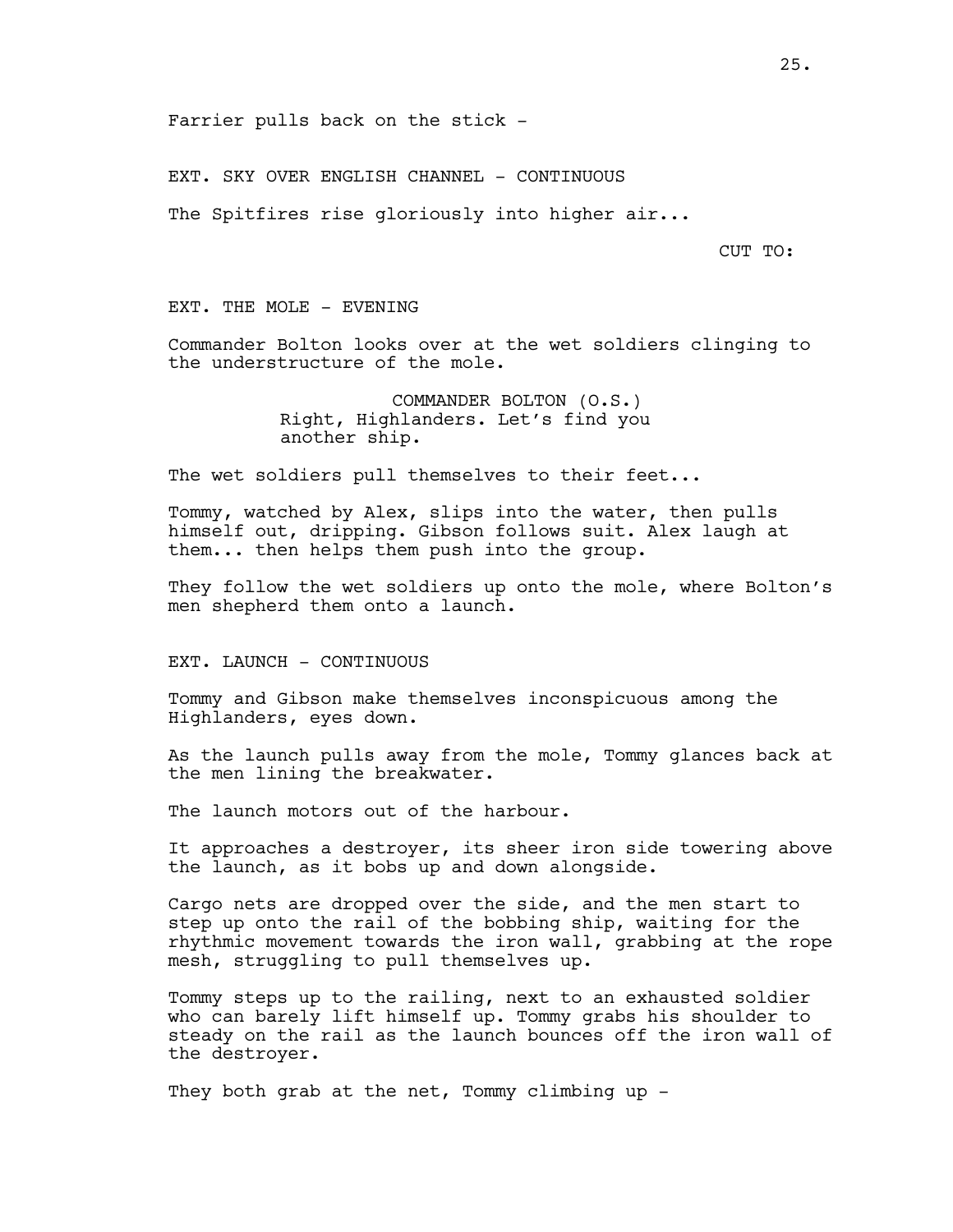Farrier pulls back on the stick -

EXT. SKY OVER ENGLISH CHANNEL - CONTINUOUS

The Spitfires rise gloriously into higher air...

CUT TO:

EXT. THE MOLE - EVENING

Commander Bolton looks over at the wet soldiers clinging to the understructure of the mole.

> COMMANDER BOLTON (O.S.) Right, Highlanders. Let's find you another ship.

The wet soldiers pull themselves to their feet...

Tommy, watched by Alex, slips into the water, then pulls himself out, dripping. Gibson follows suit. Alex laugh at them... then helps them push into the group.

They follow the wet soldiers up onto the mole, where Bolton's men shepherd them onto a launch.

EXT. LAUNCH - CONTINUOUS

Tommy and Gibson make themselves inconspicuous among the Highlanders, eyes down.

As the launch pulls away from the mole, Tommy glances back at the men lining the breakwater.

The launch motors out of the harbour.

It approaches a destroyer, its sheer iron side towering above the launch, as it bobs up and down alongside.

Cargo nets are dropped over the side, and the men start to step up onto the rail of the bobbing ship, waiting for the rhythmic movement towards the iron wall, grabbing at the rope mesh, struggling to pull themselves up.

Tommy steps up to the railing, next to an exhausted soldier who can barely lift himself up. Tommy grabs his shoulder to steady on the rail as the launch bounces off the iron wall of the destroyer.

They both grab at the net, Tommy climbing up -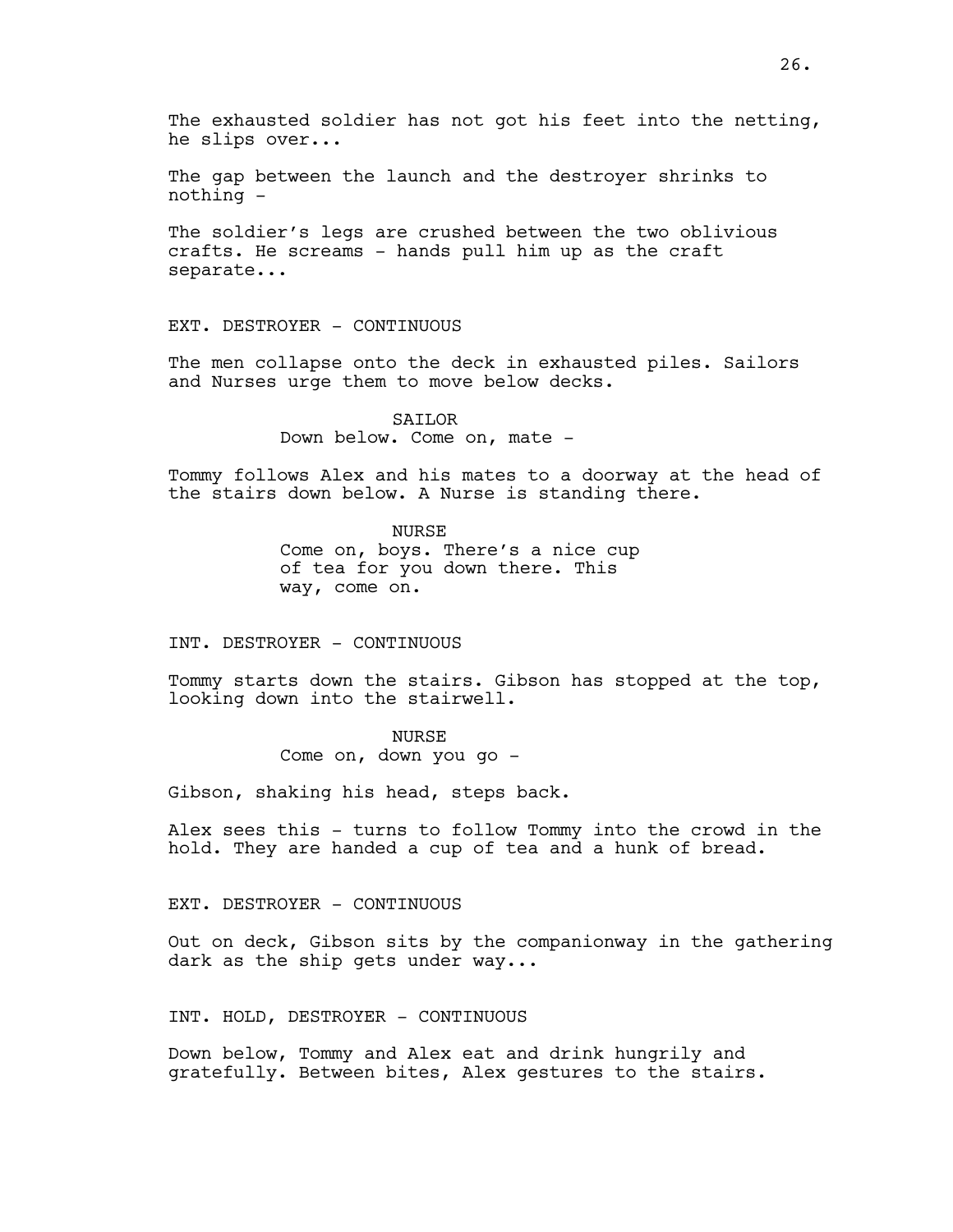The gap between the launch and the destroyer shrinks to nothing -

The soldier's legs are crushed between the two oblivious crafts. He screams - hands pull him up as the craft separate...

EXT. DESTROYER - CONTINUOUS

The men collapse onto the deck in exhausted piles. Sailors and Nurses urge them to move below decks.

> SAILOR Down below. Come on, mate -

Tommy follows Alex and his mates to a doorway at the head of the stairs down below. A Nurse is standing there.

> **NURSE** Come on, boys. There's a nice cup of tea for you down there. This way, come on.

INT. DESTROYER - CONTINUOUS

Tommy starts down the stairs. Gibson has stopped at the top, looking down into the stairwell.

## **NURSE**

Come on, down you go -

Gibson, shaking his head, steps back.

Alex sees this - turns to follow Tommy into the crowd in the hold. They are handed a cup of tea and a hunk of bread.

EXT. DESTROYER - CONTINUOUS

Out on deck, Gibson sits by the companionway in the gathering dark as the ship gets under way...

INT. HOLD, DESTROYER - CONTINUOUS

Down below, Tommy and Alex eat and drink hungrily and gratefully. Between bites, Alex gestures to the stairs.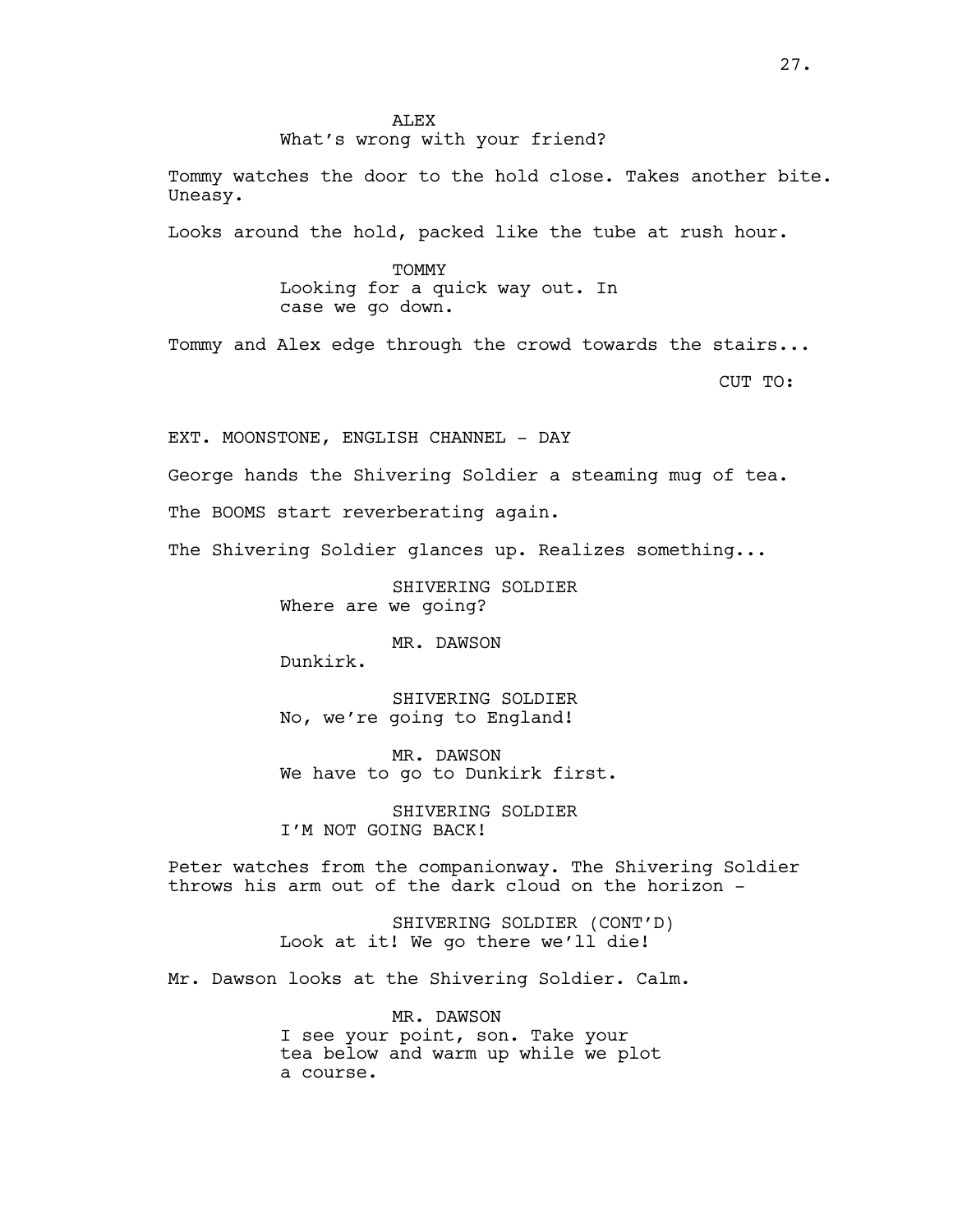Tommy watches the door to the hold close. Takes another bite. Uneasy.

Looks around the hold, packed like the tube at rush hour.

TOMMY Looking for a quick way out. In case we go down.

Tommy and Alex edge through the crowd towards the stairs...

CUT TO:

EXT. MOONSTONE, ENGLISH CHANNEL - DAY

George hands the Shivering Soldier a steaming mug of tea.

The BOOMS start reverberating again.

The Shivering Soldier glances up. Realizes something...

SHIVERING SOLDIER Where are we going?

MR. DAWSON

Dunkirk.

SHIVERING SOLDIER No, we're going to England!

MR. DAWSON We have to go to Dunkirk first.

SHIVERING SOLDIER I'M NOT GOING BACK!

Peter watches from the companionway. The Shivering Soldier throws his arm out of the dark cloud on the horizon -

> SHIVERING SOLDIER (CONT'D) Look at it! We go there we'll die!

Mr. Dawson looks at the Shivering Soldier. Calm.

MR. DAWSON I see your point, son. Take your tea below and warm up while we plot a course.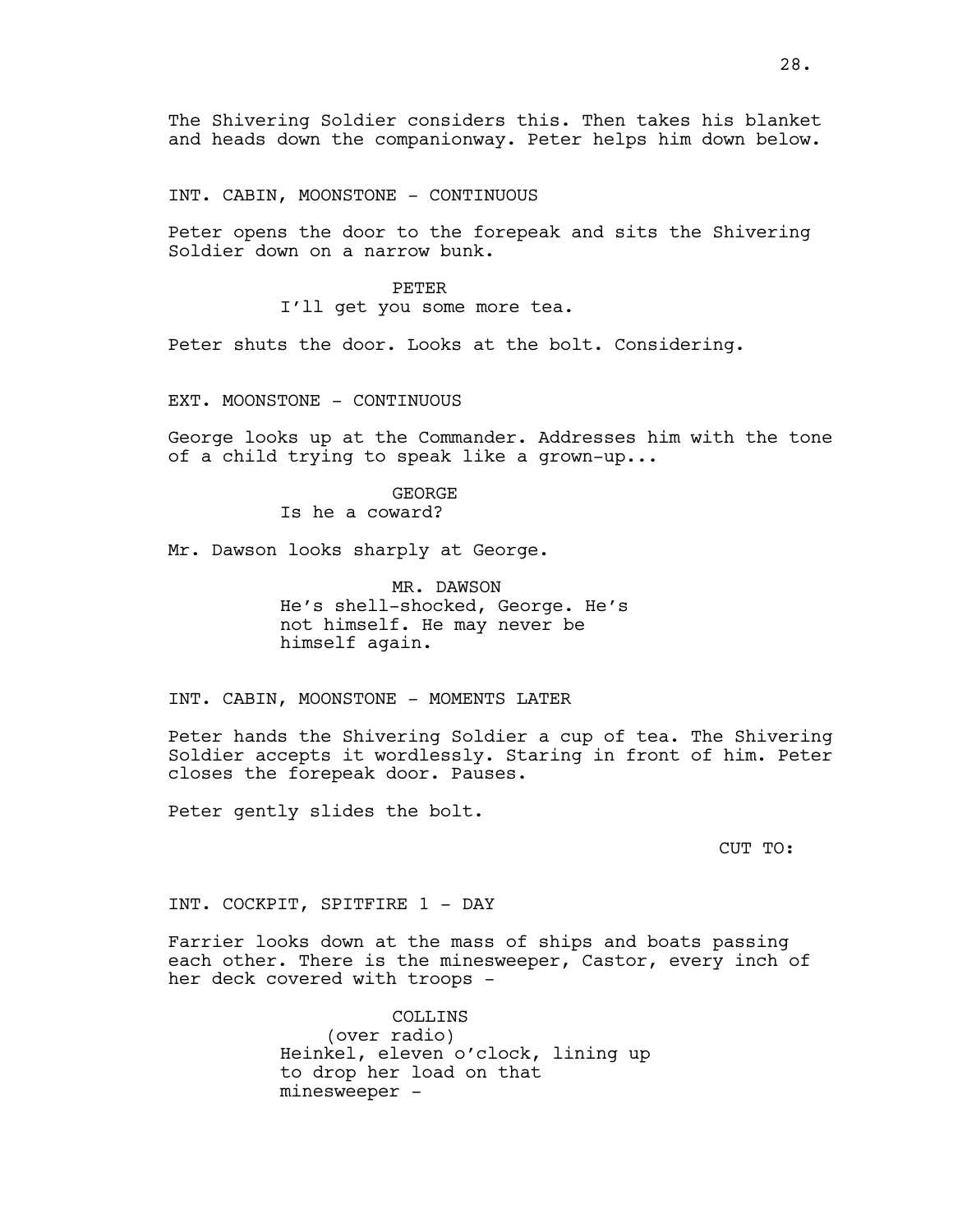The Shivering Soldier considers this. Then takes his blanket and heads down the companionway. Peter helps him down below.

INT. CABIN, MOONSTONE - CONTINUOUS

Peter opens the door to the forepeak and sits the Shivering Soldier down on a narrow bunk.

> PETER I'll get you some more tea.

Peter shuts the door. Looks at the bolt. Considering.

EXT. MOONSTONE - CONTINUOUS

George looks up at the Commander. Addresses him with the tone of a child trying to speak like a grown-up...

> GEORGE Is he a coward?

Mr. Dawson looks sharply at George.

MR. DAWSON He's shell-shocked, George. He's not himself. He may never be himself again.

INT. CABIN, MOONSTONE - MOMENTS LATER

Peter hands the Shivering Soldier a cup of tea. The Shivering Soldier accepts it wordlessly. Staring in front of him. Peter closes the forepeak door. Pauses.

Peter gently slides the bolt.

CUT TO:

INT. COCKPIT, SPITFIRE 1 - DAY

Farrier looks down at the mass of ships and boats passing each other. There is the minesweeper, Castor, every inch of her deck covered with troops -

> COLLINS (over radio) Heinkel, eleven o'clock, lining up to drop her load on that minesweeper -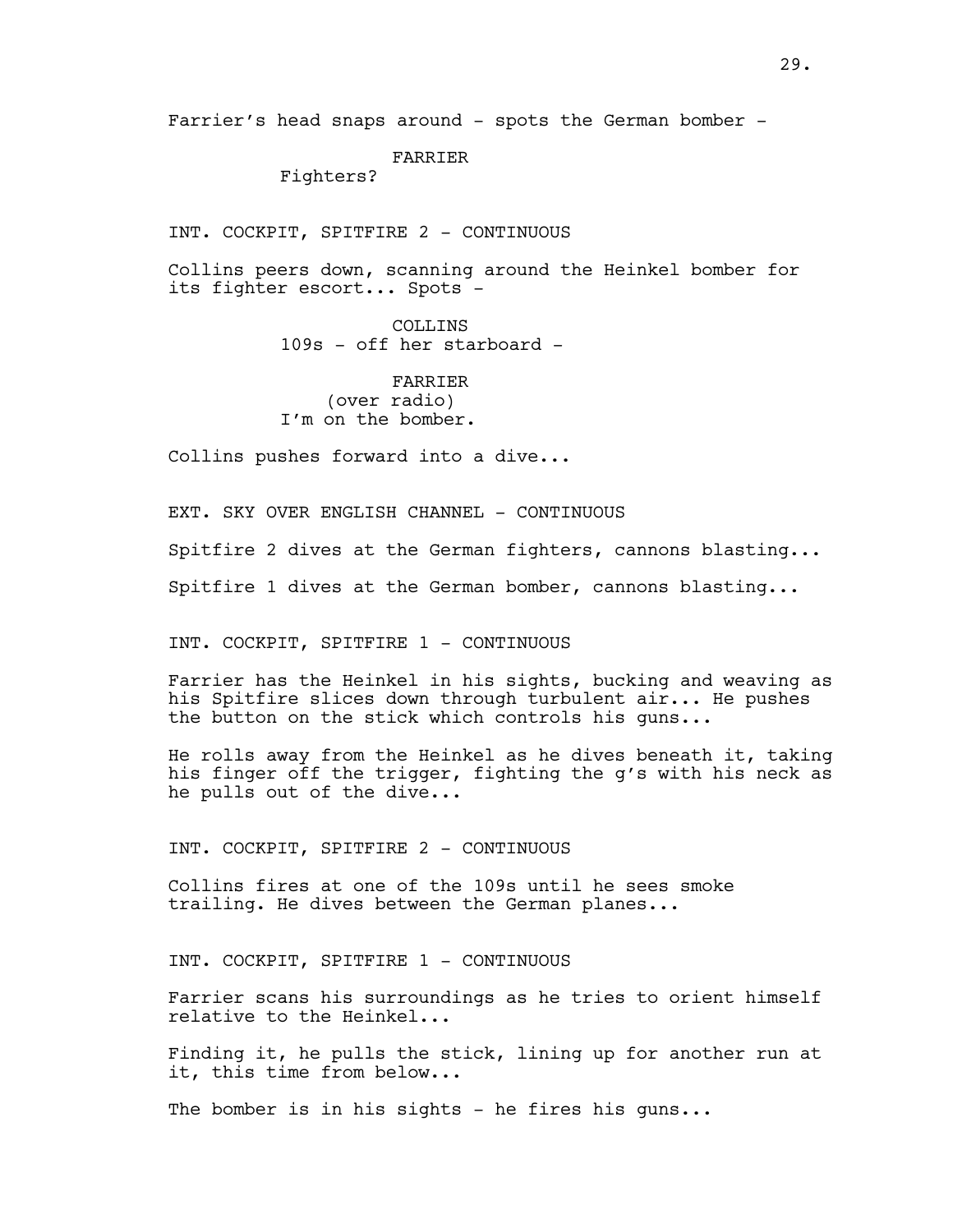Farrier's head snaps around - spots the German bomber -

## FARRIER

Fighters?

INT. COCKPIT, SPITFIRE 2 - CONTINUOUS

Collins peers down, scanning around the Heinkel bomber for its fighter escort... Spots -

> COLLINS 109s - off her starboard -

FARRIER (over radio) I'm on the bomber.

Collins pushes forward into a dive...

EXT. SKY OVER ENGLISH CHANNEL - CONTINUOUS Spitfire 2 dives at the German fighters, cannons blasting... Spitfire 1 dives at the German bomber, cannons blasting...

INT. COCKPIT, SPITFIRE 1 - CONTINUOUS

Farrier has the Heinkel in his sights, bucking and weaving as his Spitfire slices down through turbulent air... He pushes the button on the stick which controls his guns...

He rolls away from the Heinkel as he dives beneath it, taking his finger off the trigger, fighting the g's with his neck as he pulls out of the dive...

INT. COCKPIT, SPITFIRE 2 - CONTINUOUS

Collins fires at one of the 109s until he sees smoke trailing. He dives between the German planes...

INT. COCKPIT, SPITFIRE 1 - CONTINUOUS

Farrier scans his surroundings as he tries to orient himself relative to the Heinkel...

Finding it, he pulls the stick, lining up for another run at it, this time from below...

The bomber is in his sights - he fires his guns...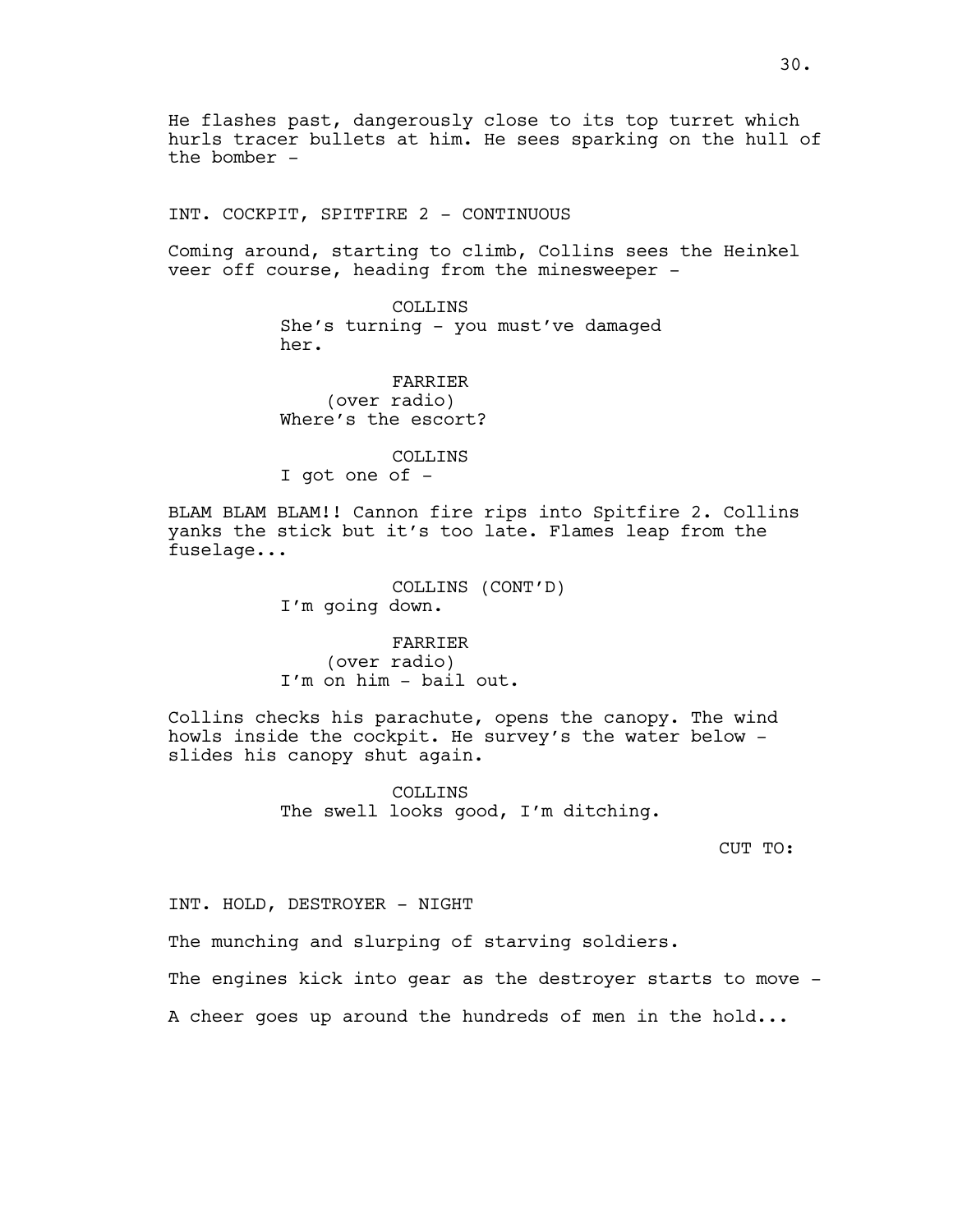He flashes past, dangerously close to its top turret which hurls tracer bullets at him. He sees sparking on the hull of the bomber -

INT. COCKPIT, SPITFIRE 2 - CONTINUOUS

Coming around, starting to climb, Collins sees the Heinkel veer off course, heading from the minesweeper -

> COLLINS She's turning - you must've damaged her.

FARRIER (over radio) Where's the escort?

COLLINS I got one of -

BLAM BLAM BLAM!! Cannon fire rips into Spitfire 2. Collins yanks the stick but it's too late. Flames leap from the fuselage...

> COLLINS (CONT'D) I'm going down.

FARRIER (over radio) I'm on him - bail out.

Collins checks his parachute, opens the canopy. The wind howls inside the cockpit. He survey's the water below slides his canopy shut again.

> COLLINS The swell looks good, I'm ditching.

> > CUT TO:

INT. HOLD, DESTROYER - NIGHT

The munching and slurping of starving soldiers.

The engines kick into gear as the destroyer starts to move -

A cheer goes up around the hundreds of men in the hold...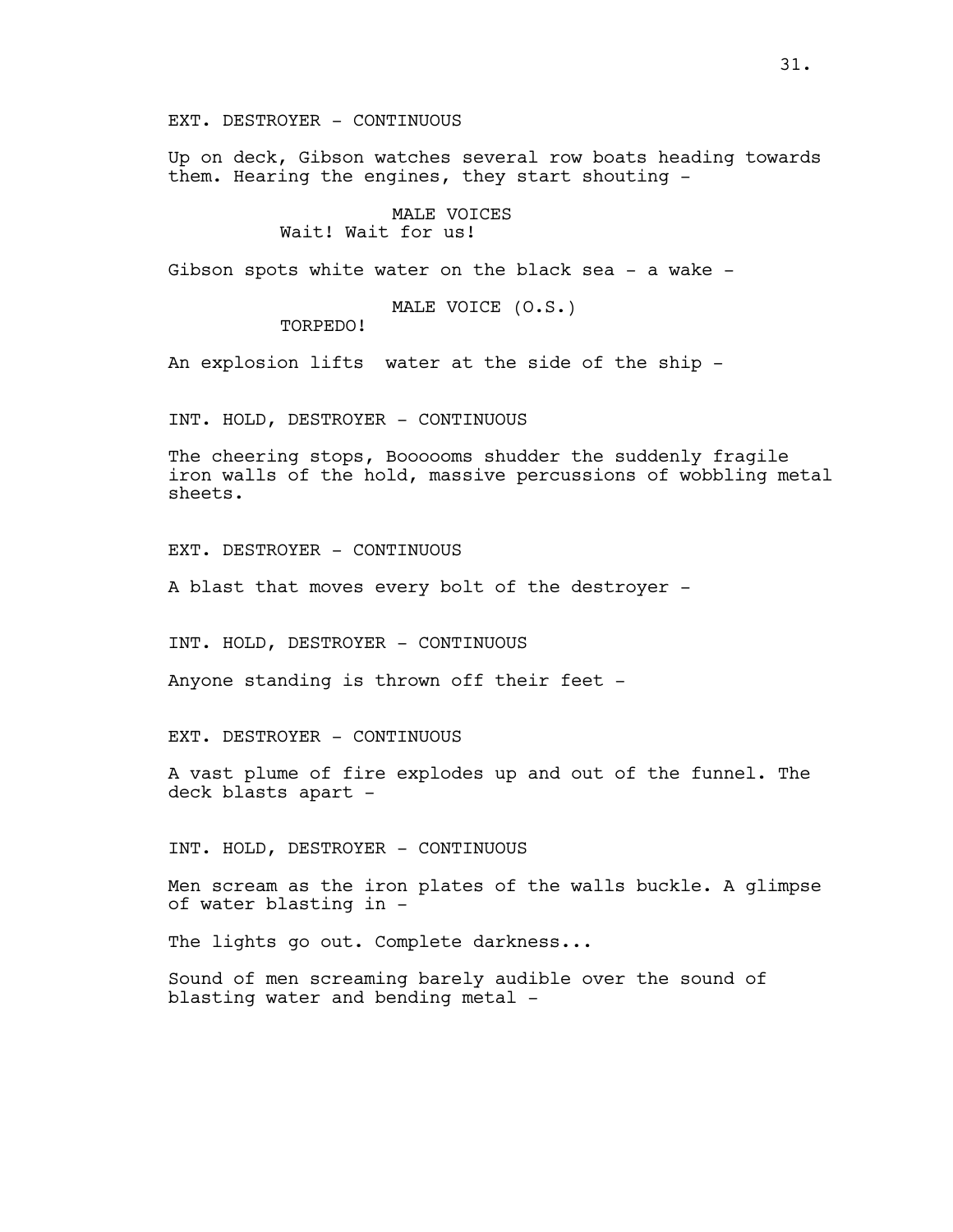EXT. DESTROYER - CONTINUOUS

Up on deck, Gibson watches several row boats heading towards them. Hearing the engines, they start shouting -

> MALE VOICES Wait! Wait for us!

Gibson spots white water on the black sea - a wake -

MALE VOICE (O.S.)

TORPEDO!

An explosion lifts water at the side of the ship -

INT. HOLD, DESTROYER - CONTINUOUS

The cheering stops, Boooooms shudder the suddenly fragile iron walls of the hold, massive percussions of wobbling metal sheets.

EXT. DESTROYER - CONTINUOUS

A blast that moves every bolt of the destroyer -

INT. HOLD, DESTROYER - CONTINUOUS

Anyone standing is thrown off their feet -

EXT. DESTROYER - CONTINUOUS

A vast plume of fire explodes up and out of the funnel. The deck blasts apart -

INT. HOLD, DESTROYER - CONTINUOUS

Men scream as the iron plates of the walls buckle. A glimpse of water blasting in -

The lights go out. Complete darkness...

Sound of men screaming barely audible over the sound of blasting water and bending metal -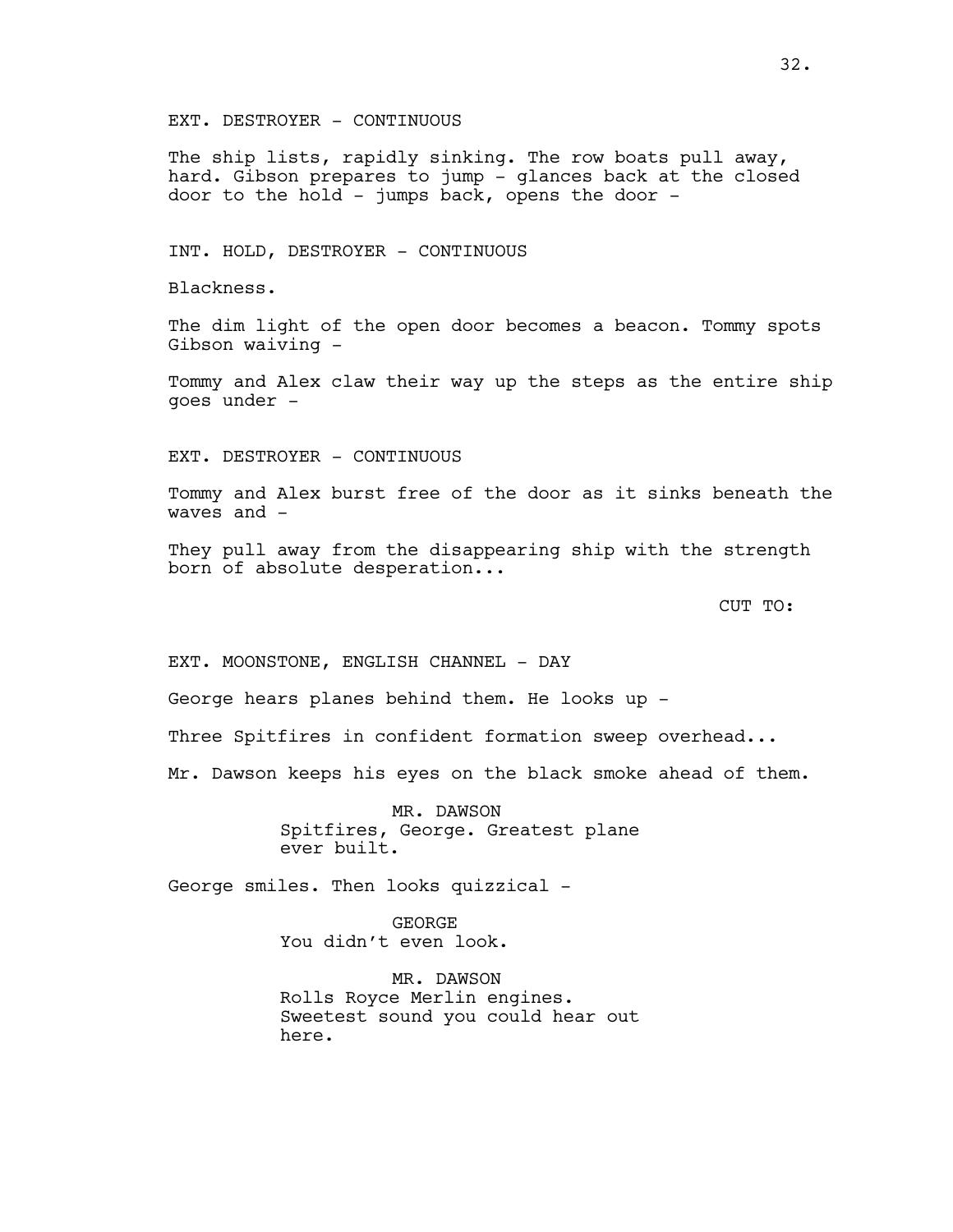EXT. DESTROYER - CONTINUOUS

The ship lists, rapidly sinking. The row boats pull away, hard. Gibson prepares to jump - glances back at the closed door to the hold - jumps back, opens the door -

INT. HOLD, DESTROYER - CONTINUOUS

Blackness.

The dim light of the open door becomes a beacon. Tommy spots Gibson waiving -

Tommy and Alex claw their way up the steps as the entire ship goes under -

EXT. DESTROYER - CONTINUOUS

Tommy and Alex burst free of the door as it sinks beneath the waves and -

They pull away from the disappearing ship with the strength born of absolute desperation...

CUT TO:

EXT. MOONSTONE, ENGLISH CHANNEL - DAY

George hears planes behind them. He looks up -

Three Spitfires in confident formation sweep overhead...

Mr. Dawson keeps his eyes on the black smoke ahead of them.

MR. DAWSON Spitfires, George. Greatest plane ever built.

George smiles. Then looks quizzical -

GEORGE You didn't even look.

MR. DAWSON Rolls Royce Merlin engines. Sweetest sound you could hear out here.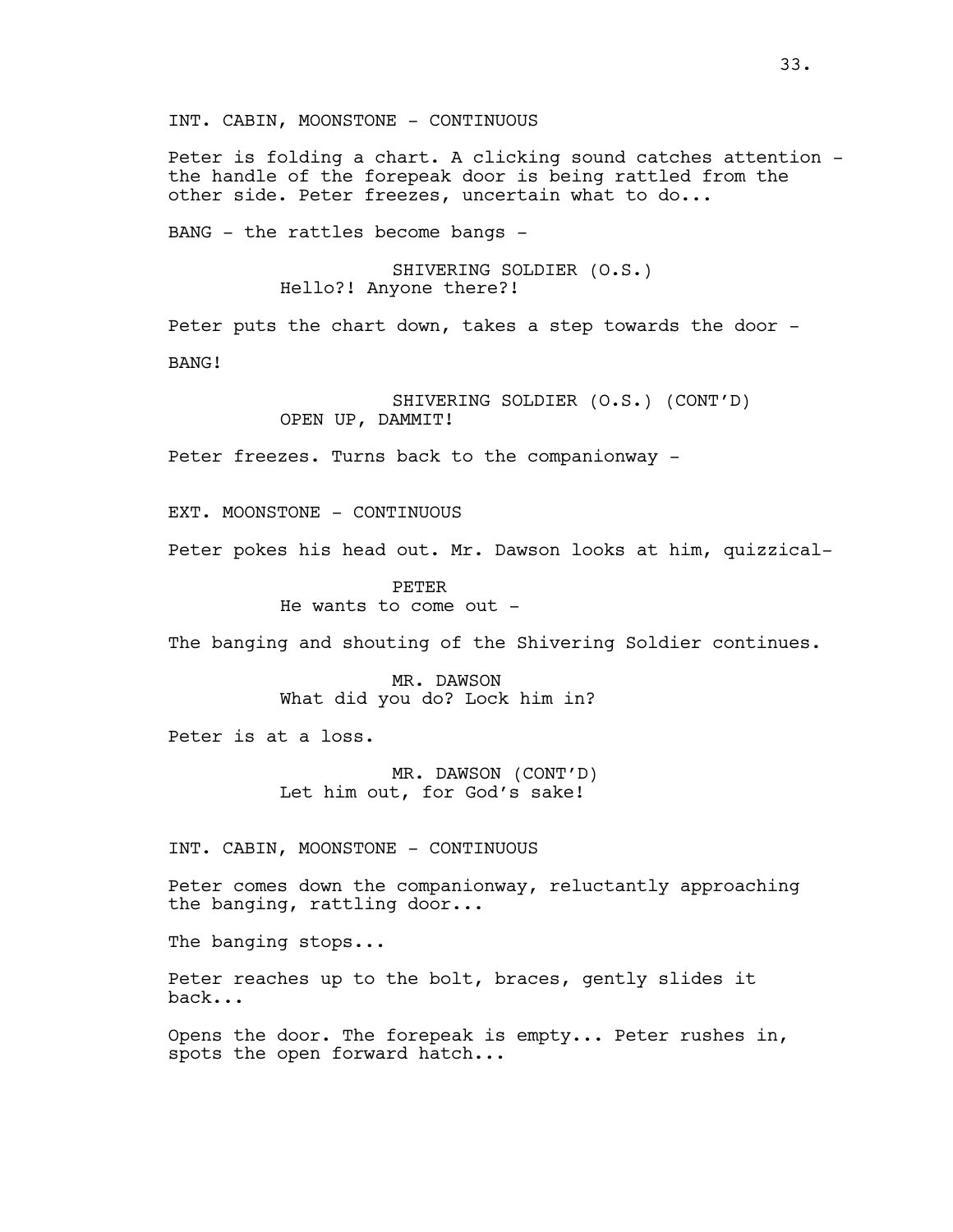INT. CABIN, MOONSTONE - CONTINUOUS

Peter is folding a chart. A clicking sound catches attention the handle of the forepeak door is being rattled from the other side. Peter freezes, uncertain what to do...

BANG - the rattles become bangs -

SHIVERING SOLDIER (O.S.) Hello?! Anyone there?!

Peter puts the chart down, takes a step towards the door -BANG!

> SHIVERING SOLDIER (O.S.) (CONT'D) OPEN UP, DAMMIT!

Peter freezes. Turns back to the companionway -

EXT. MOONSTONE - CONTINUOUS

Peter pokes his head out. Mr. Dawson looks at him, quizzical-

PETER He wants to come out -

The banging and shouting of the Shivering Soldier continues.

MR. DAWSON What did you do? Lock him in?

Peter is at a loss.

MR. DAWSON (CONT'D) Let him out, for God's sake!

INT. CABIN, MOONSTONE - CONTINUOUS

Peter comes down the companionway, reluctantly approaching the banging, rattling door...

The banging stops...

Peter reaches up to the bolt, braces, gently slides it back...

Opens the door. The forepeak is empty... Peter rushes in, spots the open forward hatch...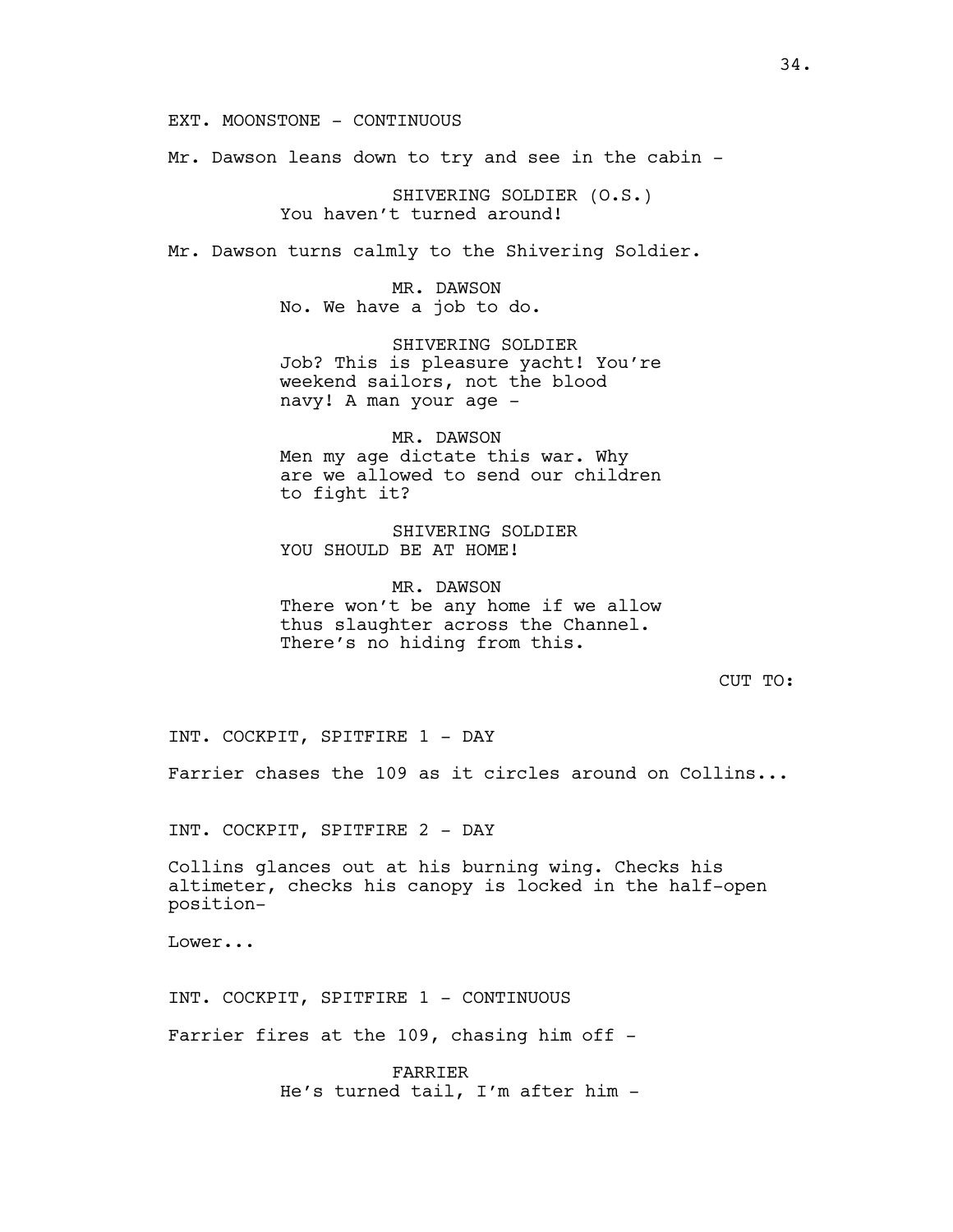EXT. MOONSTONE - CONTINUOUS

Mr. Dawson leans down to try and see in the cabin -

SHIVERING SOLDIER (O.S.) You haven't turned around!

Mr. Dawson turns calmly to the Shivering Soldier.

MR. DAWSON No. We have a job to do.

SHIVERING SOLDIER Job? This is pleasure yacht! You're weekend sailors, not the blood navy! A man your age -

MR. DAWSON Men my age dictate this war. Why are we allowed to send our children to fight it?

SHIVERING SOLDIER YOU SHOULD BE AT HOME!

MR. DAWSON There won't be any home if we allow thus slaughter across the Channel. There's no hiding from this.

CUT TO:

INT. COCKPIT, SPITFIRE 1 - DAY

Farrier chases the 109 as it circles around on Collins...

INT. COCKPIT, SPITFIRE 2 - DAY

Collins glances out at his burning wing. Checks his altimeter, checks his canopy is locked in the half-open position-

Lower...

INT. COCKPIT, SPITFIRE 1 - CONTINUOUS

Farrier fires at the 109, chasing him off -

FARRIER He's turned tail, I'm after him -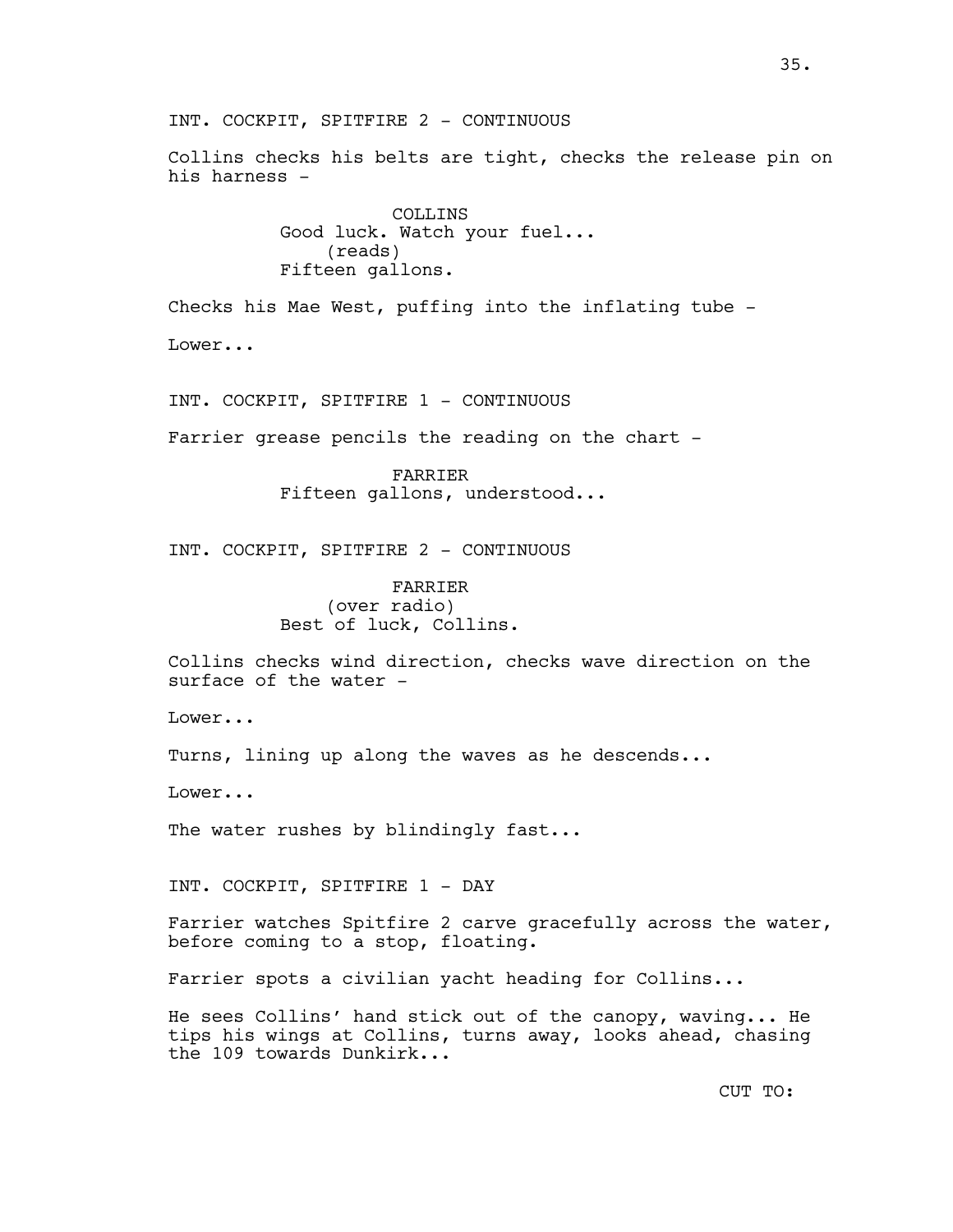Collins checks his belts are tight, checks the release pin on his harness -

> COLLINS Good luck. Watch your fuel... (reads) Fifteen gallons.

Checks his Mae West, puffing into the inflating tube -

Lower...

INT. COCKPIT, SPITFIRE 1 - CONTINUOUS

Farrier grease pencils the reading on the chart -

FARRIER Fifteen gallons, understood...

INT. COCKPIT, SPITFIRE 2 - CONTINUOUS

FARRIER (over radio) Best of luck, Collins.

Collins checks wind direction, checks wave direction on the surface of the water -

Lower...

Turns, lining up along the waves as he descends...

Lower...

The water rushes by blindingly fast...

INT. COCKPIT, SPITFIRE 1 - DAY

Farrier watches Spitfire 2 carve gracefully across the water, before coming to a stop, floating.

Farrier spots a civilian yacht heading for Collins...

He sees Collins' hand stick out of the canopy, waving... He tips his wings at Collins, turns away, looks ahead, chasing the 109 towards Dunkirk...

CUT TO: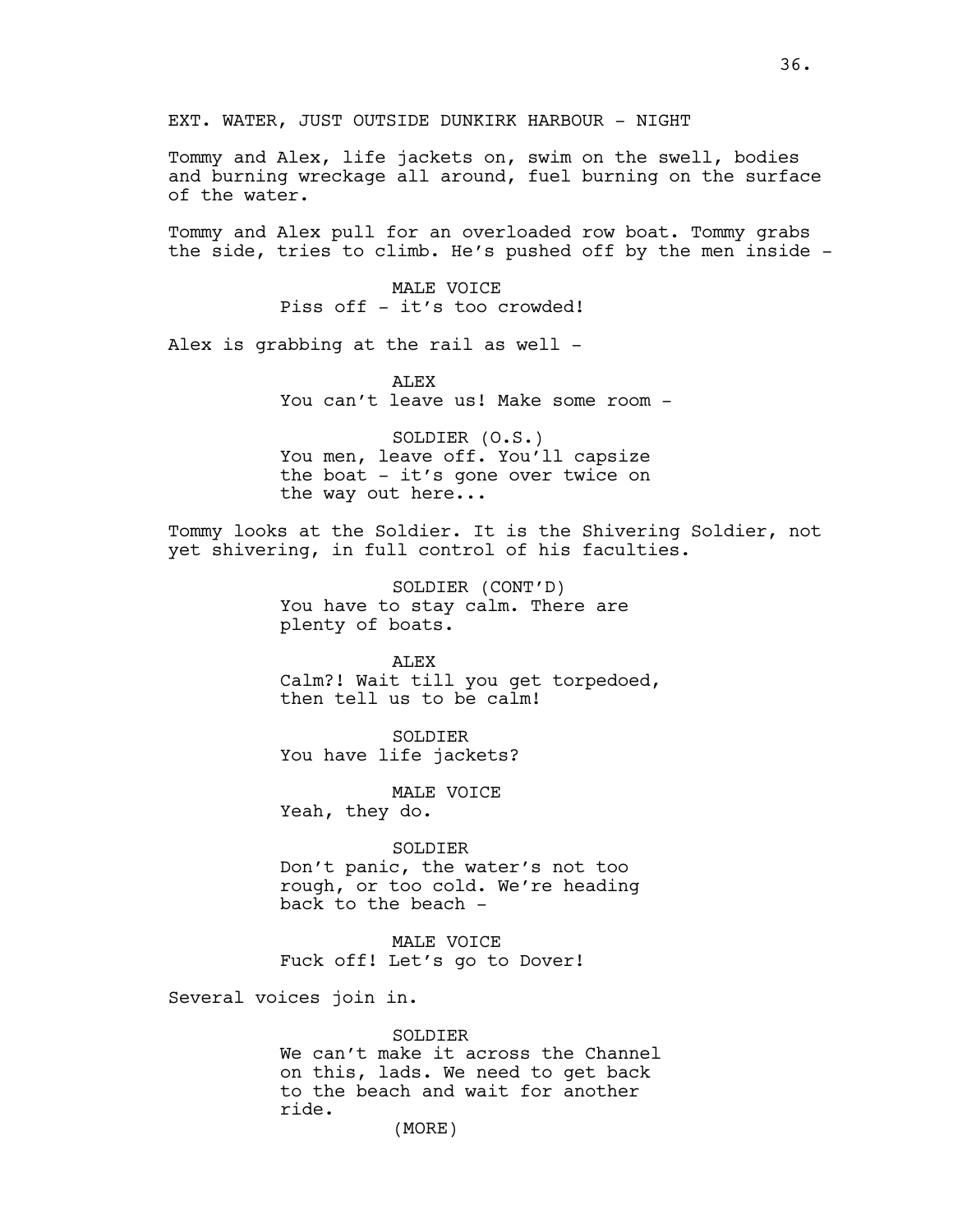EXT. WATER, JUST OUTSIDE DUNKIRK HARBOUR - NIGHT

Tommy and Alex, life jackets on, swim on the swell, bodies and burning wreckage all around, fuel burning on the surface of the water.

Tommy and Alex pull for an overloaded row boat. Tommy grabs the side, tries to climb. He's pushed off by the men inside -

> MALE VOICE Piss off - it's too crowded!

Alex is grabbing at the rail as well -

ALEX You can't leave us! Make some room -

SOLDIER (O.S.) You men, leave off. You'll capsize the boat - it's gone over twice on the way out here...

Tommy looks at the Soldier. It is the Shivering Soldier, not yet shivering, in full control of his faculties.

> SOLDIER (CONT'D) You have to stay calm. There are plenty of boats.

ALEX Calm?! Wait till you get torpedoed, then tell us to be calm!

SOLDIER You have life jackets?

MALE VOICE Yeah, they do.

SOLDIER Don't panic, the water's not too rough, or too cold. We're heading back to the beach -

MALE VOICE Fuck off! Let's go to Dover!

Several voices join in.

### SOLDIER

We can't make it across the Channel on this, lads. We need to get back to the beach and wait for another ride.

(MORE)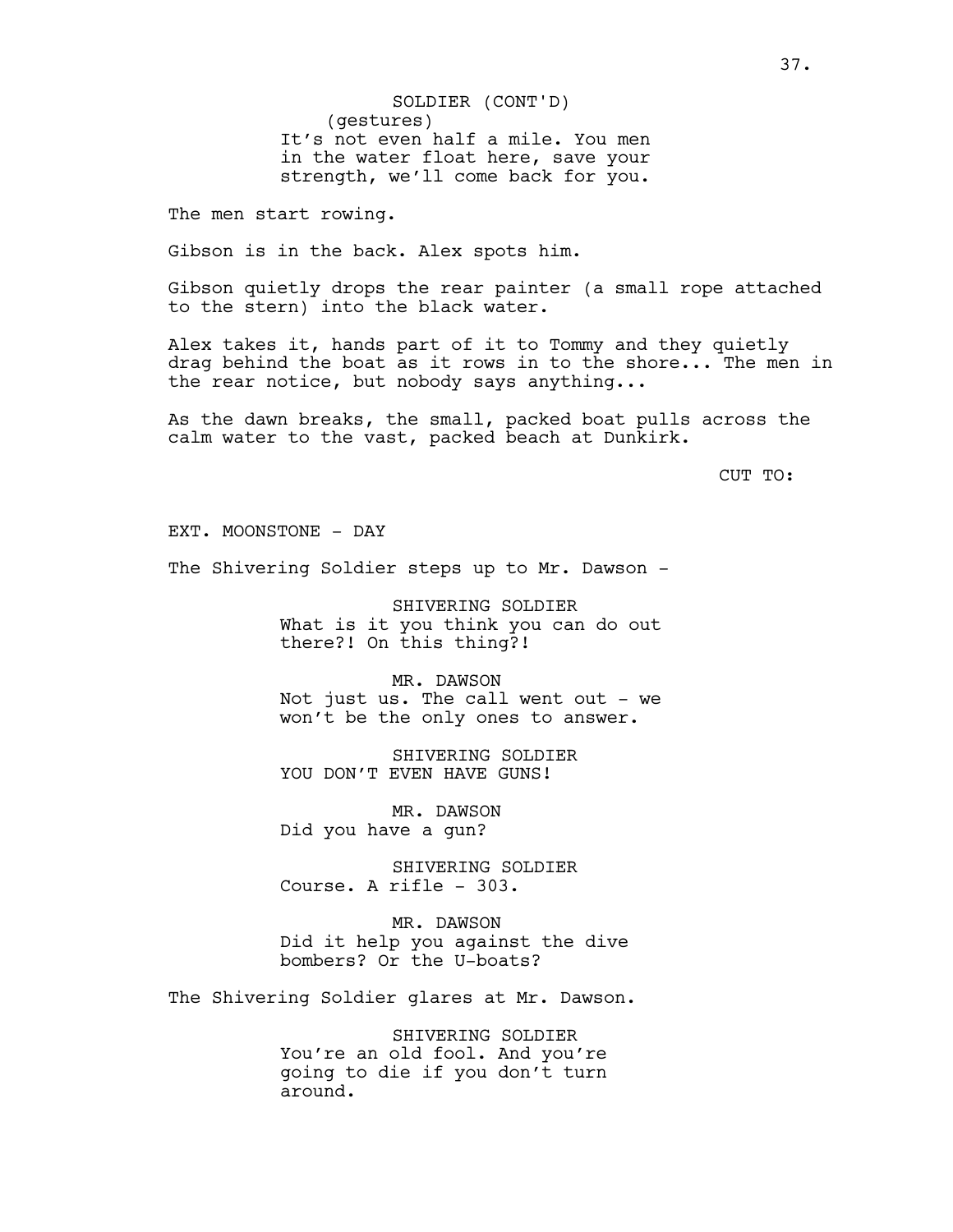(gestures) It's not even half a mile. You men in the water float here, save your strength, we'll come back for you. SOLDIER (CONT'D)

The men start rowing.

Gibson is in the back. Alex spots him.

Gibson quietly drops the rear painter (a small rope attached to the stern) into the black water.

Alex takes it, hands part of it to Tommy and they quietly drag behind the boat as it rows in to the shore... The men in the rear notice, but nobody says anything...

As the dawn breaks, the small, packed boat pulls across the calm water to the vast, packed beach at Dunkirk.

CUT TO:

EXT. MOONSTONE - DAY

The Shivering Soldier steps up to Mr. Dawson -

SHIVERING SOLDIER What is it you think you can do out there?! On this thing?!

MR. DAWSON Not just us. The call went out - we won't be the only ones to answer.

SHIVERING SOLDIER YOU DON'T EVEN HAVE GUNS!

MR. DAWSON Did you have a gun?

SHIVERING SOLDIER Course. A rifle - 303.

MR. DAWSON Did it help you against the dive bombers? Or the U-boats?

The Shivering Soldier glares at Mr. Dawson.

SHIVERING SOLDIER You're an old fool. And you're going to die if you don't turn around.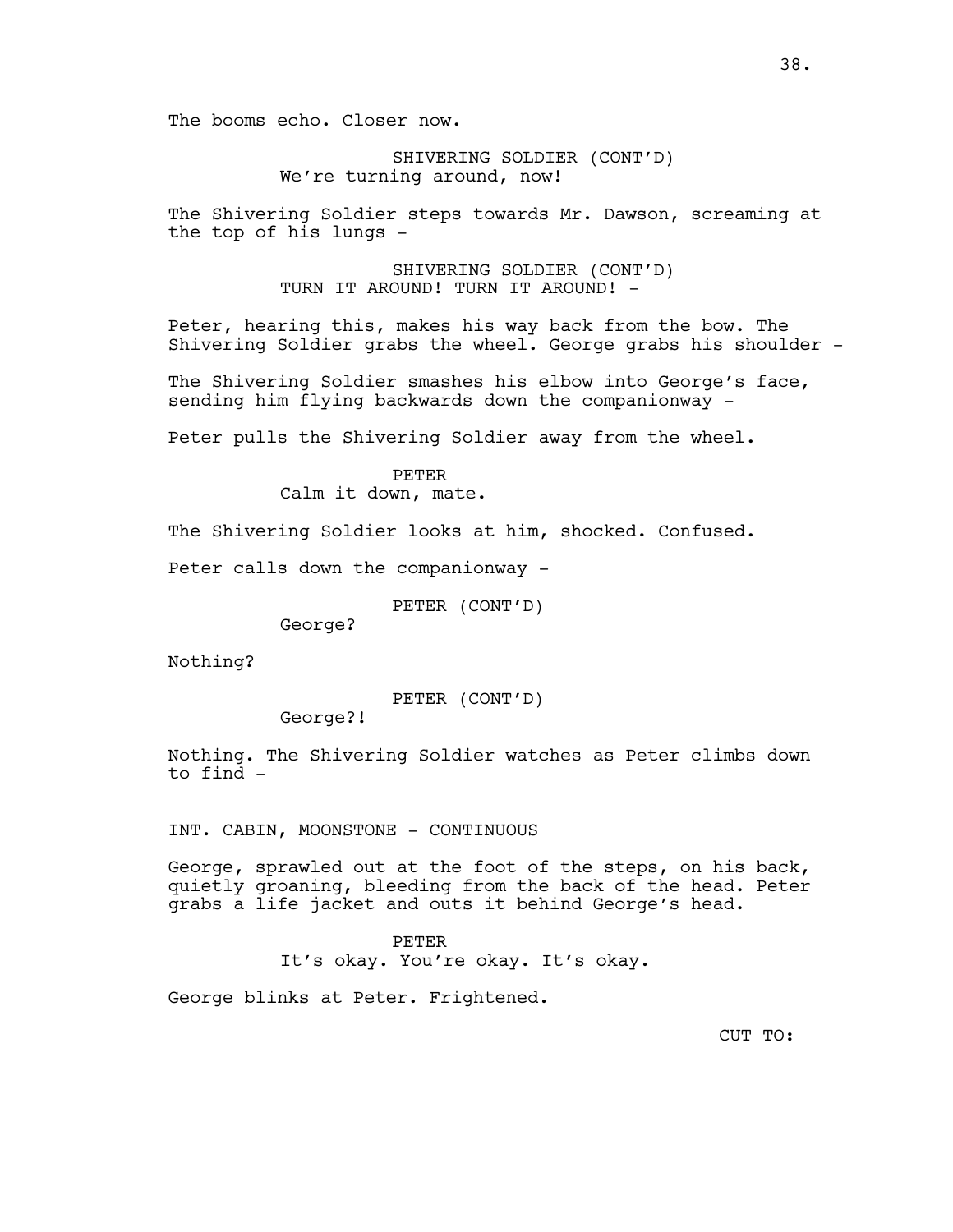The booms echo. Closer now.

SHIVERING SOLDIER (CONT'D) We're turning around, now!

The Shivering Soldier steps towards Mr. Dawson, screaming at the top of his lungs -

> SHIVERING SOLDIER (CONT'D) TURN IT AROUND! TURN IT AROUND! -

Peter, hearing this, makes his way back from the bow. The Shivering Soldier grabs the wheel. George grabs his shoulder -

The Shivering Soldier smashes his elbow into George's face, sending him flying backwards down the companionway -

Peter pulls the Shivering Soldier away from the wheel.

#### PETER

Calm it down, mate.

The Shivering Soldier looks at him, shocked. Confused.

Peter calls down the companionway -

PETER (CONT'D)

George?

Nothing?

PETER (CONT'D)

George?!

Nothing. The Shivering Soldier watches as Peter climbs down to find -

INT. CABIN, MOONSTONE - CONTINUOUS

George, sprawled out at the foot of the steps, on his back, quietly groaning, bleeding from the back of the head. Peter grabs a life jacket and outs it behind George's head.

#### PETER

It's okay. You're okay. It's okay.

George blinks at Peter. Frightened.

CUT TO: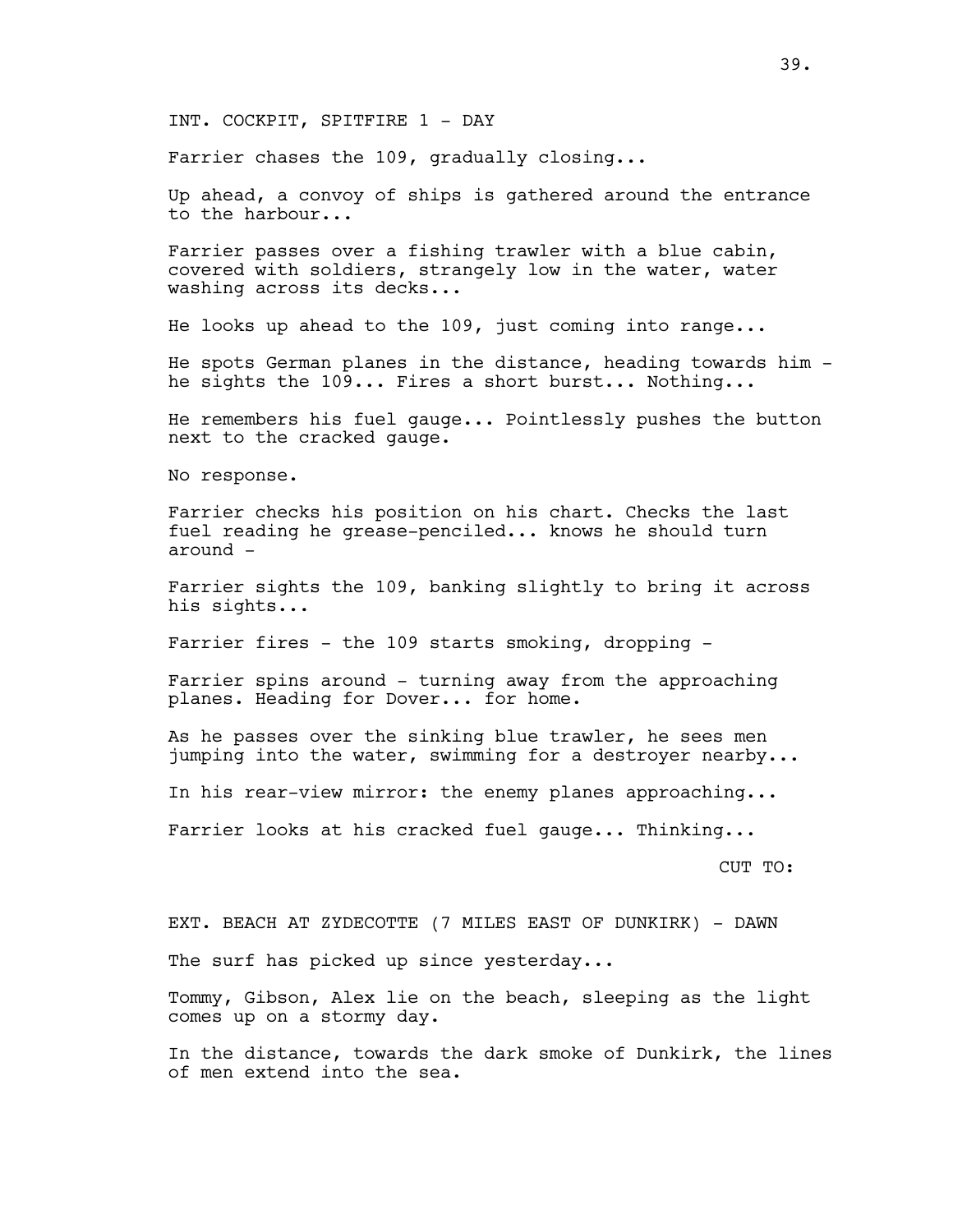INT. COCKPIT, SPITFIRE 1 - DAY

Farrier chases the 109, gradually closing...

Up ahead, a convoy of ships is gathered around the entrance to the harbour...

Farrier passes over a fishing trawler with a blue cabin, covered with soldiers, strangely low in the water, water washing across its decks...

He looks up ahead to the 109, just coming into range...

He spots German planes in the distance, heading towards him he sights the 109... Fires a short burst... Nothing...

He remembers his fuel gauge... Pointlessly pushes the button next to the cracked gauge.

No response.

Farrier checks his position on his chart. Checks the last fuel reading he grease-penciled... knows he should turn around -

Farrier sights the 109, banking slightly to bring it across his sights...

Farrier fires - the 109 starts smoking, dropping -

Farrier spins around - turning away from the approaching planes. Heading for Dover... for home.

As he passes over the sinking blue trawler, he sees men jumping into the water, swimming for a destroyer nearby...

In his rear-view mirror: the enemy planes approaching...

Farrier looks at his cracked fuel gauge... Thinking...

CUT TO:

EXT. BEACH AT ZYDECOTTE (7 MILES EAST OF DUNKIRK) - DAWN The surf has picked up since yesterday...

Tommy, Gibson, Alex lie on the beach, sleeping as the light comes up on a stormy day.

In the distance, towards the dark smoke of Dunkirk, the lines of men extend into the sea.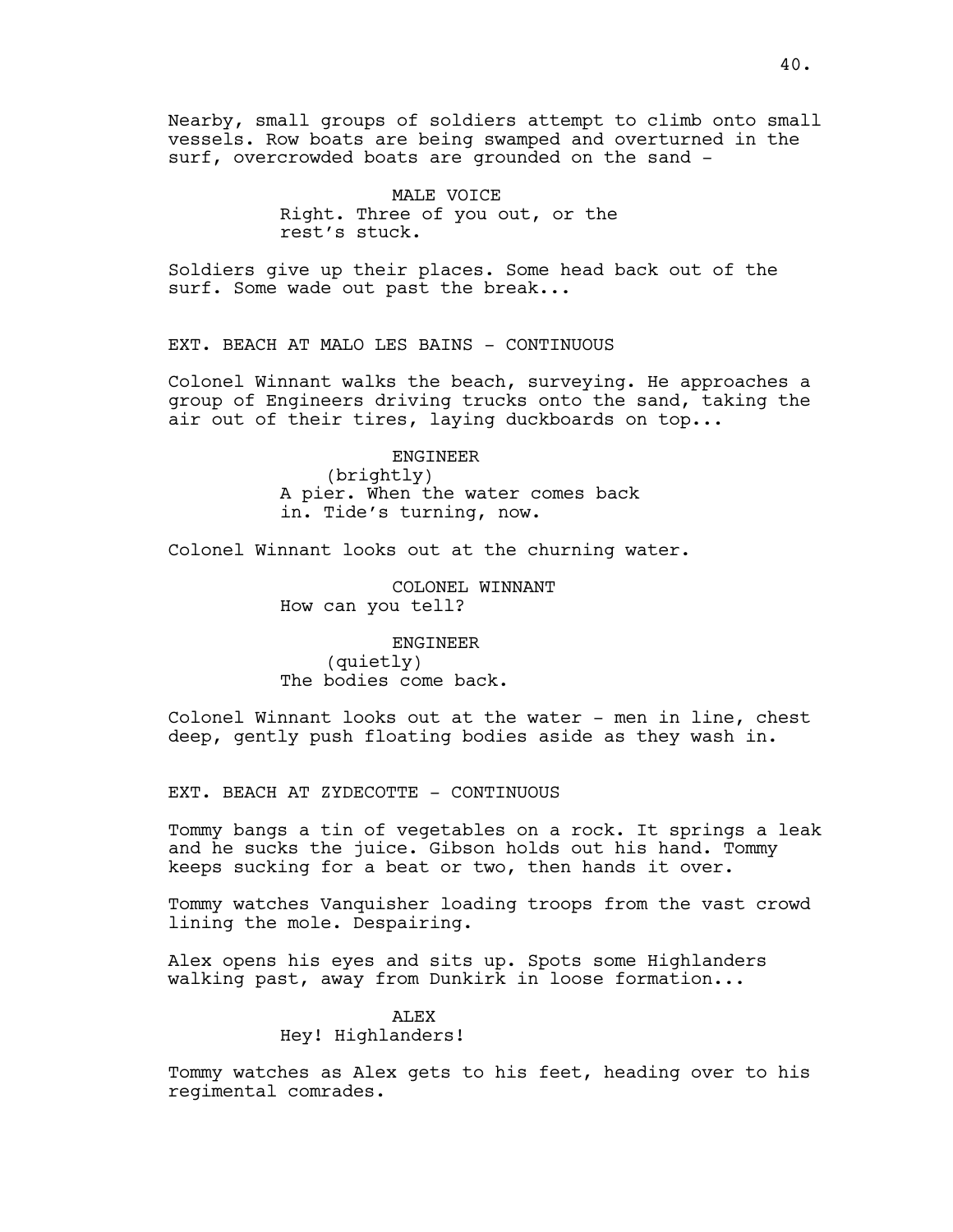Nearby, small groups of soldiers attempt to climb onto small vessels. Row boats are being swamped and overturned in the surf, overcrowded boats are grounded on the sand -

> MALE VOICE Right. Three of you out, or the rest's stuck.

Soldiers give up their places. Some head back out of the surf. Some wade out past the break...

EXT. BEACH AT MALO LES BAINS - CONTINUOUS

Colonel Winnant walks the beach, surveying. He approaches a group of Engineers driving trucks onto the sand, taking the air out of their tires, laying duckboards on top...

ENGINEER

(brightly) A pier. When the water comes back in. Tide's turning, now.

Colonel Winnant looks out at the churning water.

COLONEL WINNANT How can you tell?

ENGINEER (quietly) The bodies come back.

Colonel Winnant looks out at the water - men in line, chest deep, gently push floating bodies aside as they wash in.

EXT. BEACH AT ZYDECOTTE - CONTINUOUS

Tommy bangs a tin of vegetables on a rock. It springs a leak and he sucks the juice. Gibson holds out his hand. Tommy keeps sucking for a beat or two, then hands it over.

Tommy watches Vanquisher loading troops from the vast crowd lining the mole. Despairing.

Alex opens his eyes and sits up. Spots some Highlanders walking past, away from Dunkirk in loose formation...

# **ALEX** Hey! Highlanders!

Tommy watches as Alex gets to his feet, heading over to his regimental comrades.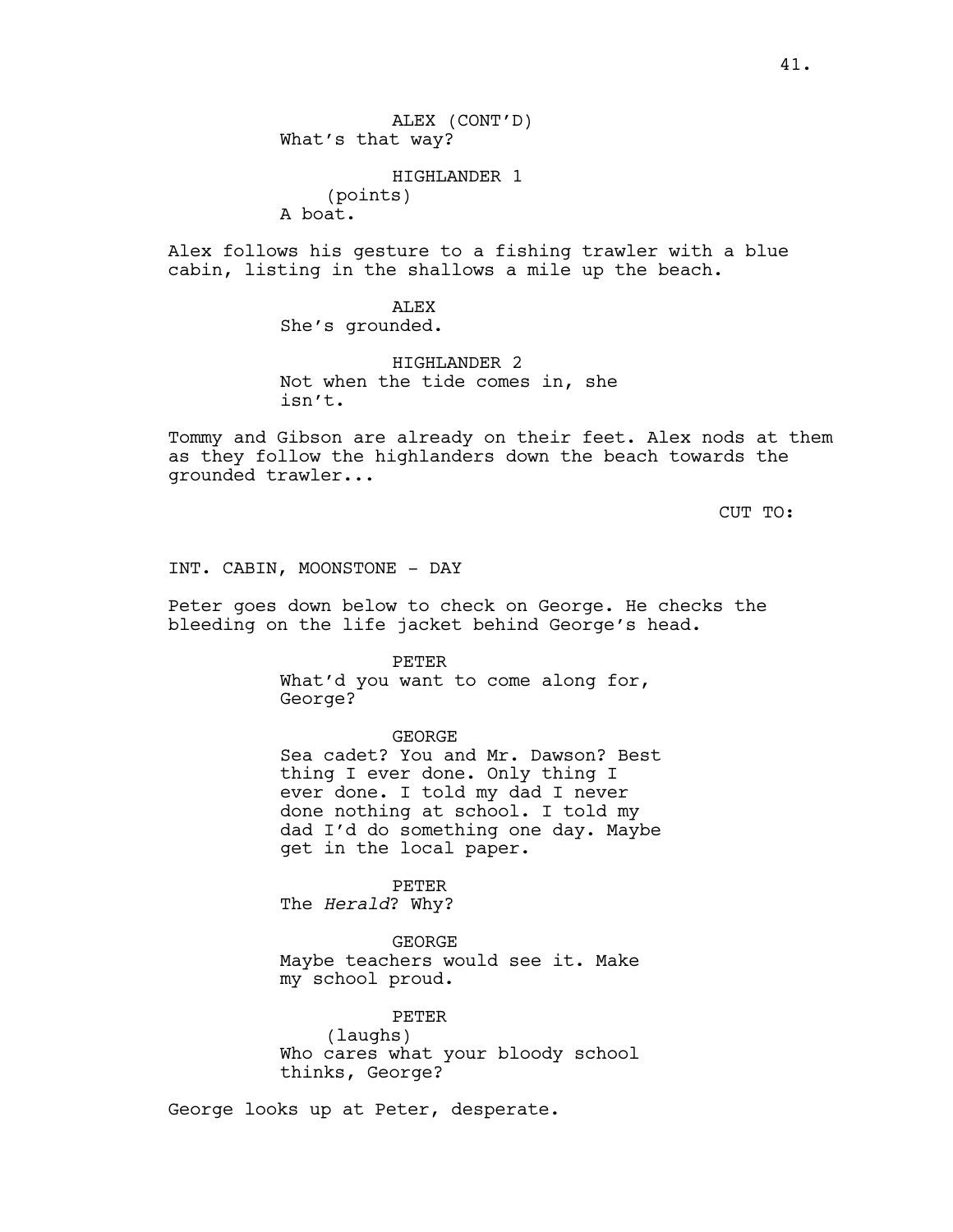ALEX (CONT'D) What's that way?

HIGHLANDER 1 (points) A boat.

Alex follows his gesture to a fishing trawler with a blue cabin, listing in the shallows a mile up the beach.

> ALEX She's grounded.

HIGHLANDER 2 Not when the tide comes in, she isn't.

Tommy and Gibson are already on their feet. Alex nods at them as they follow the highlanders down the beach towards the grounded trawler...

CUT TO:

INT. CABIN, MOONSTONE - DAY

Peter goes down below to check on George. He checks the bleeding on the life jacket behind George's head.

PETER

What'd you want to come along for, George?

GEORGE

Sea cadet? You and Mr. Dawson? Best thing I ever done. Only thing I ever done. I told my dad I never done nothing at school. I told my dad I'd do something one day. Maybe get in the local paper.

PETER The *Herald*? Why?

GEORGE Maybe teachers would see it. Make my school proud.

PETER (laughs) Who cares what your bloody school thinks, George?

George looks up at Peter, desperate.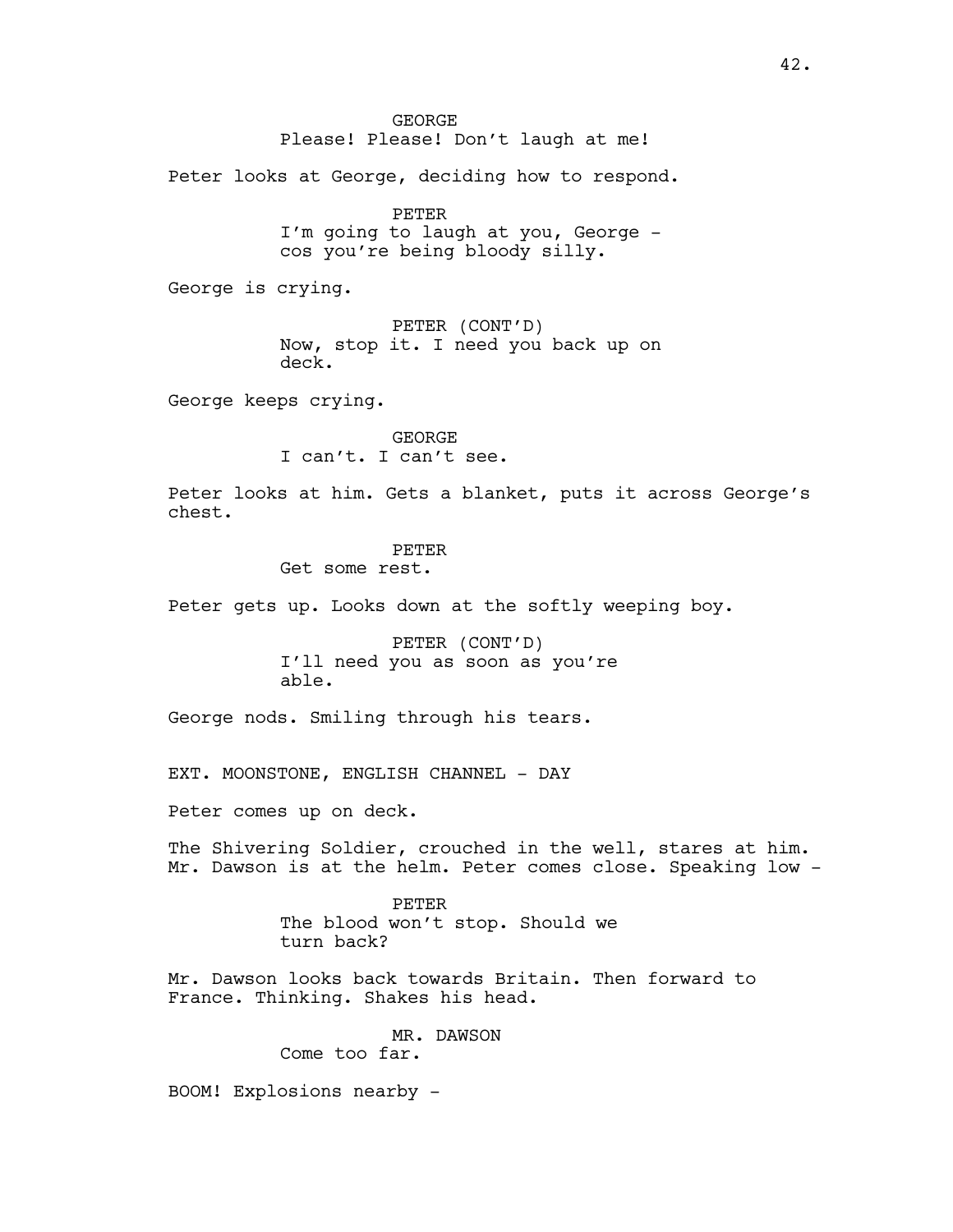GEORGE Please! Please! Don't laugh at me!

Peter looks at George, deciding how to respond.

PETER I'm going to laugh at you, George cos you're being bloody silly.

George is crying.

PETER (CONT'D) Now, stop it. I need you back up on deck.

George keeps crying.

GEORGE I can't. I can't see.

Peter looks at him. Gets a blanket, puts it across George's chest.

#### PETER

Get some rest.

Peter gets up. Looks down at the softly weeping boy.

PETER (CONT'D) I'll need you as soon as you're able.

George nods. Smiling through his tears.

EXT. MOONSTONE, ENGLISH CHANNEL - DAY

Peter comes up on deck.

The Shivering Soldier, crouched in the well, stares at him. Mr. Dawson is at the helm. Peter comes close. Speaking low -

> PETER The blood won't stop. Should we turn back?

Mr. Dawson looks back towards Britain. Then forward to France. Thinking. Shakes his head.

> MR. DAWSON Come too far.

BOOM! Explosions nearby -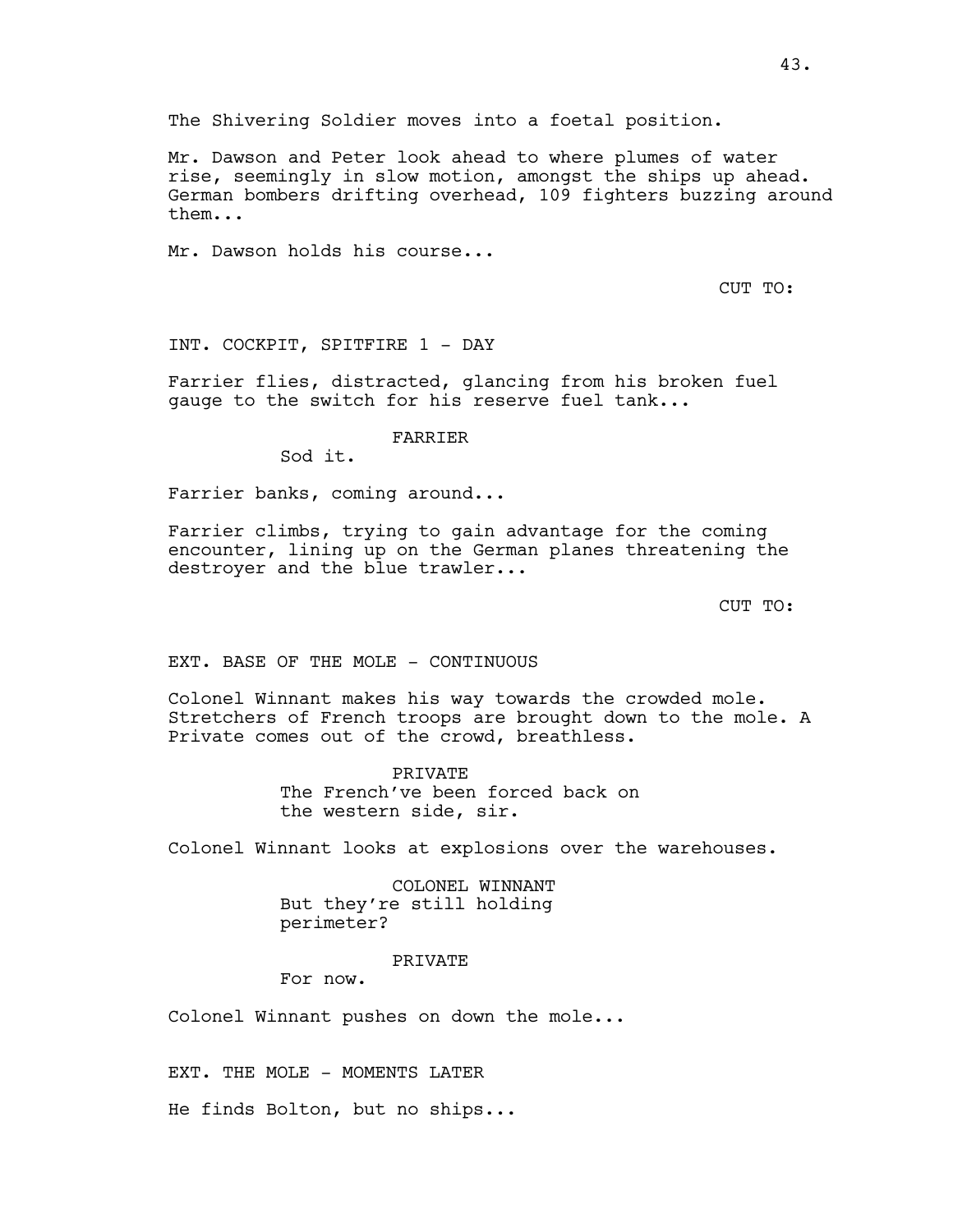The Shivering Soldier moves into a foetal position.

Mr. Dawson and Peter look ahead to where plumes of water rise, seemingly in slow motion, amongst the ships up ahead. German bombers drifting overhead, 109 fighters buzzing around them...

Mr. Dawson holds his course...

CUT TO:

INT. COCKPIT, SPITFIRE 1 - DAY

Farrier flies, distracted, glancing from his broken fuel gauge to the switch for his reserve fuel tank...

FARRIER

Sod it.

Farrier banks, coming around...

Farrier climbs, trying to gain advantage for the coming encounter, lining up on the German planes threatening the destroyer and the blue trawler...

CUT TO:

EXT. BASE OF THE MOLE - CONTINUOUS

Colonel Winnant makes his way towards the crowded mole. Stretchers of French troops are brought down to the mole. A Private comes out of the crowd, breathless.

> PRIVATE The French've been forced back on the western side, sir.

Colonel Winnant looks at explosions over the warehouses.

COLONEL WINNANT But they're still holding perimeter?

PRIVATE

For now.

Colonel Winnant pushes on down the mole...

EXT. THE MOLE - MOMENTS LATER

He finds Bolton, but no ships...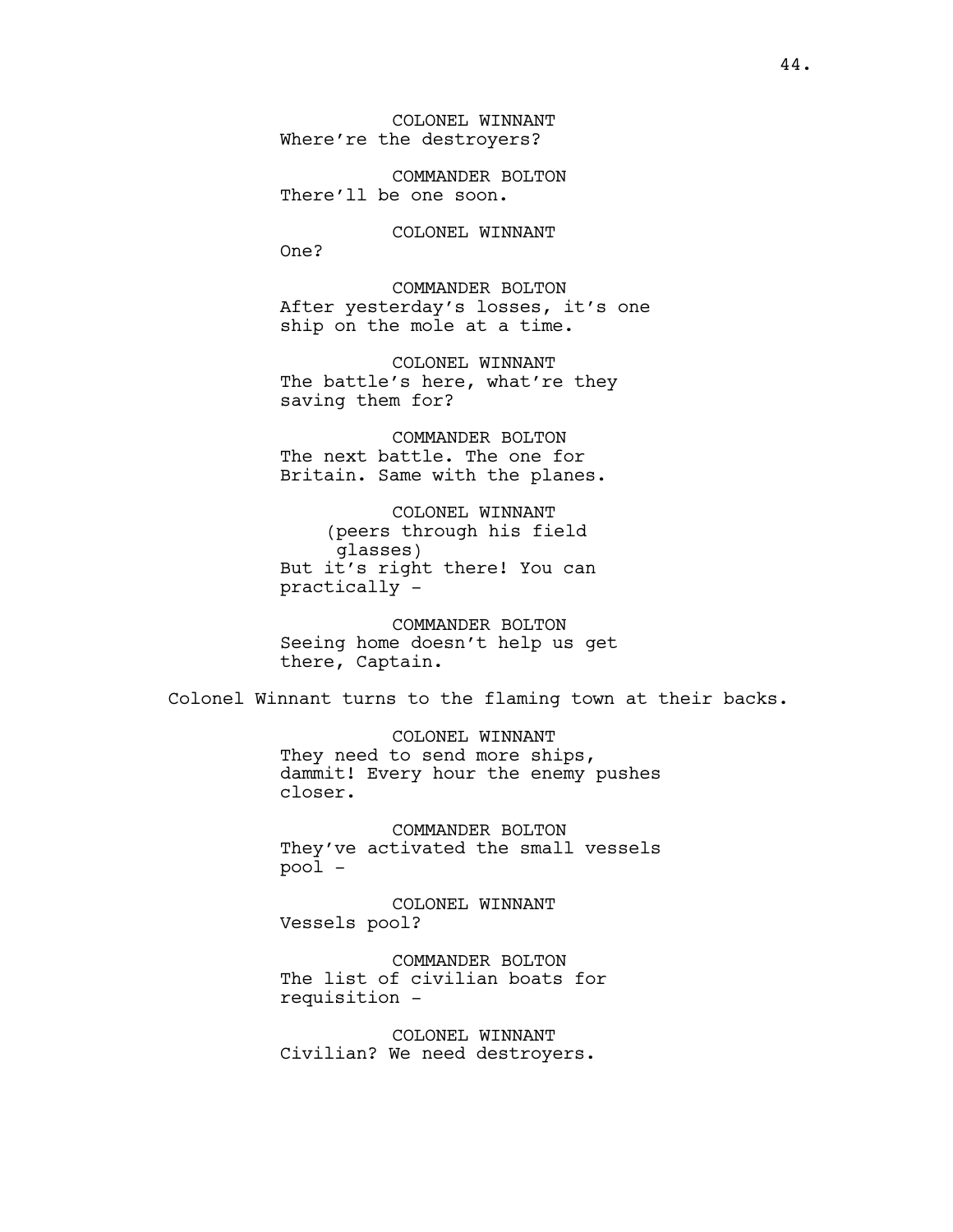COLONEL WINNANT Where're the destroyers?

COMMANDER BOLTON There'll be one soon.

COLONEL WINNANT One?

COMMANDER BOLTON After yesterday's losses, it's one ship on the mole at a time.

COLONEL WINNANT The battle's here, what're they saving them for?

COMMANDER BOLTON The next battle. The one for Britain. Same with the planes.

COLONEL WINNANT (peers through his field glasses) But it's right there! You can practically -

COMMANDER BOLTON Seeing home doesn't help us get there, Captain.

Colonel Winnant turns to the flaming town at their backs.

COLONEL WINNANT They need to send more ships, dammit! Every hour the enemy pushes closer.

COMMANDER BOLTON They've activated the small vessels pool -

COLONEL WINNANT Vessels pool?

COMMANDER BOLTON The list of civilian boats for requisition -

COLONEL WINNANT Civilian? We need destroyers.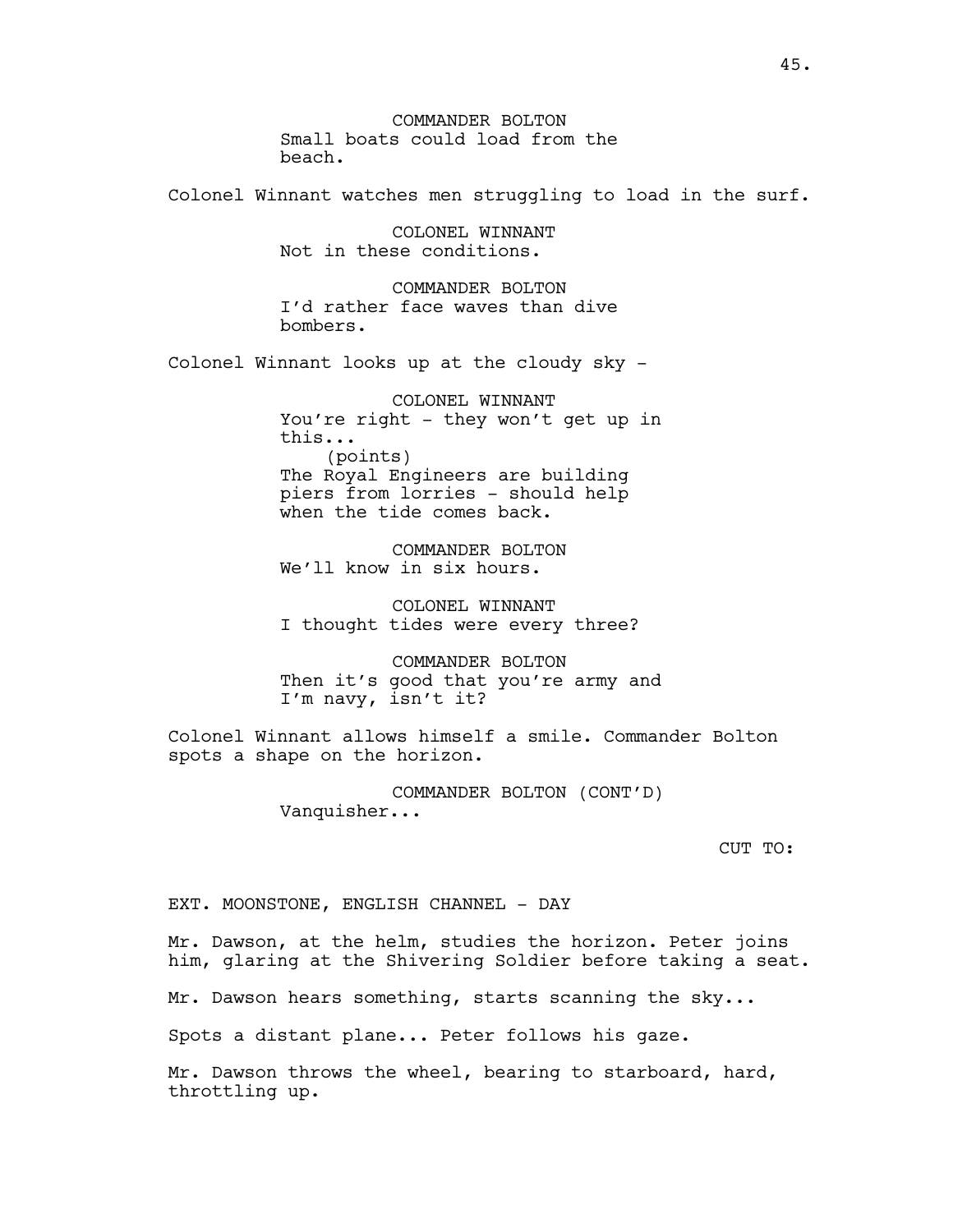COMMANDER BOLTON Small boats could load from the beach.

Colonel Winnant watches men struggling to load in the surf.

COLONEL WINNANT Not in these conditions.

COMMANDER BOLTON I'd rather face waves than dive bombers.

Colonel Winnant looks up at the cloudy sky -

COLONEL WINNANT You're right - they won't get up in this... (points) The Royal Engineers are building piers from lorries - should help when the tide comes back.

COMMANDER BOLTON We'll know in six hours.

COLONEL WINNANT I thought tides were every three?

COMMANDER BOLTON Then it's good that you're army and I'm navy, isn't it?

Colonel Winnant allows himself a smile. Commander Bolton spots a shape on the horizon.

> COMMANDER BOLTON (CONT'D) Vanquisher...

> > CUT TO:

EXT. MOONSTONE, ENGLISH CHANNEL - DAY

Mr. Dawson, at the helm, studies the horizon. Peter joins him, glaring at the Shivering Soldier before taking a seat.

Mr. Dawson hears something, starts scanning the sky...

Spots a distant plane... Peter follows his gaze.

Mr. Dawson throws the wheel, bearing to starboard, hard, throttling up.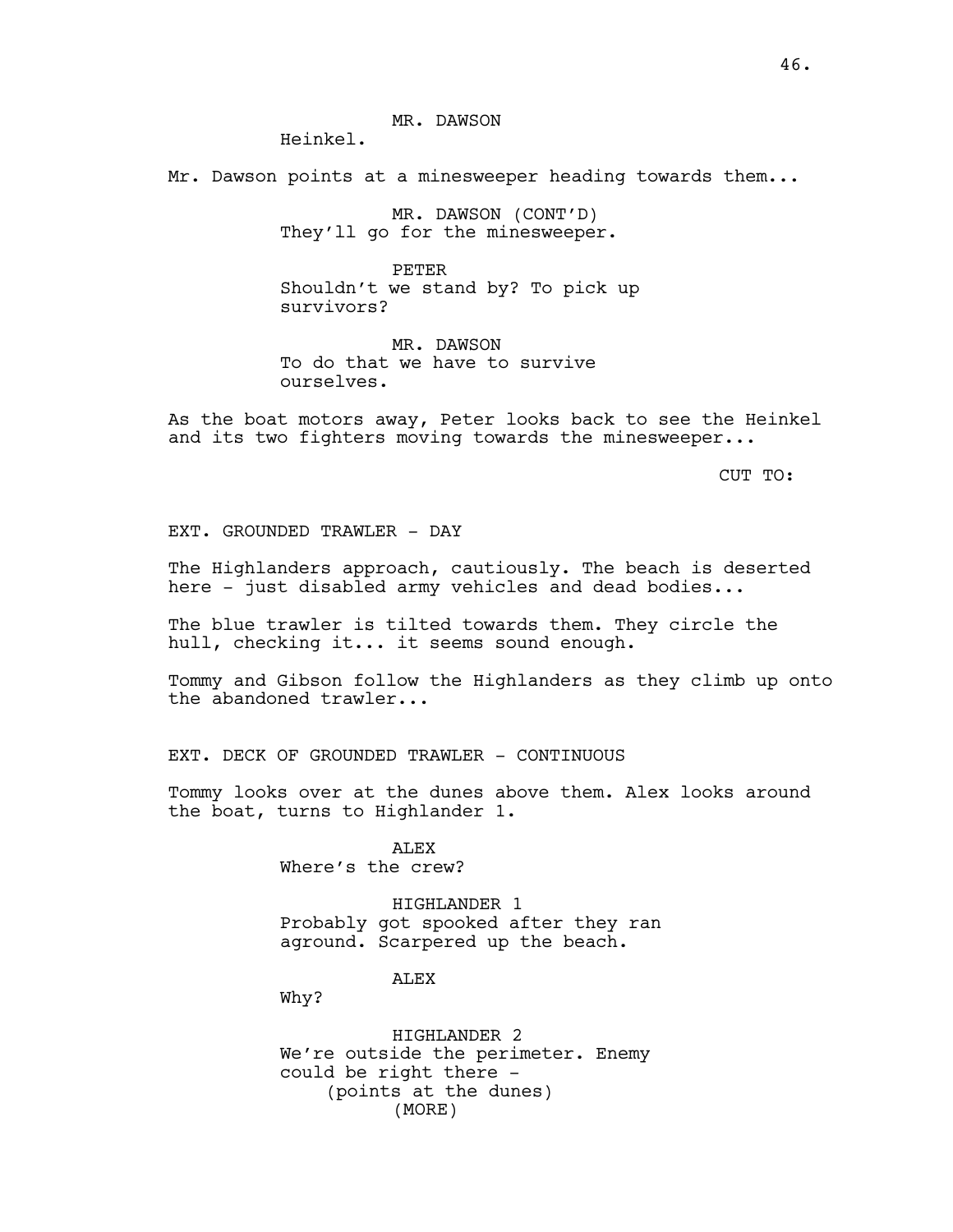Heinkel.

Mr. Dawson points at a minesweeper heading towards them...

MR. DAWSON (CONT'D) They'll go for the minesweeper.

PETER Shouldn't we stand by? To pick up survivors?

MR. DAWSON To do that we have to survive ourselves.

As the boat motors away, Peter looks back to see the Heinkel and its two fighters moving towards the minesweeper...

CUT TO:

EXT. GROUNDED TRAWLER - DAY

The Highlanders approach, cautiously. The beach is deserted here - just disabled army vehicles and dead bodies...

The blue trawler is tilted towards them. They circle the hull, checking it... it seems sound enough.

Tommy and Gibson follow the Highlanders as they climb up onto the abandoned trawler...

EXT. DECK OF GROUNDED TRAWLER - CONTINUOUS

Tommy looks over at the dunes above them. Alex looks around the boat, turns to Highlander 1.

> ALEX Where's the crew?

HIGHLANDER 1 Probably got spooked after they ran aground. Scarpered up the beach.

ALEX

Why?

HIGHLANDER 2 We're outside the perimeter. Enemy could be right there - (points at the dunes) (MORE)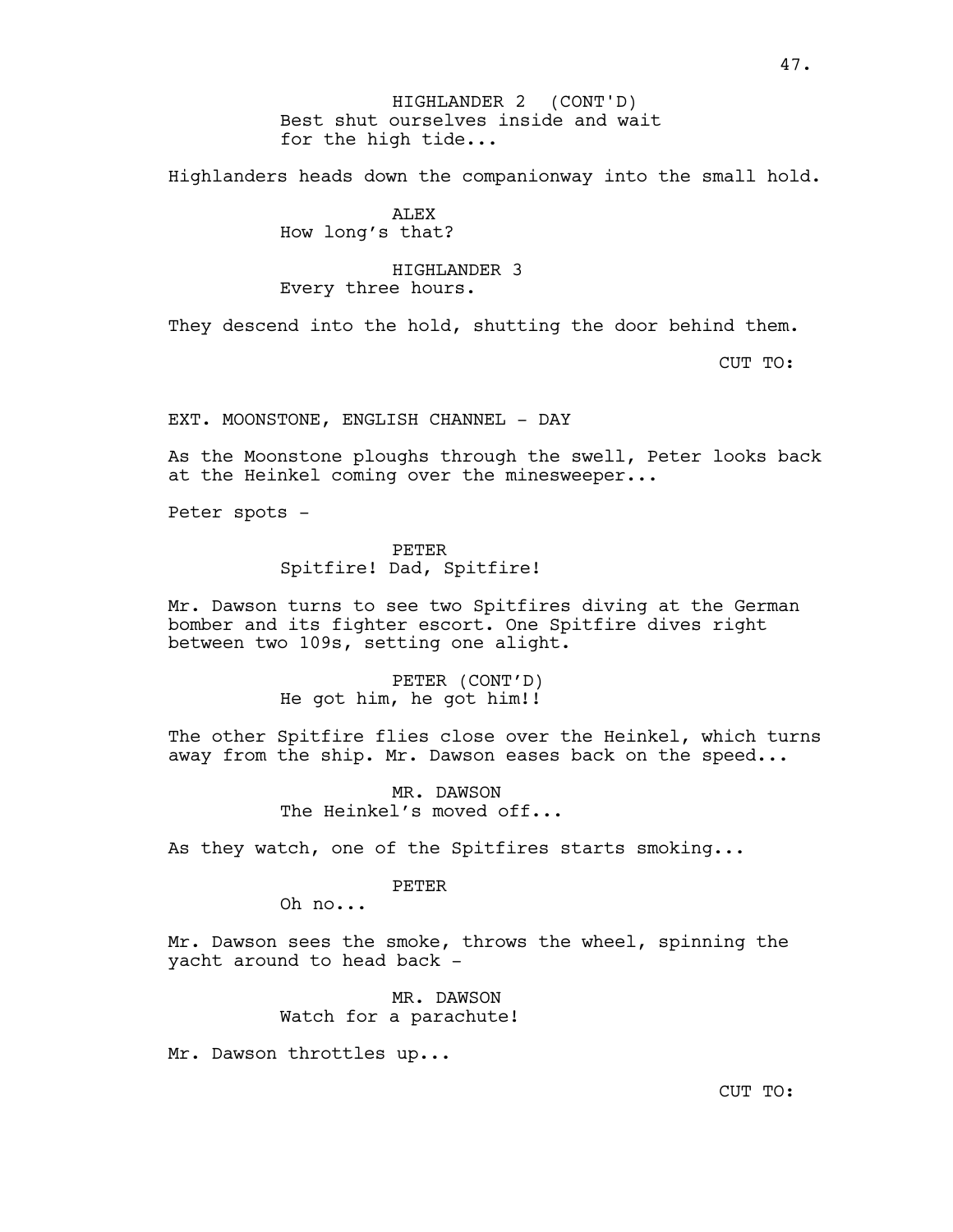Highlanders heads down the companionway into the small hold.

# ALEX How long's that?

## HIGHLANDER 3 Every three hours.

They descend into the hold, shutting the door behind them.

CUT TO:

EXT. MOONSTONE, ENGLISH CHANNEL - DAY

As the Moonstone ploughs through the swell, Peter looks back at the Heinkel coming over the minesweeper...

Peter spots -

PETER Spitfire! Dad, Spitfire!

Mr. Dawson turns to see two Spitfires diving at the German bomber and its fighter escort. One Spitfire dives right between two 109s, setting one alight.

> PETER (CONT'D) He got him, he got him!!

The other Spitfire flies close over the Heinkel, which turns away from the ship. Mr. Dawson eases back on the speed...

> MR. DAWSON The Heinkel's moved off...

As they watch, one of the Spitfires starts smoking...

## PETER

Oh no...

Mr. Dawson sees the smoke, throws the wheel, spinning the yacht around to head back -

> MR. DAWSON Watch for a parachute!

Mr. Dawson throttles up...

CUT TO: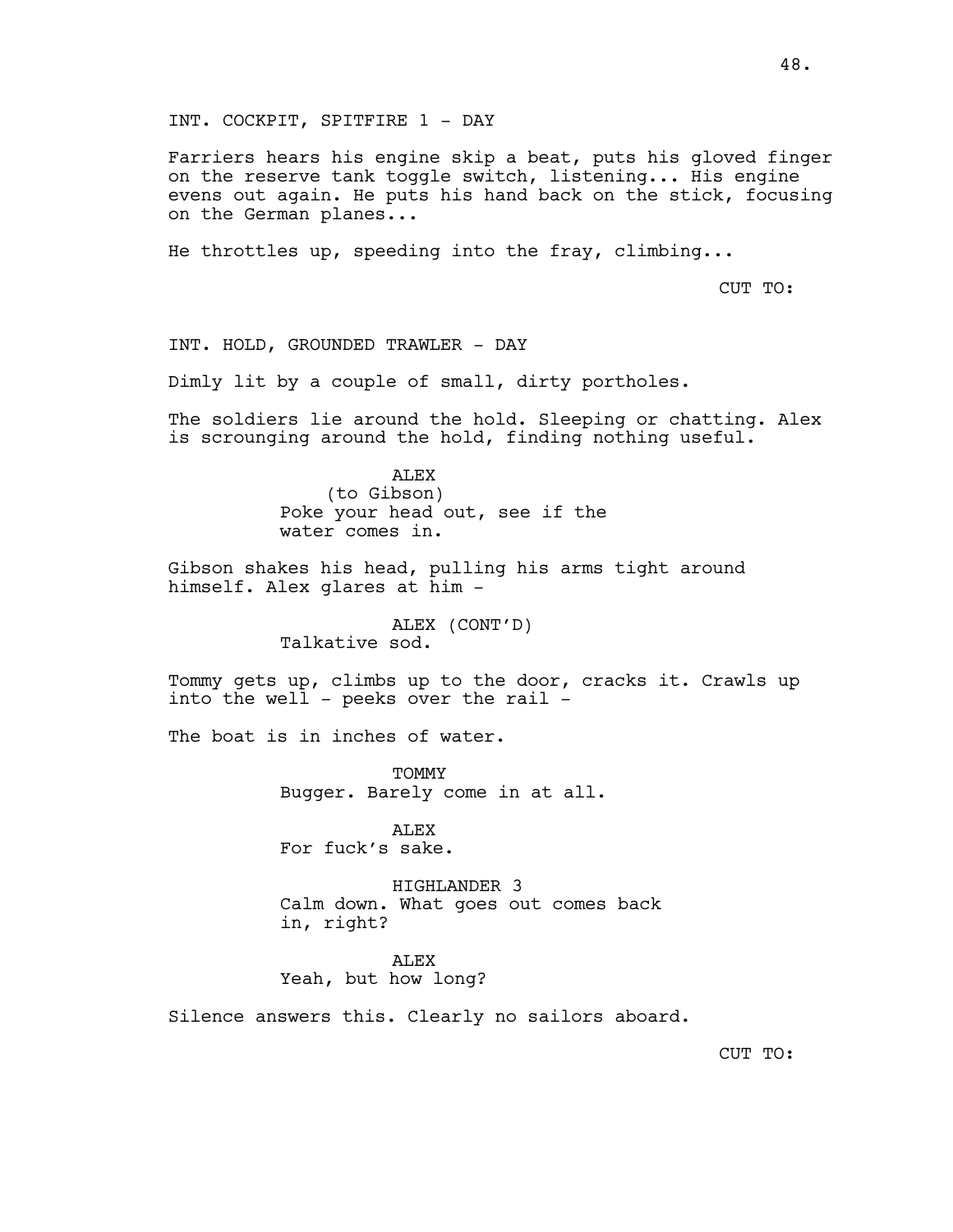INT. COCKPIT, SPITFIRE 1 - DAY

Farriers hears his engine skip a beat, puts his gloved finger on the reserve tank toggle switch, listening... His engine evens out again. He puts his hand back on the stick, focusing on the German planes...

He throttles up, speeding into the fray, climbing...

CUT TO:

INT. HOLD, GROUNDED TRAWLER - DAY

Dimly lit by a couple of small, dirty portholes.

The soldiers lie around the hold. Sleeping or chatting. Alex is scrounging around the hold, finding nothing useful.

> ALEX (to Gibson) Poke your head out, see if the water comes in.

Gibson shakes his head, pulling his arms tight around himself. Alex glares at him -

> ALEX (CONT'D) Talkative sod.

Tommy gets up, climbs up to the door, cracks it. Crawls up into the well - peeks over the rail -

The boat is in inches of water.

**TOMMY** Bugger. Barely come in at all.

ALEX For fuck's sake.

HIGHLANDER 3 Calm down. What goes out comes back in, right?

ALEX Yeah, but how long?

Silence answers this. Clearly no sailors aboard.

CUT TO: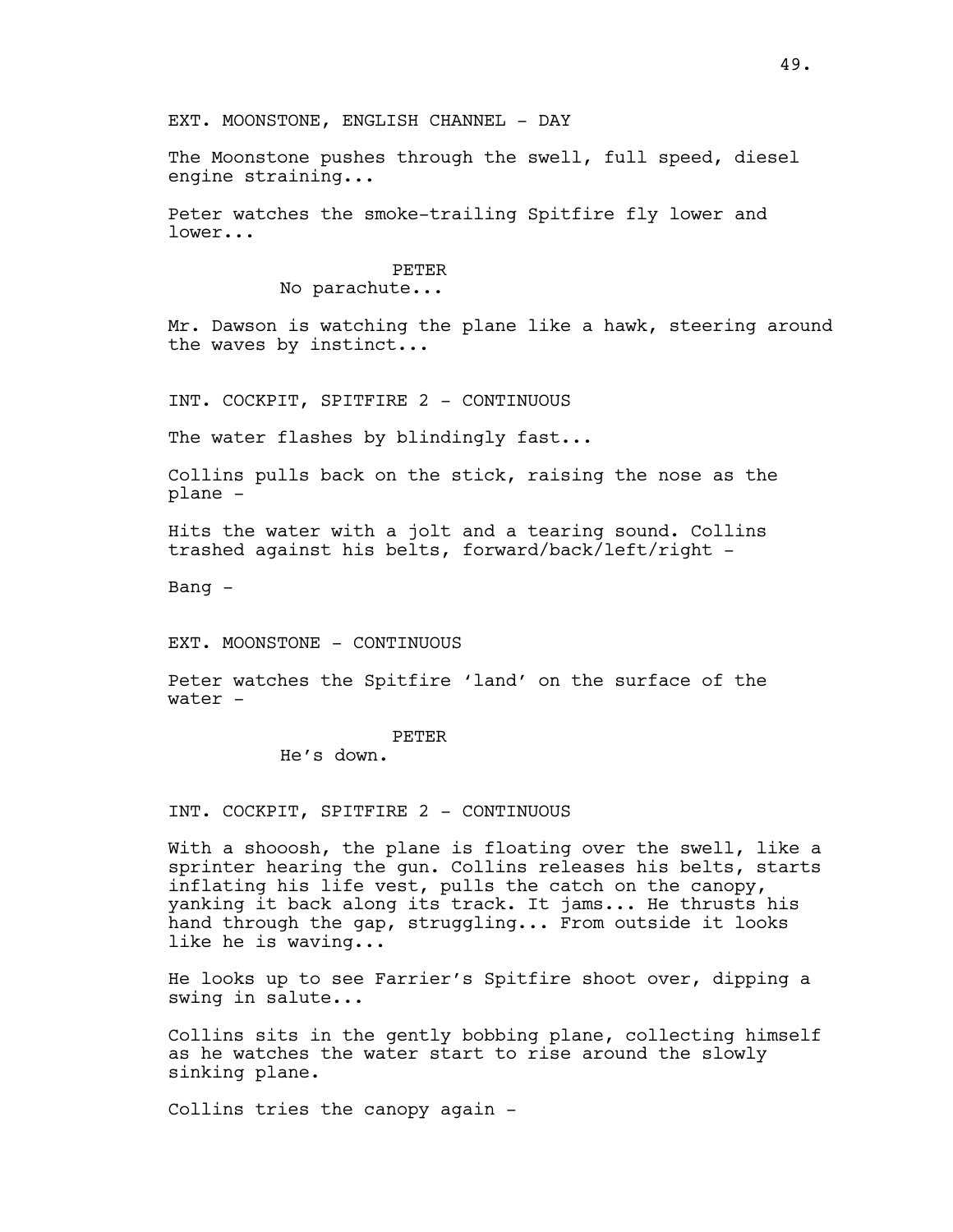EXT. MOONSTONE, ENGLISH CHANNEL - DAY

The Moonstone pushes through the swell, full speed, diesel engine straining...

Peter watches the smoke-trailing Spitfire fly lower and lower...

### PETER

### No parachute...

Mr. Dawson is watching the plane like a hawk, steering around the waves by instinct...

INT. COCKPIT, SPITFIRE 2 - CONTINUOUS

The water flashes by blindingly fast...

Collins pulls back on the stick, raising the nose as the plane -

Hits the water with a jolt and a tearing sound. Collins trashed against his belts, forward/back/left/right -

Bang -

EXT. MOONSTONE - CONTINUOUS

Peter watches the Spitfire 'land' on the surface of the water -

#### PETER

He's down.

INT. COCKPIT, SPITFIRE 2 - CONTINUOUS

With a shooosh, the plane is floating over the swell, like a sprinter hearing the gun. Collins releases his belts, starts inflating his life vest, pulls the catch on the canopy, yanking it back along its track. It jams... He thrusts his hand through the gap, struggling... From outside it looks like he is waving...

He looks up to see Farrier's Spitfire shoot over, dipping a swing in salute...

Collins sits in the gently bobbing plane, collecting himself as he watches the water start to rise around the slowly sinking plane.

Collins tries the canopy again -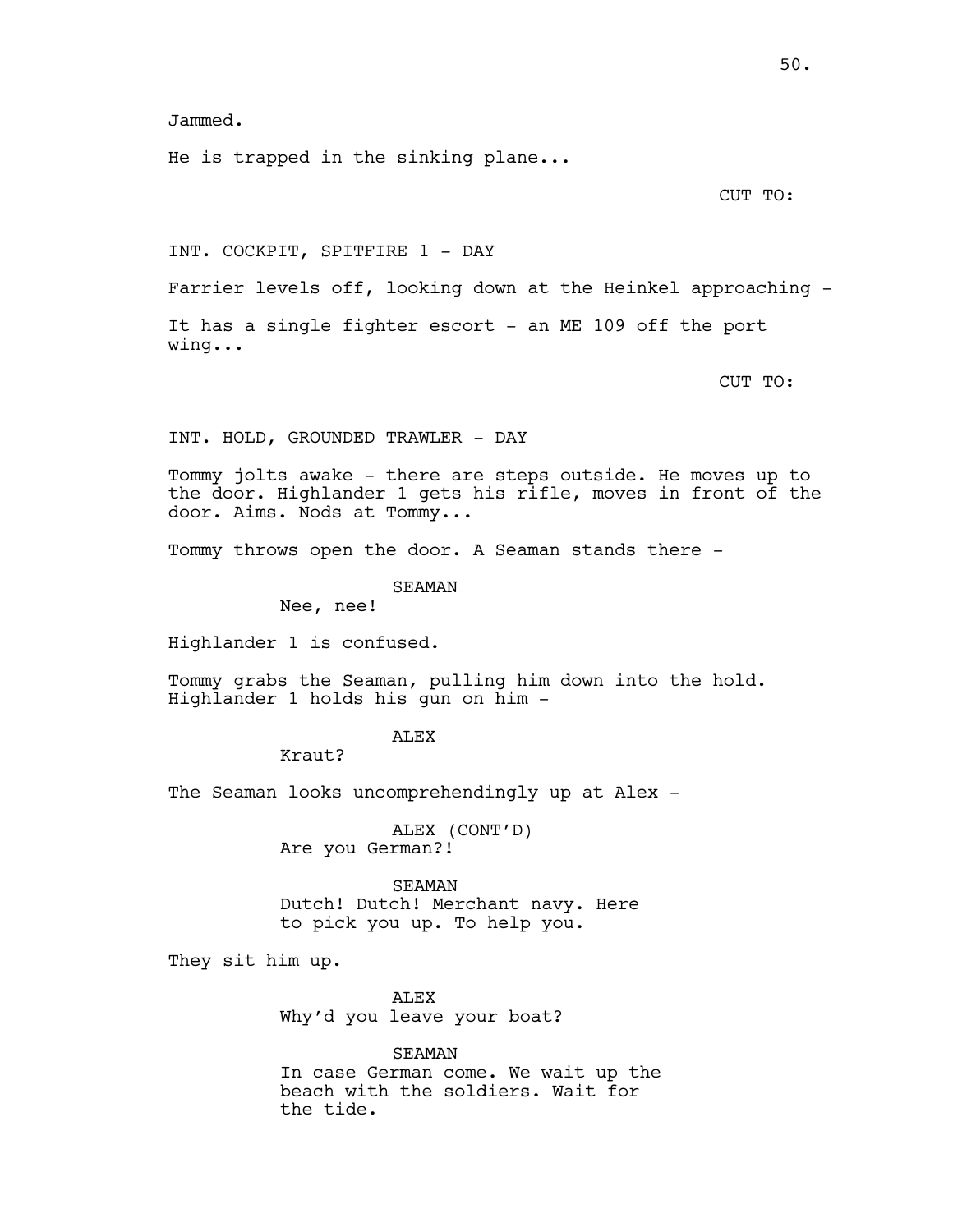Jammed.

He is trapped in the sinking plane...

CUT TO:

INT. COCKPIT, SPITFIRE 1 - DAY

Farrier levels off, looking down at the Heinkel approaching -

It has a single fighter escort - an ME 109 off the port wing...

CUT TO:

INT. HOLD, GROUNDED TRAWLER - DAY

Tommy jolts awake - there are steps outside. He moves up to the door. Highlander 1 gets his rifle, moves in front of the door. Aims. Nods at Tommy...

Tommy throws open the door. A Seaman stands there -

SEAMAN

Nee, nee!

Highlander 1 is confused.

Tommy grabs the Seaman, pulling him down into the hold. Highlander 1 holds his gun on him -

## **ALEX**

Kraut?

The Seaman looks uncomprehendingly up at Alex -

ALEX (CONT'D) Are you German?!

SEAMAN Dutch! Dutch! Merchant navy. Here to pick you up. To help you.

They sit him up.

ALEX Why'd you leave your boat?

SEAMAN In case German come. We wait up the beach with the soldiers. Wait for the tide.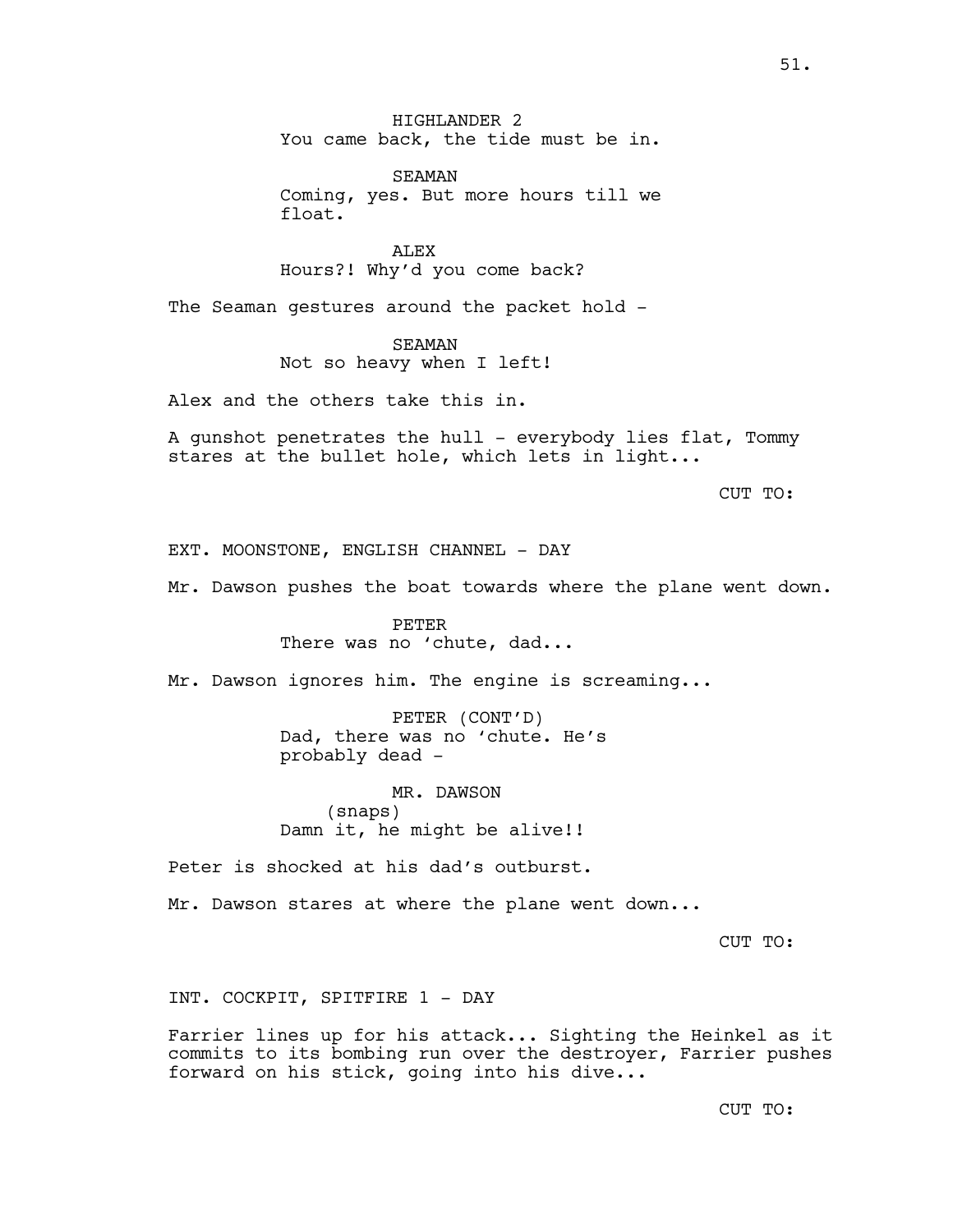SEAMAN Coming, yes. But more hours till we float.

ALEX Hours?! Why'd you come back?

The Seaman gestures around the packet hold -

SEAMAN Not so heavy when I left!

Alex and the others take this in.

A gunshot penetrates the hull - everybody lies flat, Tommy stares at the bullet hole, which lets in light...

CUT TO:

EXT. MOONSTONE, ENGLISH CHANNEL - DAY

Mr. Dawson pushes the boat towards where the plane went down.

PETER There was no 'chute, dad...

Mr. Dawson ignores him. The engine is screaming...

PETER (CONT'D) Dad, there was no 'chute. He's probably dead -

MR. DAWSON (snaps) Damn it, he might be alive!!

Peter is shocked at his dad's outburst.

Mr. Dawson stares at where the plane went down...

CUT TO:

INT. COCKPIT, SPITFIRE 1 - DAY

Farrier lines up for his attack... Sighting the Heinkel as it commits to its bombing run over the destroyer, Farrier pushes forward on his stick, going into his dive...

CUT TO: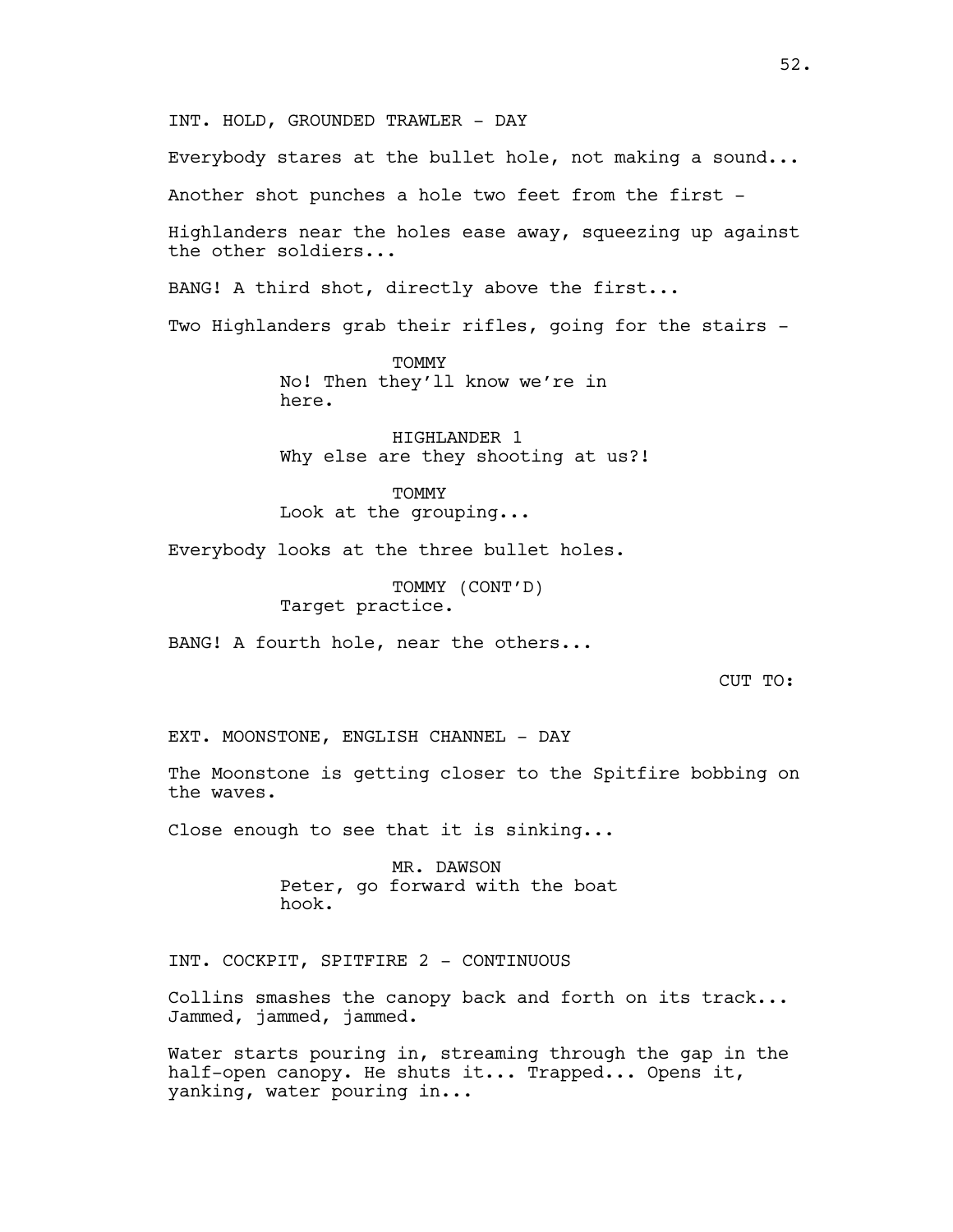INT. HOLD, GROUNDED TRAWLER - DAY

Everybody stares at the bullet hole, not making a sound...

Another shot punches a hole two feet from the first -

Highlanders near the holes ease away, squeezing up against the other soldiers...

BANG! A third shot, directly above the first...

Two Highlanders grab their rifles, going for the stairs -

**TOMMY** No! Then they'll know we're in here.

HIGHLANDER 1 Why else are they shooting at us?!

**TOMMY** Look at the grouping...

Everybody looks at the three bullet holes.

TOMMY (CONT'D) Target practice.

BANG! A fourth hole, near the others...

CUT TO:

EXT. MOONSTONE, ENGLISH CHANNEL - DAY

The Moonstone is getting closer to the Spitfire bobbing on the waves.

Close enough to see that it is sinking...

MR. DAWSON Peter, go forward with the boat hook.

INT. COCKPIT, SPITFIRE 2 - CONTINUOUS

Collins smashes the canopy back and forth on its track... Jammed, jammed, jammed.

Water starts pouring in, streaming through the gap in the half-open canopy. He shuts it... Trapped... Opens it, yanking, water pouring in...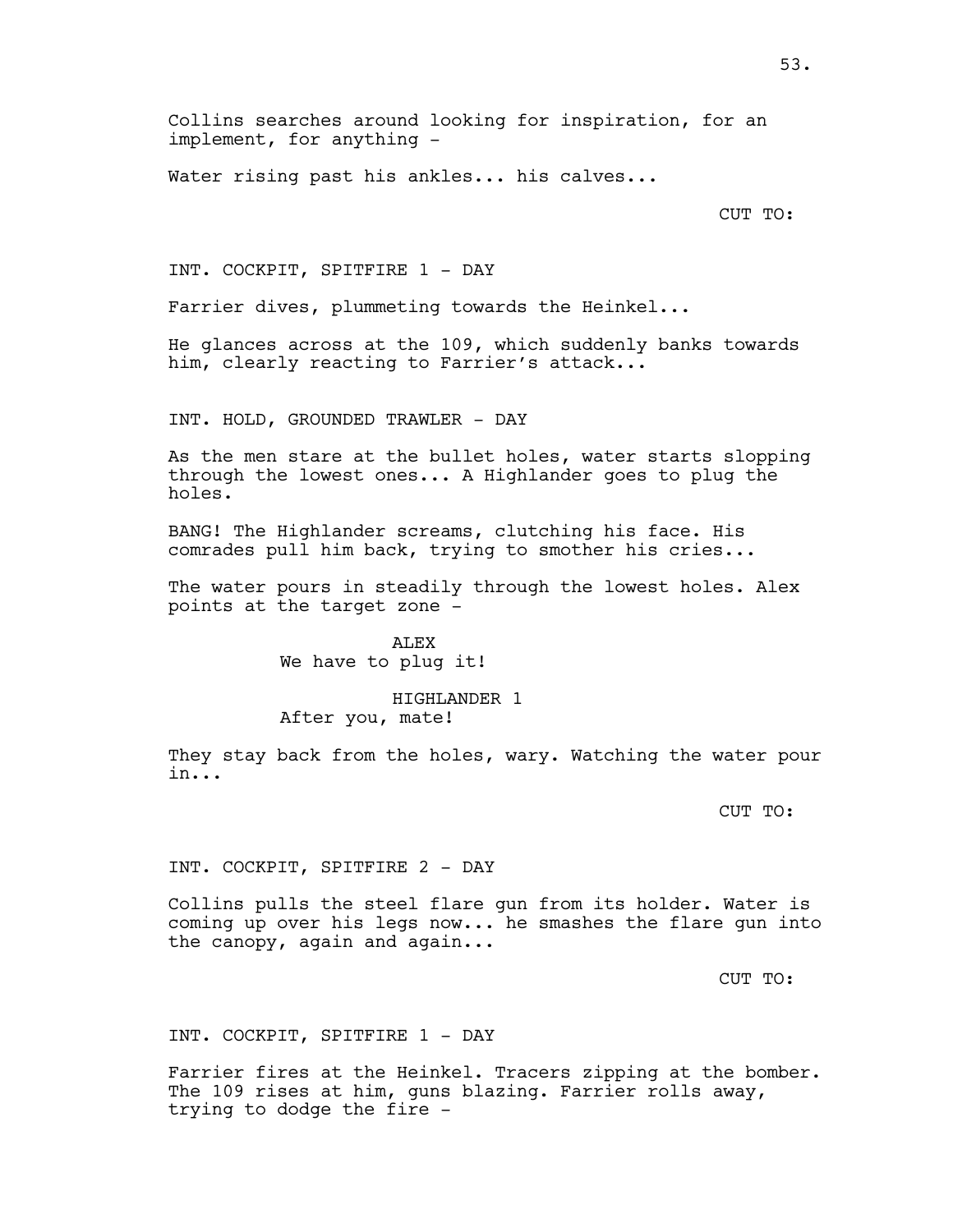Collins searches around looking for inspiration, for an implement, for anything -

Water rising past his ankles... his calves...

CUT TO:

INT. COCKPIT, SPITFIRE 1 - DAY

Farrier dives, plummeting towards the Heinkel...

He glances across at the 109, which suddenly banks towards him, clearly reacting to Farrier's attack...

INT. HOLD, GROUNDED TRAWLER - DAY

As the men stare at the bullet holes, water starts slopping through the lowest ones... A Highlander goes to plug the holes.

BANG! The Highlander screams, clutching his face. His comrades pull him back, trying to smother his cries...

The water pours in steadily through the lowest holes. Alex points at the target zone -

> ALEX We have to plug it!

### HIGHLANDER 1

After you, mate!

They stay back from the holes, wary. Watching the water pour in...

CUT TO:

INT. COCKPIT, SPITFIRE 2 - DAY

Collins pulls the steel flare gun from its holder. Water is coming up over his legs now... he smashes the flare gun into the canopy, again and again...

CUT TO:

INT. COCKPIT, SPITFIRE 1 - DAY

Farrier fires at the Heinkel. Tracers zipping at the bomber. The 109 rises at him, guns blazing. Farrier rolls away, trying to dodge the fire -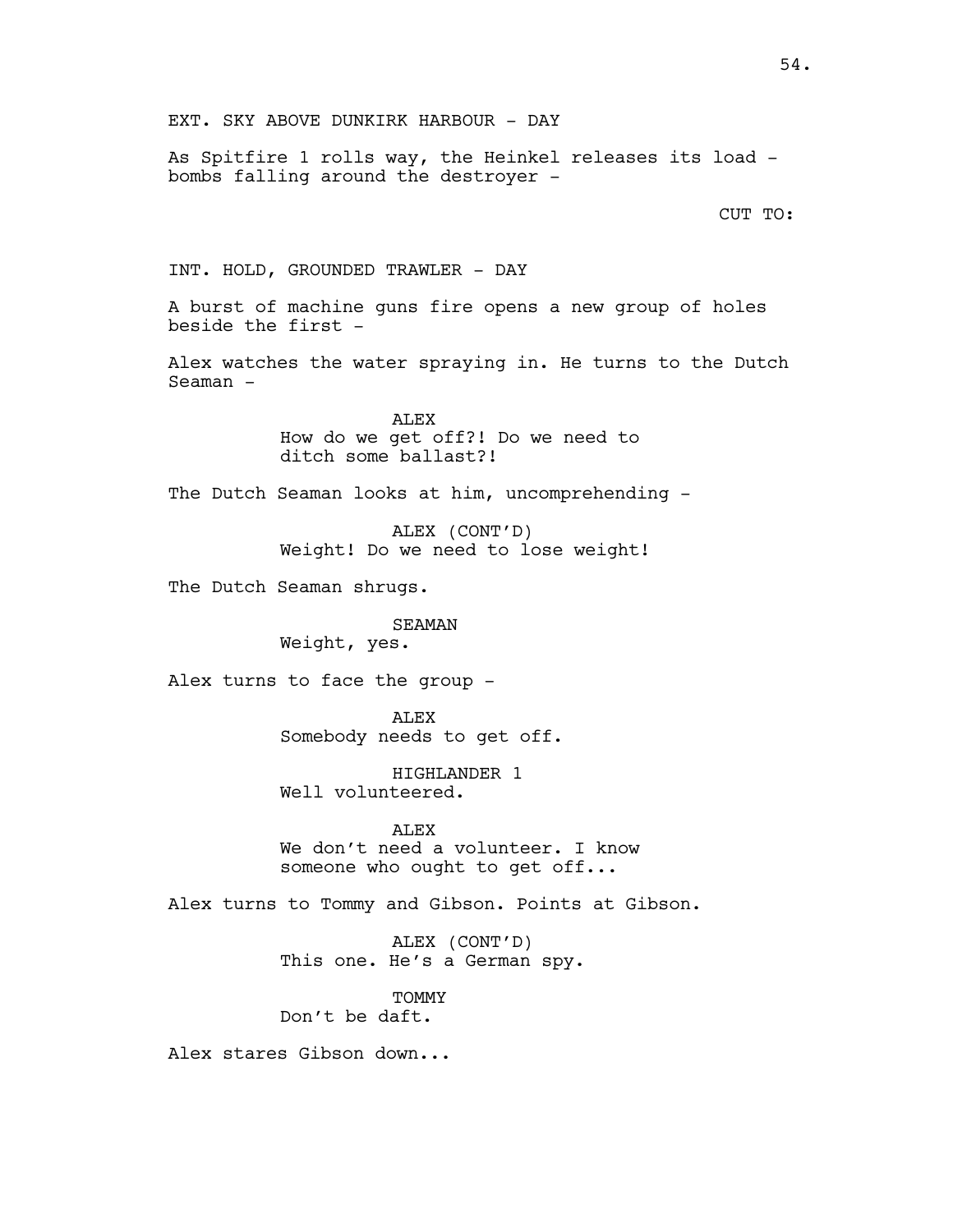As Spitfire 1 rolls way, the Heinkel releases its load bombs falling around the destroyer -

CUT TO:

INT. HOLD, GROUNDED TRAWLER - DAY

A burst of machine guns fire opens a new group of holes beside the first -

Alex watches the water spraying in. He turns to the Dutch Seaman  $-$ 

> ALEX How do we get off?! Do we need to ditch some ballast?!

The Dutch Seaman looks at him, uncomprehending -

ALEX (CONT'D) Weight! Do we need to lose weight!

The Dutch Seaman shrugs.

### SEAMAN

Weight, yes.

Alex turns to face the group -

ALEX Somebody needs to get off.

HIGHLANDER 1 Well volunteered.

ALEX We don't need a volunteer. I know someone who ought to get off...

Alex turns to Tommy and Gibson. Points at Gibson.

ALEX (CONT'D) This one. He's a German spy.

TOMMY Don't be daft.

Alex stares Gibson down...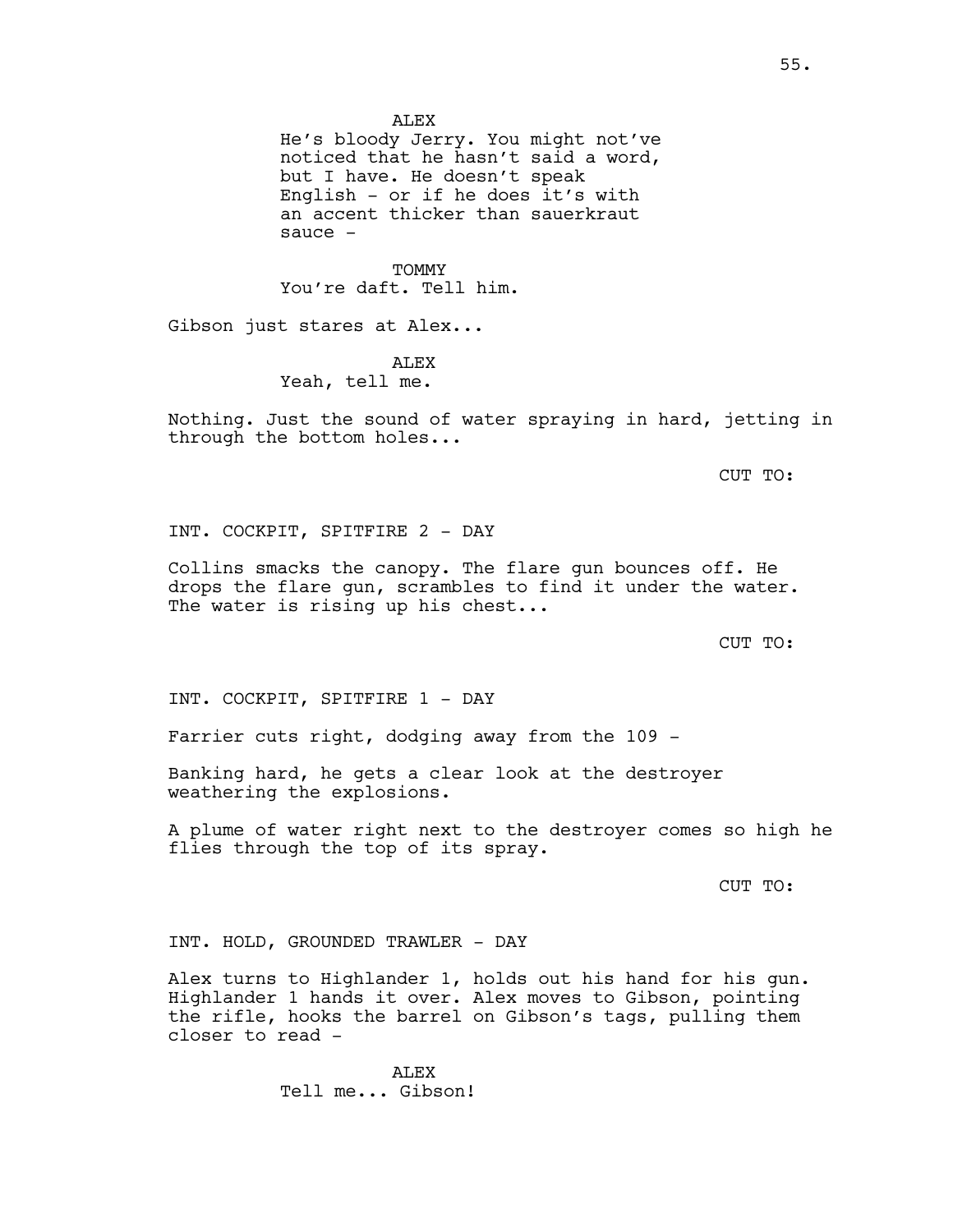**ALEX** 

He's bloody Jerry. You might not've noticed that he hasn't said a word, but I have. He doesn't speak English - or if he does it's with an accent thicker than sauerkraut sauce -

TOMMY You're daft. Tell him.

Gibson just stares at Alex...

**ALEX** Yeah, tell me.

Nothing. Just the sound of water spraying in hard, jetting in through the bottom holes...

CUT TO:

INT. COCKPIT, SPITFIRE 2 - DAY

Collins smacks the canopy. The flare gun bounces off. He drops the flare gun, scrambles to find it under the water. The water is rising up his chest...

CUT TO:

INT. COCKPIT, SPITFIRE 1 - DAY

Farrier cuts right, dodging away from the 109 -

Banking hard, he gets a clear look at the destroyer weathering the explosions.

A plume of water right next to the destroyer comes so high he flies through the top of its spray.

CUT TO:

INT. HOLD, GROUNDED TRAWLER - DAY

Alex turns to Highlander 1, holds out his hand for his gun. Highlander 1 hands it over. Alex moves to Gibson, pointing the rifle, hooks the barrel on Gibson's tags, pulling them closer to read -

> ALEX Tell me... Gibson!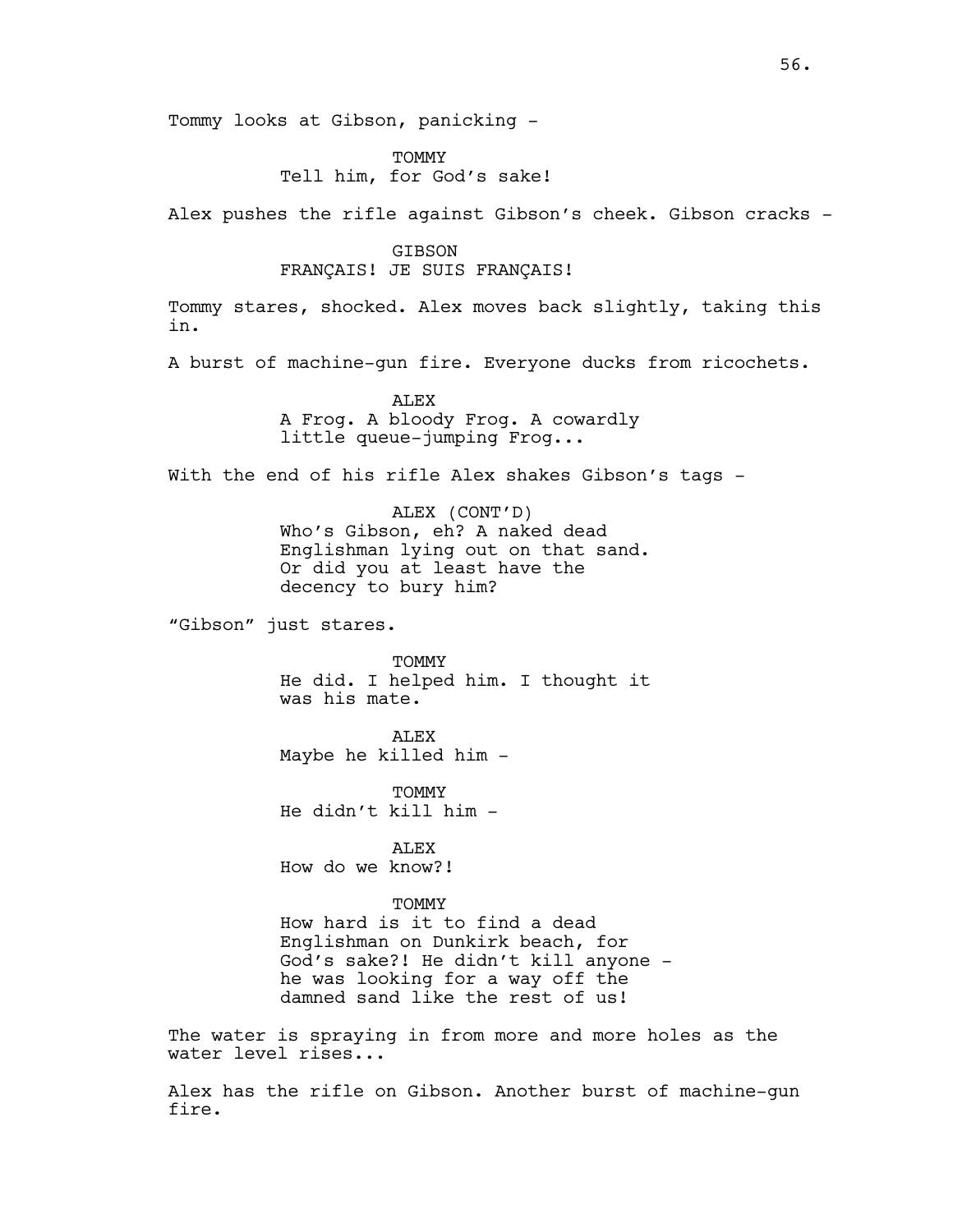Tommy looks at Gibson, panicking -

**TOMMY** Tell him, for God's sake!

Alex pushes the rifle against Gibson's cheek. Gibson cracks -

### GIBSON FRANÇAIS! JE SUIS FRANÇAIS!

Tommy stares, shocked. Alex moves back slightly, taking this in.

A burst of machine-gun fire. Everyone ducks from ricochets.

**ALEX** A Frog. A bloody Frog. A cowardly little queue-jumping Frog...

With the end of his rifle Alex shakes Gibson's tags -

ALEX (CONT'D) Who's Gibson, eh? A naked dead Englishman lying out on that sand. Or did you at least have the decency to bury him?

"Gibson" just stares.

TOMMY He did. I helped him. I thought it was his mate.

**ALEX** Maybe he killed him -

**TOMMY** He didn't kill him -

ALEX How do we know?!

### **TOMMY**

How hard is it to find a dead Englishman on Dunkirk beach, for God's sake?! He didn't kill anyone he was looking for a way off the damned sand like the rest of us!

The water is spraying in from more and more holes as the water level rises...

Alex has the rifle on Gibson. Another burst of machine-gun fire.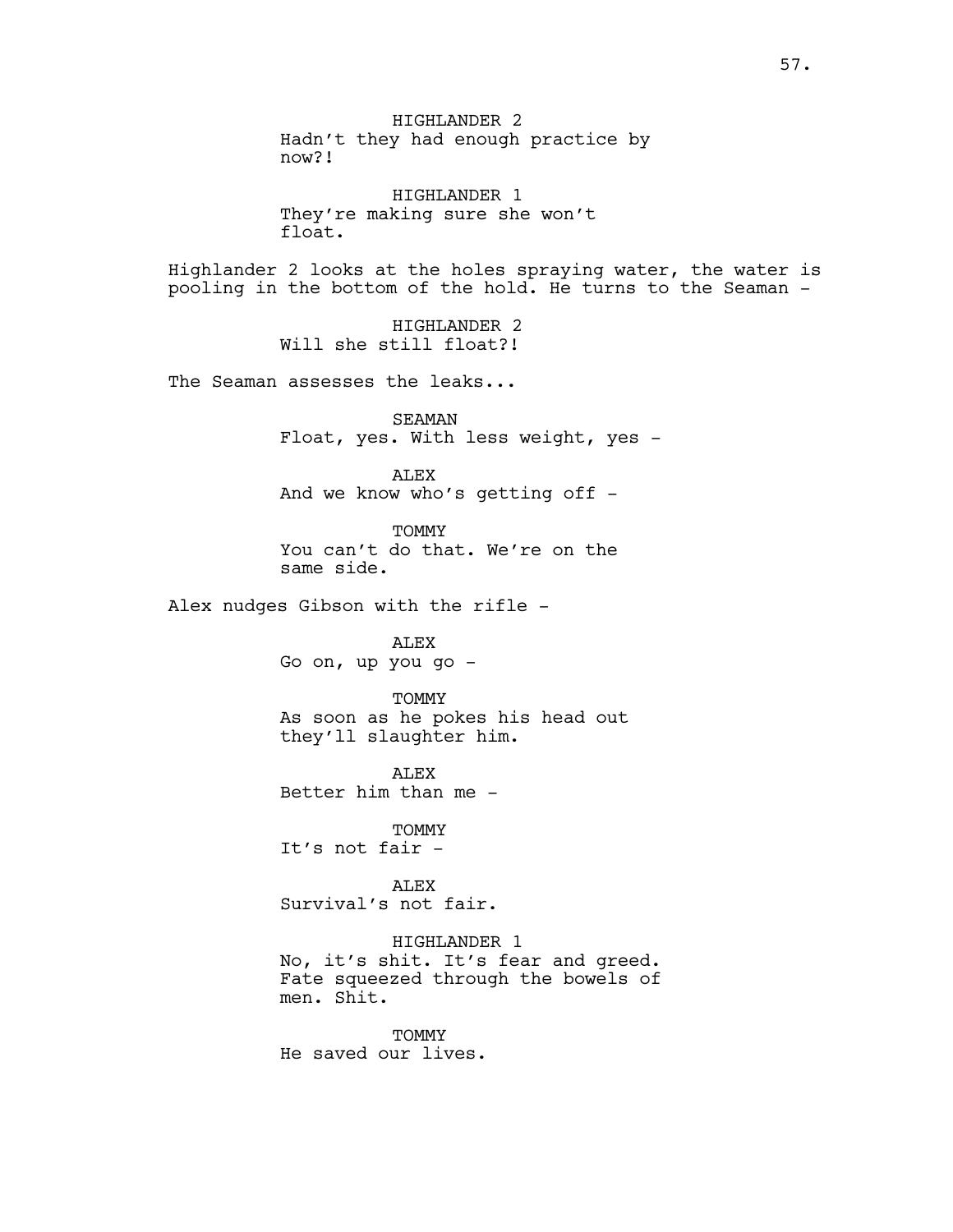HIGHLANDER 2 Hadn't they had enough practice by now?!

HIGHLANDER 1 They're making sure she won't float.

Highlander 2 looks at the holes spraying water, the water is pooling in the bottom of the hold. He turns to the Seaman -

> HIGHLANDER 2 Will she still float?!

The Seaman assesses the leaks...

SEAMAN Float, yes. With less weight, yes -

ALEX And we know who's getting off -

**TOMMY** You can't do that. We're on the same side.

Alex nudges Gibson with the rifle -

ALEX Go on, up you go -

**TOMMY** As soon as he pokes his head out they'll slaughter him.

**ALEX** Better him than me -

TOMMY It's not fair -

ALEX Survival's not fair.

HIGHLANDER 1 No, it's shit. It's fear and greed. Fate squeezed through the bowels of men. Shit.

TOMMY He saved our lives.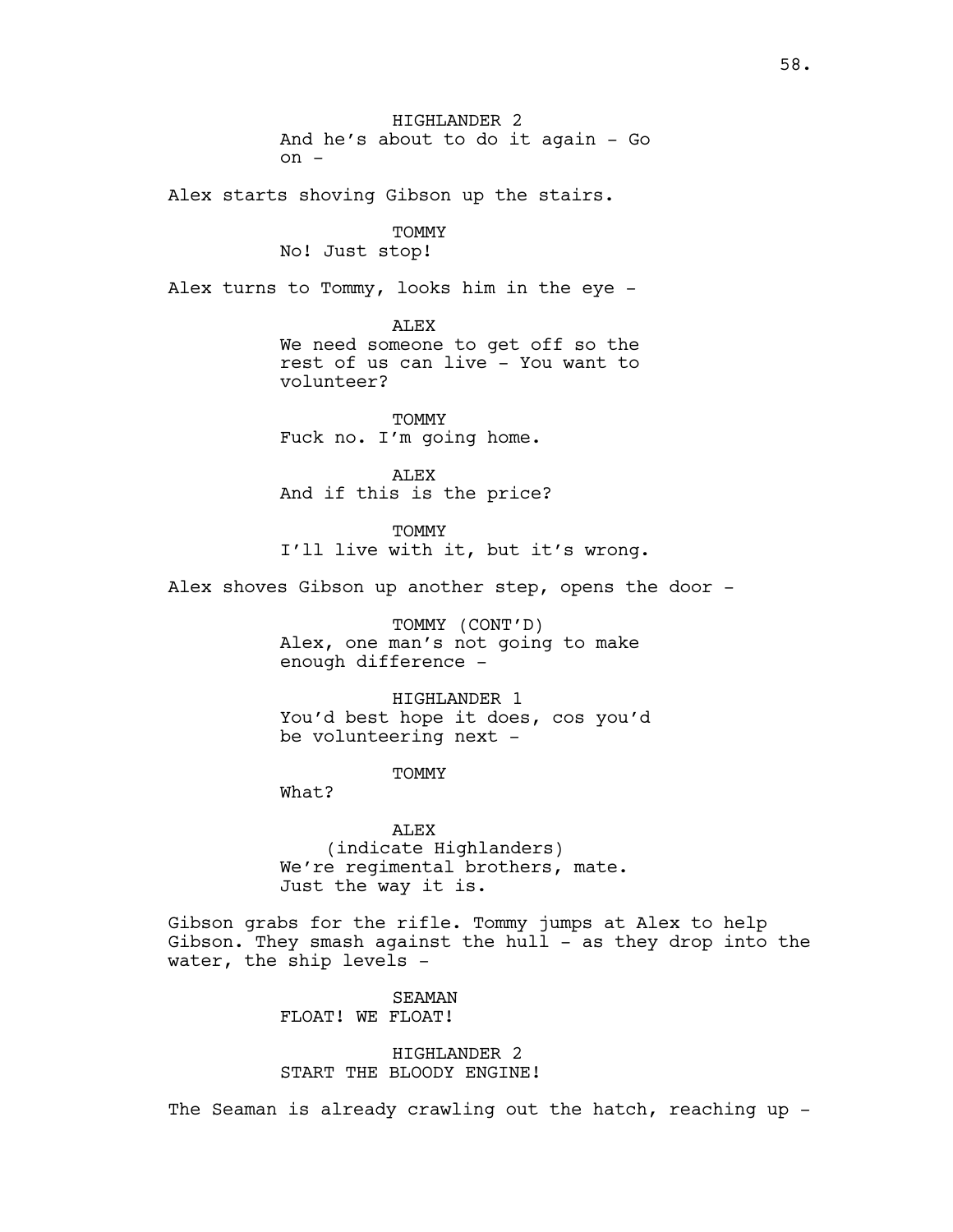HIGHLANDER 2 And he's about to do it again - Go  $on -$ Alex starts shoving Gibson up the stairs. TOMMY No! Just stop! Alex turns to Tommy, looks him in the eye - ALEX We need someone to get off so the rest of us can live - You want to volunteer? TOMMY Fuck no. I'm going home. ALEX And if this is the price? **TOMMY** I'll live with it, but it's wrong. Alex shoves Gibson up another step, opens the door -

> TOMMY (CONT'D) Alex, one man's not going to make enough difference -

HIGHLANDER 1 You'd best hope it does, cos you'd be volunteering next -

**TOMMY** 

What?

ALEX (indicate Highlanders) We're regimental brothers, mate. Just the way it is.

Gibson grabs for the rifle. Tommy jumps at Alex to help Gibson. They smash against the hull - as they drop into the water, the ship levels -

> SEAMAN FLOAT! WE FLOAT!

HIGHLANDER 2 START THE BLOODY ENGINE!

The Seaman is already crawling out the hatch, reaching up -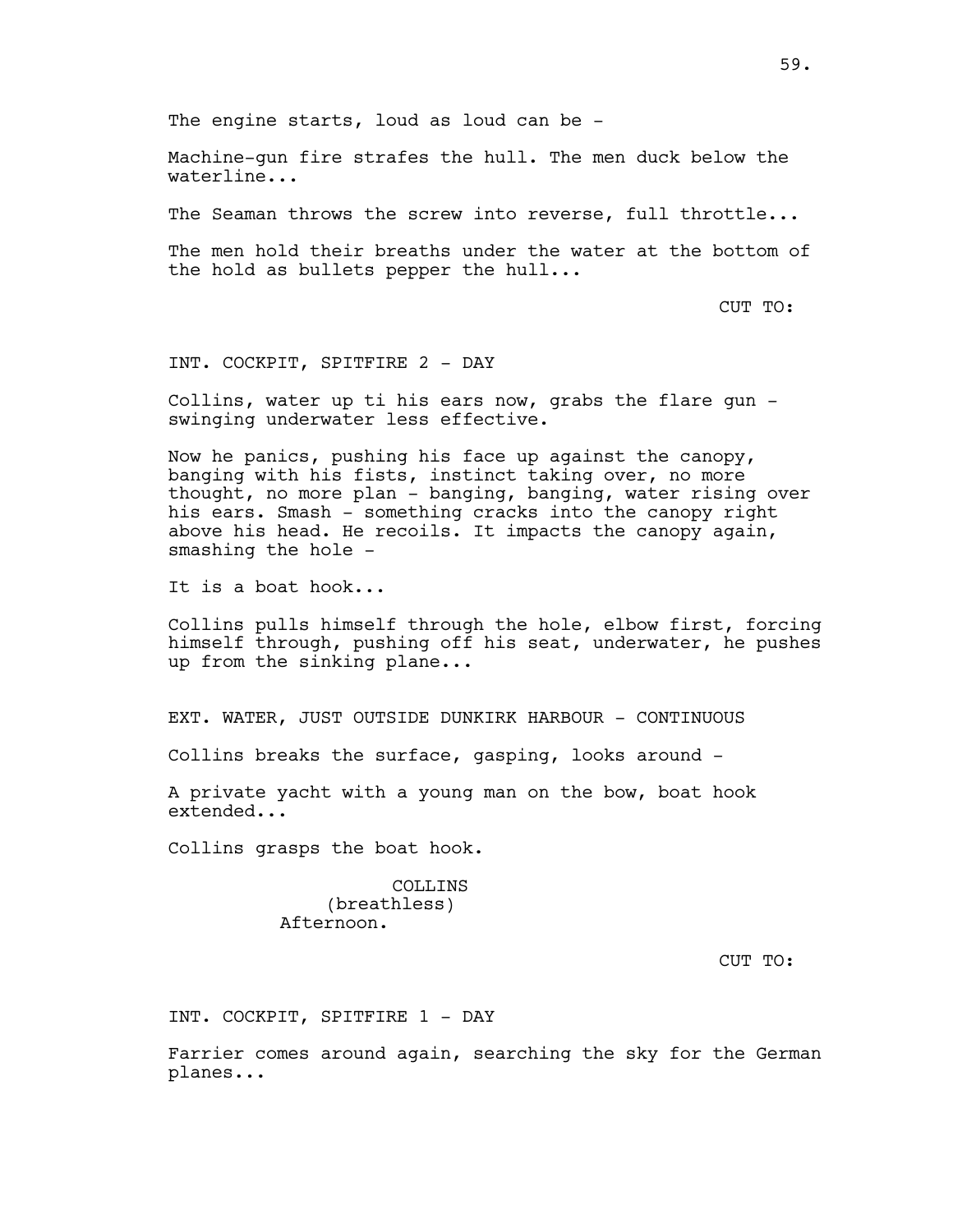The engine starts, loud as loud can be -

Machine-gun fire strafes the hull. The men duck below the waterline...

The Seaman throws the screw into reverse, full throttle...

The men hold their breaths under the water at the bottom of the hold as bullets pepper the hull...

CUT TO:

INT. COCKPIT, SPITFIRE 2 - DAY

Collins, water up ti his ears now, grabs the flare gun swinging underwater less effective.

Now he panics, pushing his face up against the canopy, banging with his fists, instinct taking over, no more thought, no more plan - banging, banging, water rising over his ears. Smash - something cracks into the canopy right above his head. He recoils. It impacts the canopy again, smashing the hole -

It is a boat hook...

Collins pulls himself through the hole, elbow first, forcing himself through, pushing off his seat, underwater, he pushes up from the sinking plane...

EXT. WATER, JUST OUTSIDE DUNKIRK HARBOUR - CONTINUOUS

Collins breaks the surface, gasping, looks around -

A private yacht with a young man on the bow, boat hook extended...

Collins grasps the boat hook.

COLLINS (breathless) Afternoon.

CUT TO:

INT. COCKPIT, SPITFIRE 1 - DAY

Farrier comes around again, searching the sky for the German planes...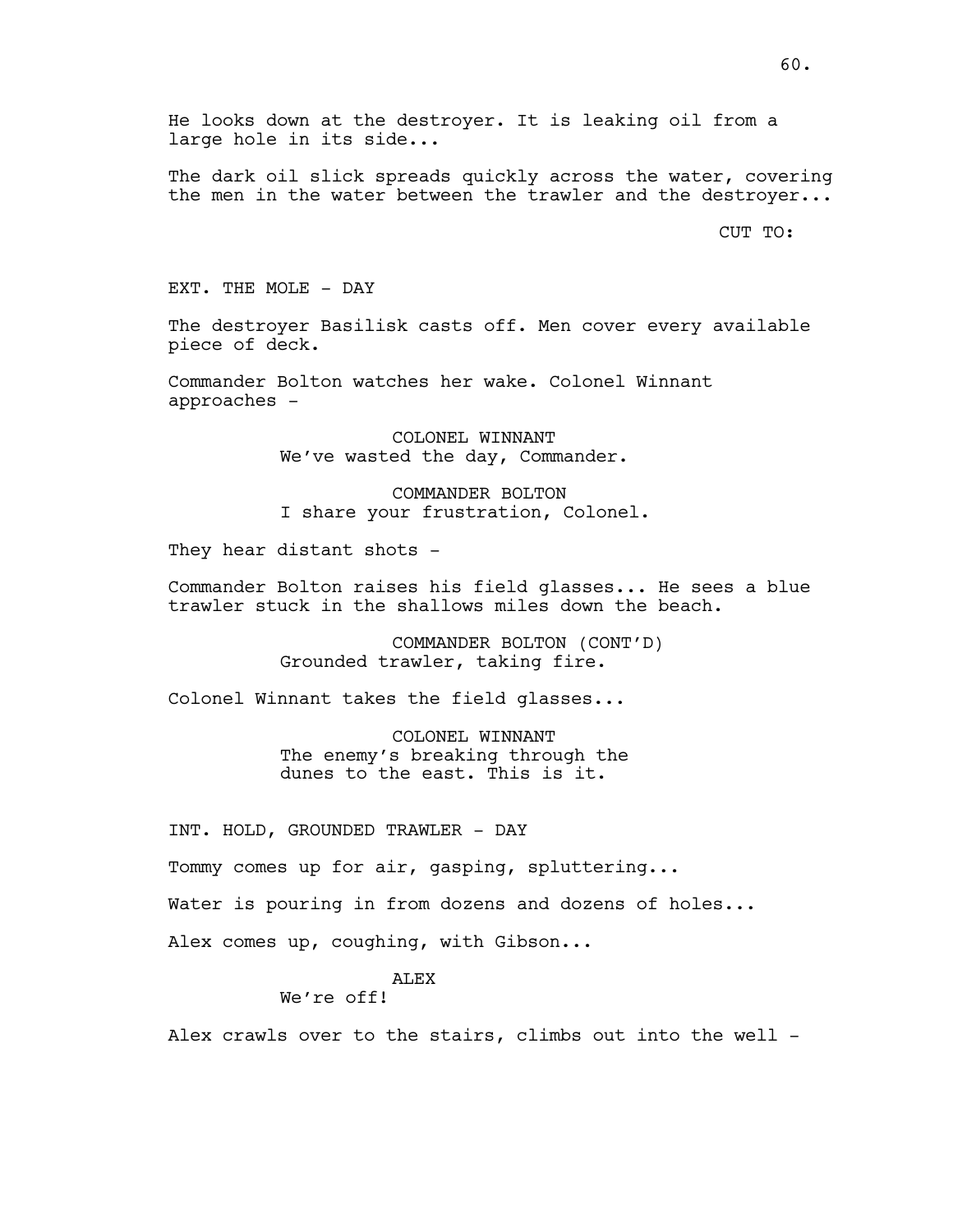He looks down at the destroyer. It is leaking oil from a large hole in its side...

The dark oil slick spreads quickly across the water, covering the men in the water between the trawler and the destroyer...

CUT TO:

EXT. THE MOLE - DAY

The destroyer Basilisk casts off. Men cover every available piece of deck.

Commander Bolton watches her wake. Colonel Winnant approaches -

> COLONEL WINNANT We've wasted the day, Commander.

COMMANDER BOLTON I share your frustration, Colonel.

They hear distant shots -

Commander Bolton raises his field glasses... He sees a blue trawler stuck in the shallows miles down the beach.

> COMMANDER BOLTON (CONT'D) Grounded trawler, taking fire.

Colonel Winnant takes the field glasses...

COLONEL WINNANT The enemy's breaking through the dunes to the east. This is it.

INT. HOLD, GROUNDED TRAWLER - DAY

Tommy comes up for air, gasping, spluttering...

Water is pouring in from dozens and dozens of holes...

Alex comes up, coughing, with Gibson...

### ALEX

We're off!

Alex crawls over to the stairs, climbs out into the well -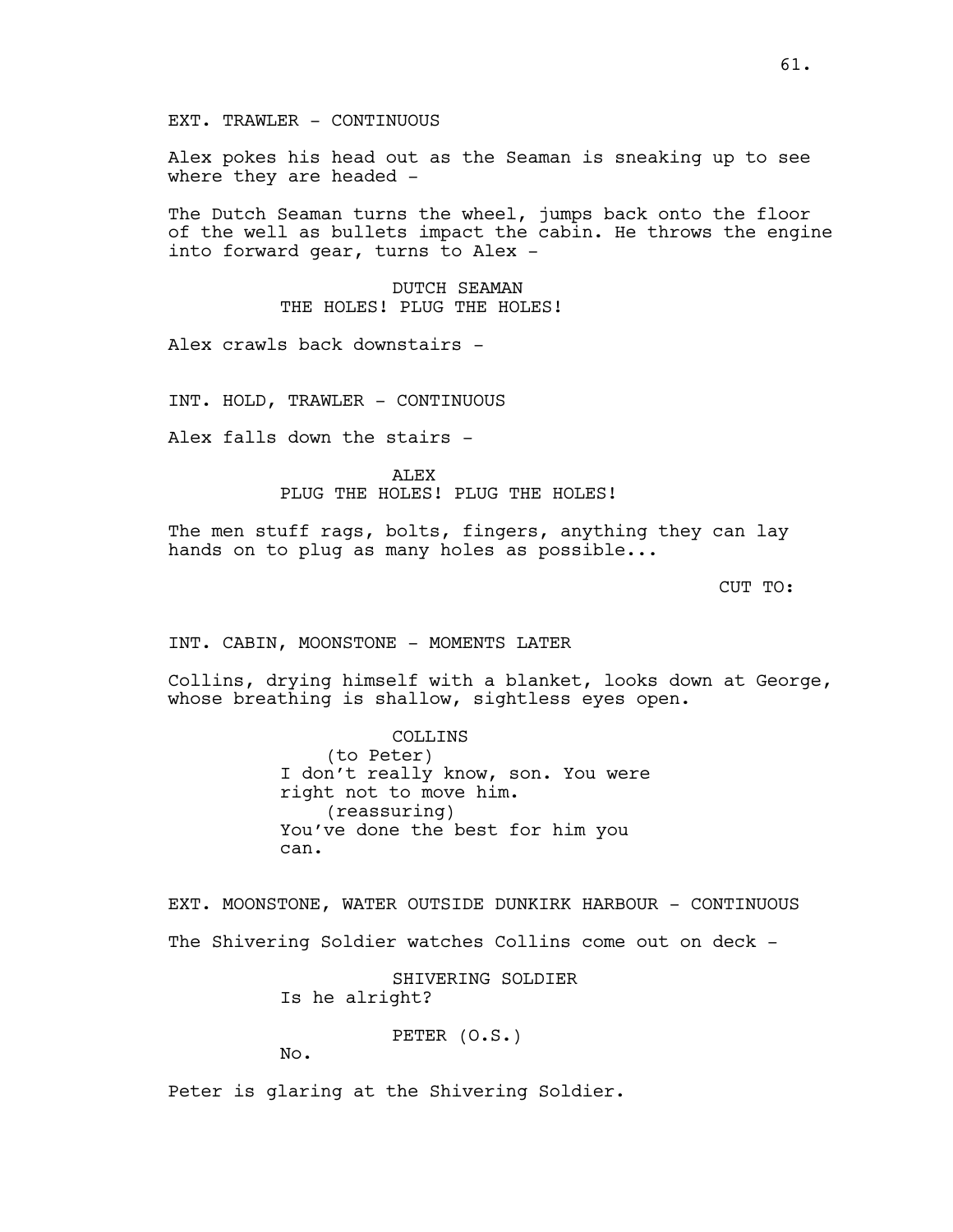Alex pokes his head out as the Seaman is sneaking up to see where they are headed -

The Dutch Seaman turns the wheel, jumps back onto the floor of the well as bullets impact the cabin. He throws the engine into forward gear, turns to Alex -

> DUTCH SEAMAN THE HOLES! PLUG THE HOLES!

Alex crawls back downstairs -

INT. HOLD, TRAWLER - CONTINUOUS

Alex falls down the stairs -

ALEX PLUG THE HOLES! PLUG THE HOLES!

The men stuff rags, bolts, fingers, anything they can lay hands on to plug as many holes as possible...

CUT TO:

INT. CABIN, MOONSTONE - MOMENTS LATER

Collins, drying himself with a blanket, looks down at George, whose breathing is shallow, sightless eyes open.

> COLLINS (to Peter) I don't really know, son. You were right not to move him. (reassuring) You've done the best for him you can.

EXT. MOONSTONE, WATER OUTSIDE DUNKIRK HARBOUR - CONTINUOUS The Shivering Soldier watches Collins come out on deck -

> SHIVERING SOLDIER Is he alright?

> > PETER (O.S.)

No.

Peter is glaring at the Shivering Soldier.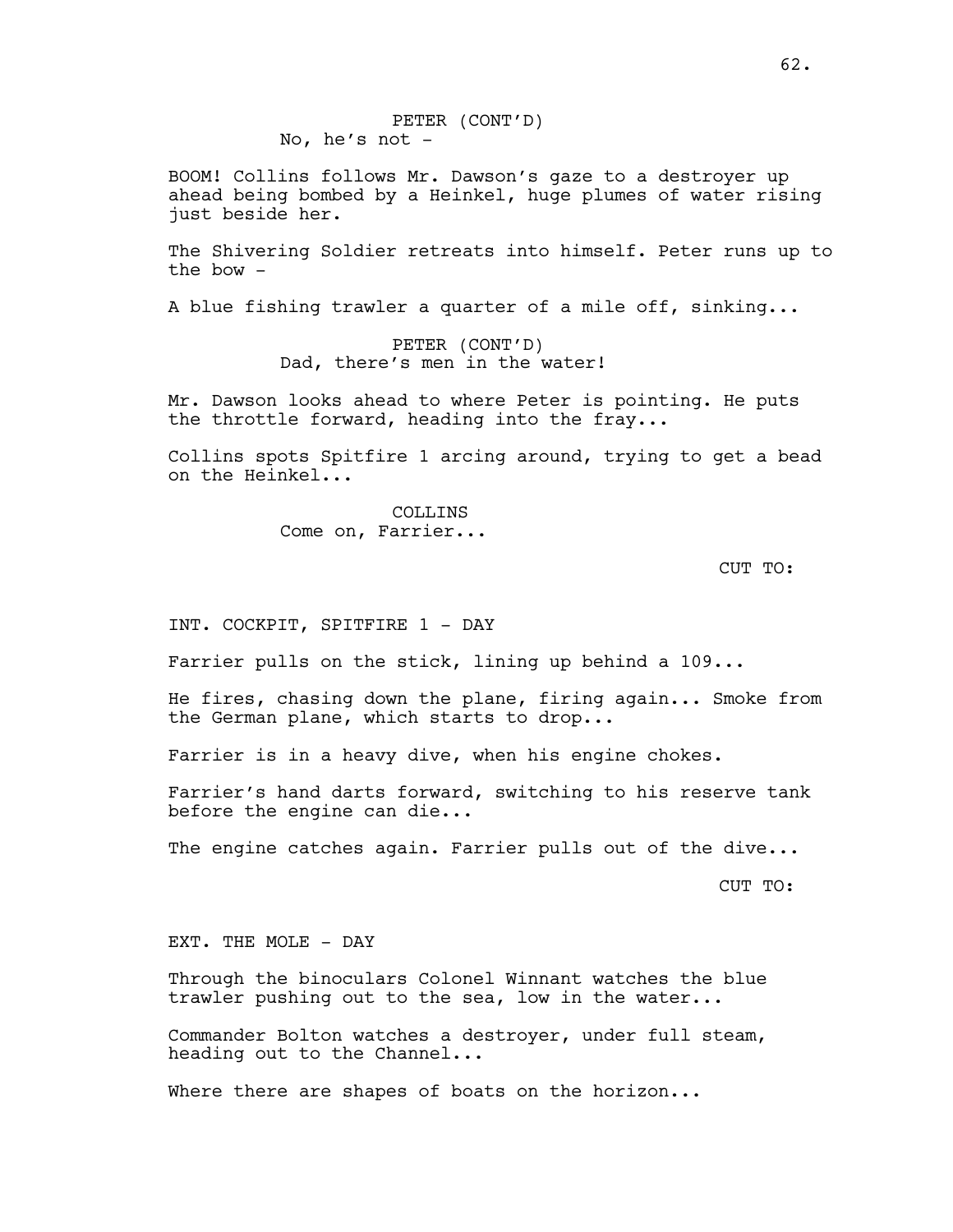BOOM! Collins follows Mr. Dawson's gaze to a destroyer up ahead being bombed by a Heinkel, huge plumes of water rising just beside her.

The Shivering Soldier retreats into himself. Peter runs up to the bow -

A blue fishing trawler a quarter of a mile off, sinking...

PETER (CONT'D) Dad, there's men in the water!

Mr. Dawson looks ahead to where Peter is pointing. He puts the throttle forward, heading into the fray...

Collins spots Spitfire 1 arcing around, trying to get a bead on the Heinkel...

> COLLINS Come on, Farrier...

> > CUT TO:

INT. COCKPIT, SPITFIRE 1 - DAY

Farrier pulls on the stick, lining up behind a 109...

He fires, chasing down the plane, firing again... Smoke from the German plane, which starts to drop...

Farrier is in a heavy dive, when his engine chokes.

Farrier's hand darts forward, switching to his reserve tank before the engine can die...

The engine catches again. Farrier pulls out of the dive...

CUT TO:

EXT. THE MOLE - DAY

Through the binoculars Colonel Winnant watches the blue trawler pushing out to the sea, low in the water...

Commander Bolton watches a destroyer, under full steam, heading out to the Channel...

Where there are shapes of boats on the horizon...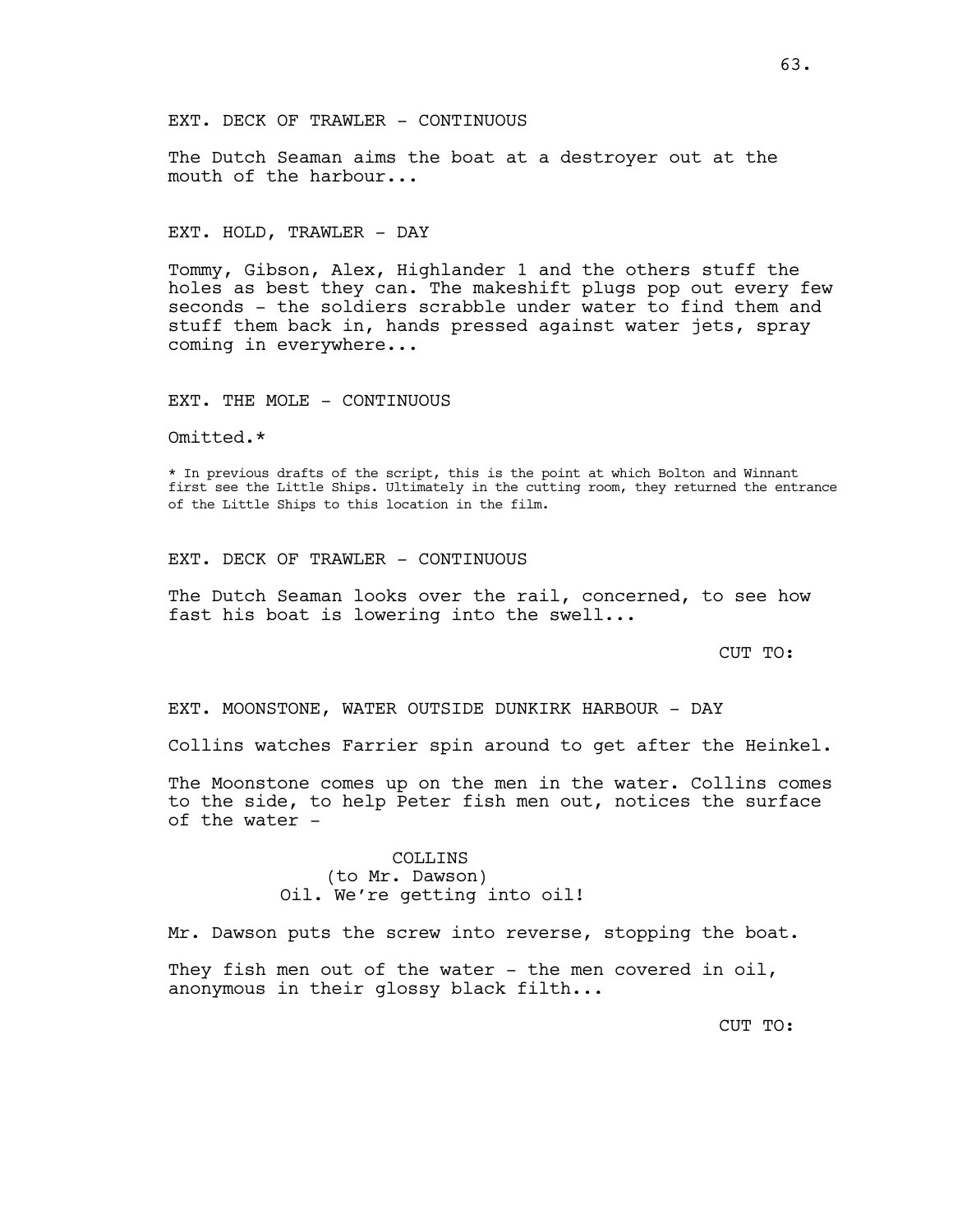EXT. DECK OF TRAWLER - CONTINUOUS

The Dutch Seaman aims the boat at a destroyer out at the mouth of the harbour...

#### EXT. HOLD, TRAWLER - DAY

Tommy, Gibson, Alex, Highlander 1 and the others stuff the holes as best they can. The makeshift plugs pop out every few seconds - the soldiers scrabble under water to find them and stuff them back in, hands pressed against water jets, spray coming in everywhere...

#### EXT. THE MOLE - CONTINUOUS

Omitted.\*

\* In previous drafts of the script, this is the point at which Bolton and Winnant first see the Little Ships. Ultimately in the cutting room, they returned the entrance of the Little Ships to this location in the film.

#### EXT. DECK OF TRAWLER - CONTINUOUS

The Dutch Seaman looks over the rail, concerned, to see how fast his boat is lowering into the swell...

CUT TO:

EXT. MOONSTONE, WATER OUTSIDE DUNKIRK HARBOUR - DAY

Collins watches Farrier spin around to get after the Heinkel.

The Moonstone comes up on the men in the water. Collins comes to the side, to help Peter fish men out, notices the surface of the water -

## COLLINS (to Mr. Dawson) Oil. We're getting into oil!

Mr. Dawson puts the screw into reverse, stopping the boat.

They fish men out of the water - the men covered in oil, anonymous in their glossy black filth...

CUT TO: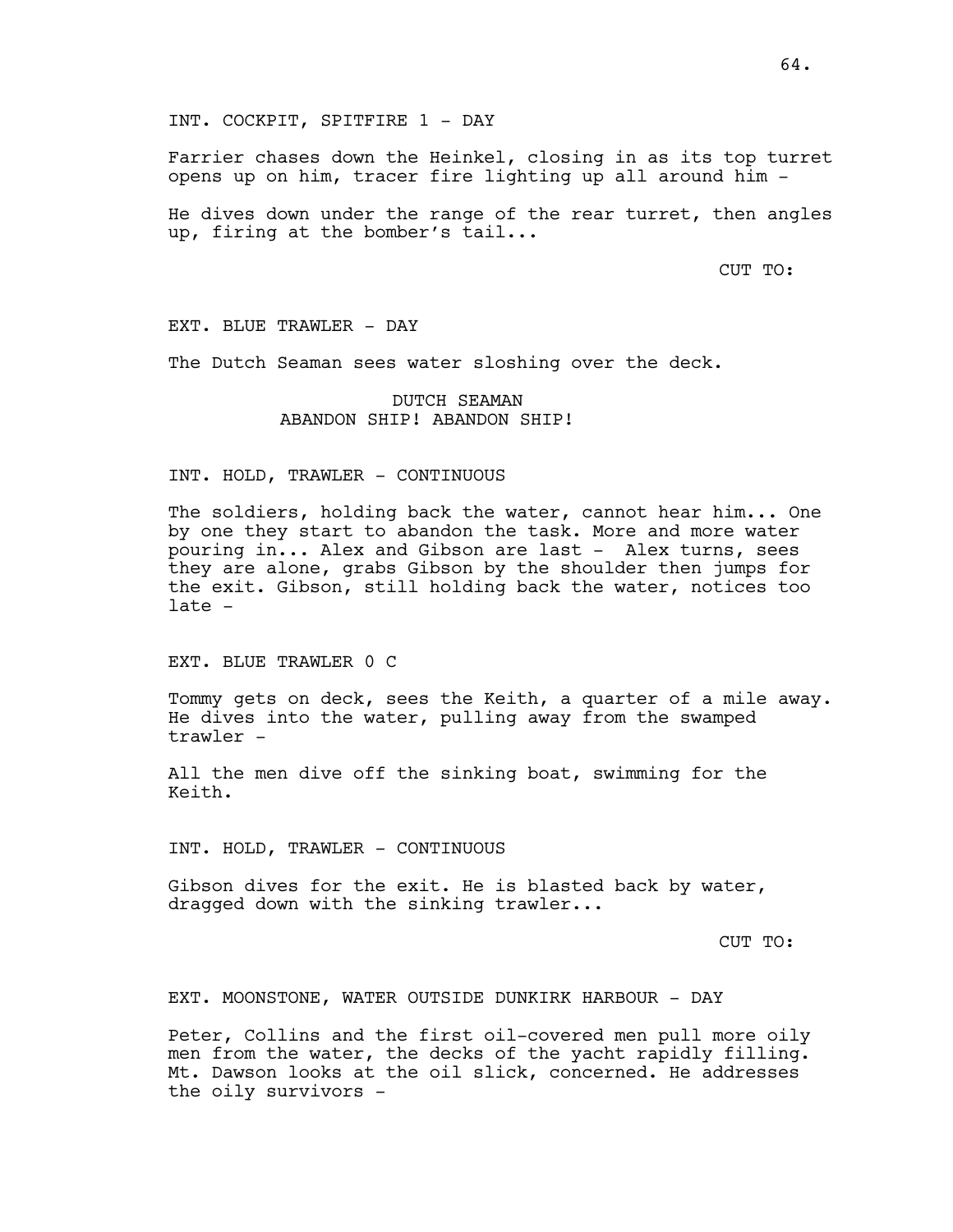INT. COCKPIT, SPITFIRE 1 - DAY

Farrier chases down the Heinkel, closing in as its top turret opens up on him, tracer fire lighting up all around him -

He dives down under the range of the rear turret, then angles up, firing at the bomber's tail...

CUT TO:

EXT. BLUE TRAWLER - DAY

The Dutch Seaman sees water sloshing over the deck.

## DUTCH SEAMAN ABANDON SHIP! ABANDON SHIP!

# INT. HOLD, TRAWLER - CONTINUOUS

The soldiers, holding back the water, cannot hear him... One by one they start to abandon the task. More and more water pouring in... Alex and Gibson are last - Alex turns, sees they are alone, grabs Gibson by the shoulder then jumps for the exit. Gibson, still holding back the water, notices too late -

EXT. BLUE TRAWLER 0 C

Tommy gets on deck, sees the Keith, a quarter of a mile away. He dives into the water, pulling away from the swamped trawler -

All the men dive off the sinking boat, swimming for the Keith.

INT. HOLD, TRAWLER - CONTINUOUS

Gibson dives for the exit. He is blasted back by water, dragged down with the sinking trawler...

CUT TO:

EXT. MOONSTONE, WATER OUTSIDE DUNKIRK HARBOUR - DAY

Peter, Collins and the first oil-covered men pull more oily men from the water, the decks of the yacht rapidly filling. Mt. Dawson looks at the oil slick, concerned. He addresses the oily survivors -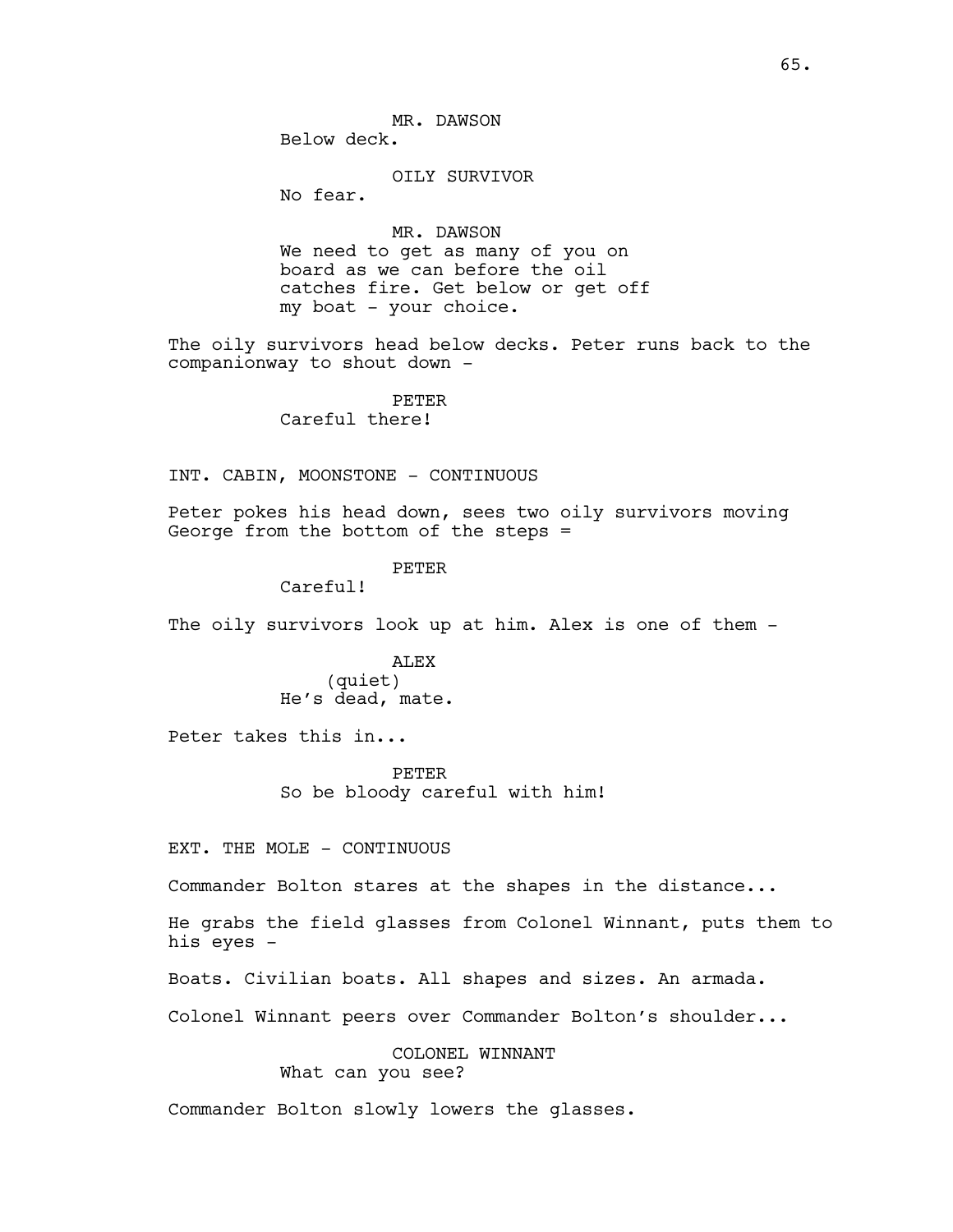OILY SURVIVOR

No fear.

MR. DAWSON We need to get as many of you on board as we can before the oil catches fire. Get below or get off my boat - your choice.

The oily survivors head below decks. Peter runs back to the companionway to shout down -

> PETER Careful there!

INT. CABIN, MOONSTONE - CONTINUOUS

Peter pokes his head down, sees two oily survivors moving George from the bottom of the steps =

## PETER

Careful!

The oily survivors look up at him. Alex is one of them -

## ALEX (quiet) He's dead, mate.

Peter takes this in...

PETER So be bloody careful with him!

EXT. THE MOLE - CONTINUOUS

Commander Bolton stares at the shapes in the distance...

He grabs the field glasses from Colonel Winnant, puts them to his eyes -

Boats. Civilian boats. All shapes and sizes. An armada.

Colonel Winnant peers over Commander Bolton's shoulder...

COLONEL WINNANT What can you see?

Commander Bolton slowly lowers the glasses.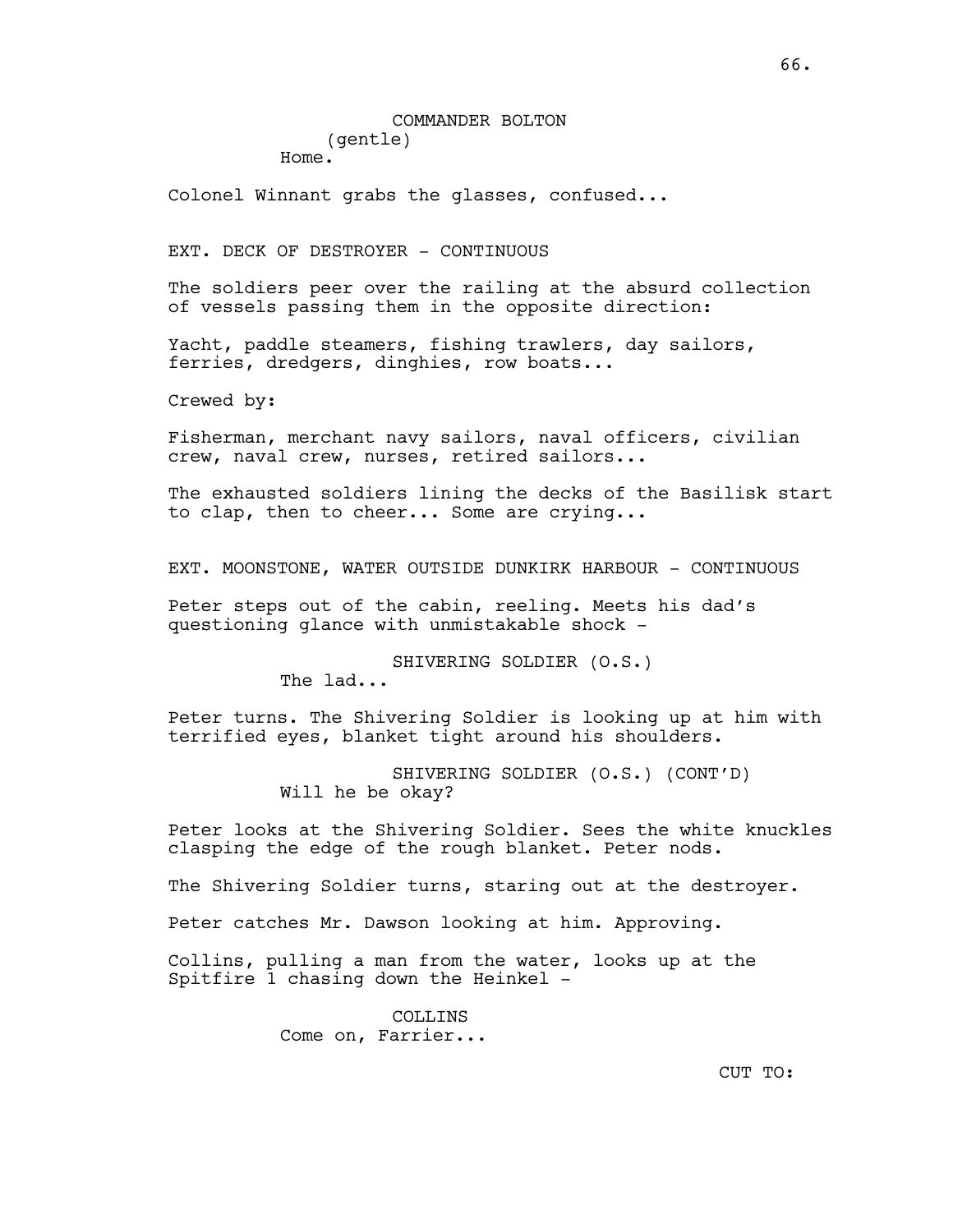Colonel Winnant grabs the glasses, confused...

EXT. DECK OF DESTROYER - CONTINUOUS

The soldiers peer over the railing at the absurd collection of vessels passing them in the opposite direction:

Yacht, paddle steamers, fishing trawlers, day sailors, ferries, dredgers, dinghies, row boats...

Crewed by:

Fisherman, merchant navy sailors, naval officers, civilian crew, naval crew, nurses, retired sailors...

The exhausted soldiers lining the decks of the Basilisk start to clap, then to cheer... Some are crying...

EXT. MOONSTONE, WATER OUTSIDE DUNKIRK HARBOUR - CONTINUOUS

Peter steps out of the cabin, reeling. Meets his dad's questioning glance with unmistakable shock -

> SHIVERING SOLDIER (O.S.) The lad...

Peter turns. The Shivering Soldier is looking up at him with terrified eyes, blanket tight around his shoulders.

> SHIVERING SOLDIER (O.S.) (CONT'D) Will he be okay?

Peter looks at the Shivering Soldier. Sees the white knuckles clasping the edge of the rough blanket. Peter nods.

The Shivering Soldier turns, staring out at the destroyer.

Peter catches Mr. Dawson looking at him. Approving.

Collins, pulling a man from the water, looks up at the Spitfire 1 chasing down the Heinkel -

> COLLINS Come on, Farrier...

CUT TO: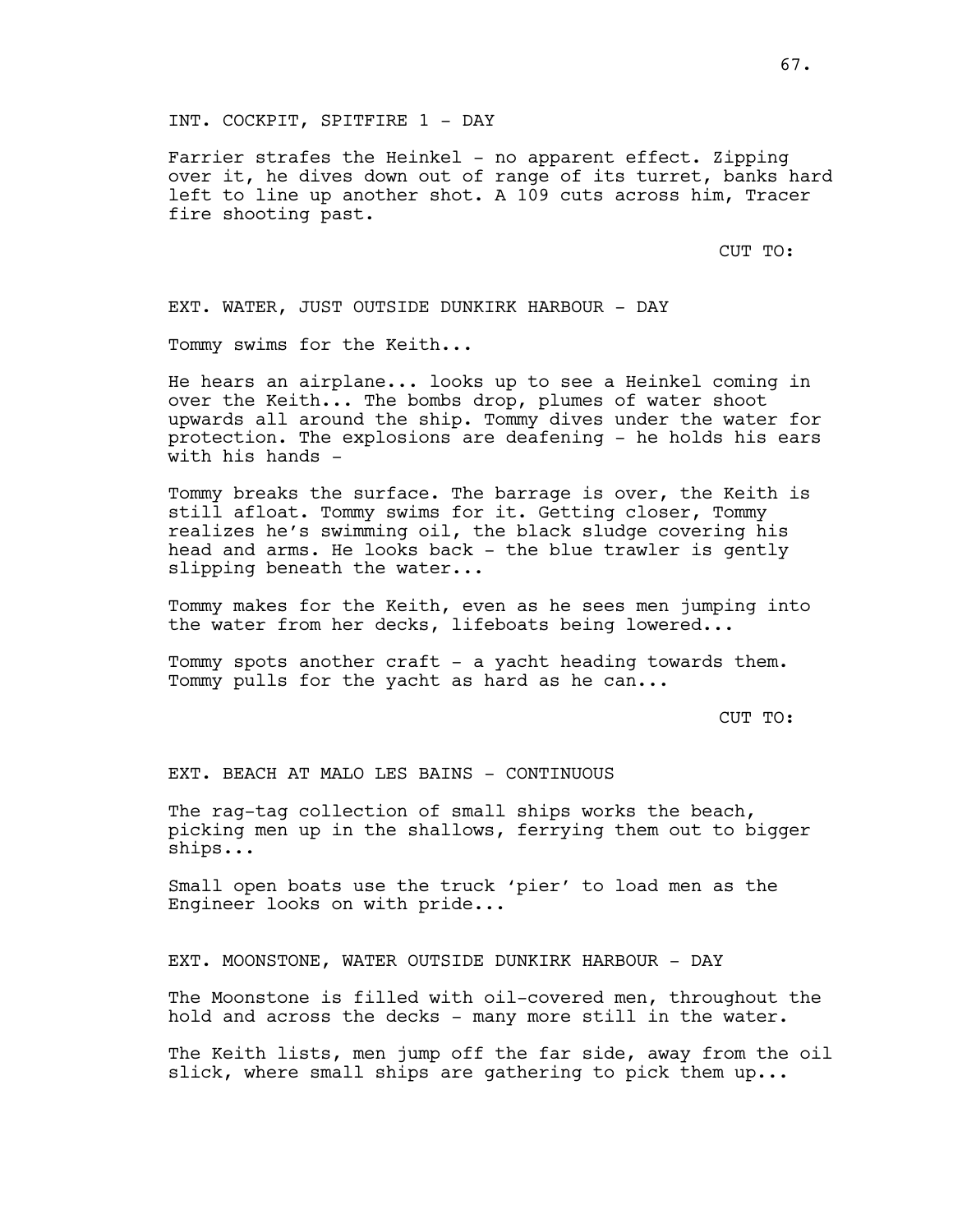INT. COCKPIT, SPITFIRE 1 - DAY

Farrier strafes the Heinkel - no apparent effect. Zipping over it, he dives down out of range of its turret, banks hard left to line up another shot. A 109 cuts across him, Tracer fire shooting past.

CUT TO:

EXT. WATER, JUST OUTSIDE DUNKIRK HARBOUR - DAY

Tommy swims for the Keith...

He hears an airplane... looks up to see a Heinkel coming in over the Keith... The bombs drop, plumes of water shoot upwards all around the ship. Tommy dives under the water for protection. The explosions are deafening - he holds his ears with his hands -

Tommy breaks the surface. The barrage is over, the Keith is still afloat. Tommy swims for it. Getting closer, Tommy realizes he's swimming oil, the black sludge covering his head and arms. He looks back - the blue trawler is gently slipping beneath the water...

Tommy makes for the Keith, even as he sees men jumping into the water from her decks, lifeboats being lowered...

Tommy spots another craft - a yacht heading towards them. Tommy pulls for the yacht as hard as he can...

CUT TO:

EXT. BEACH AT MALO LES BAINS - CONTINUOUS

The rag-tag collection of small ships works the beach, picking men up in the shallows, ferrying them out to bigger ships...

Small open boats use the truck 'pier' to load men as the Engineer looks on with pride...

EXT. MOONSTONE, WATER OUTSIDE DUNKIRK HARBOUR - DAY

The Moonstone is filled with oil-covered men, throughout the hold and across the decks - many more still in the water.

The Keith lists, men jump off the far side, away from the oil slick, where small ships are gathering to pick them up...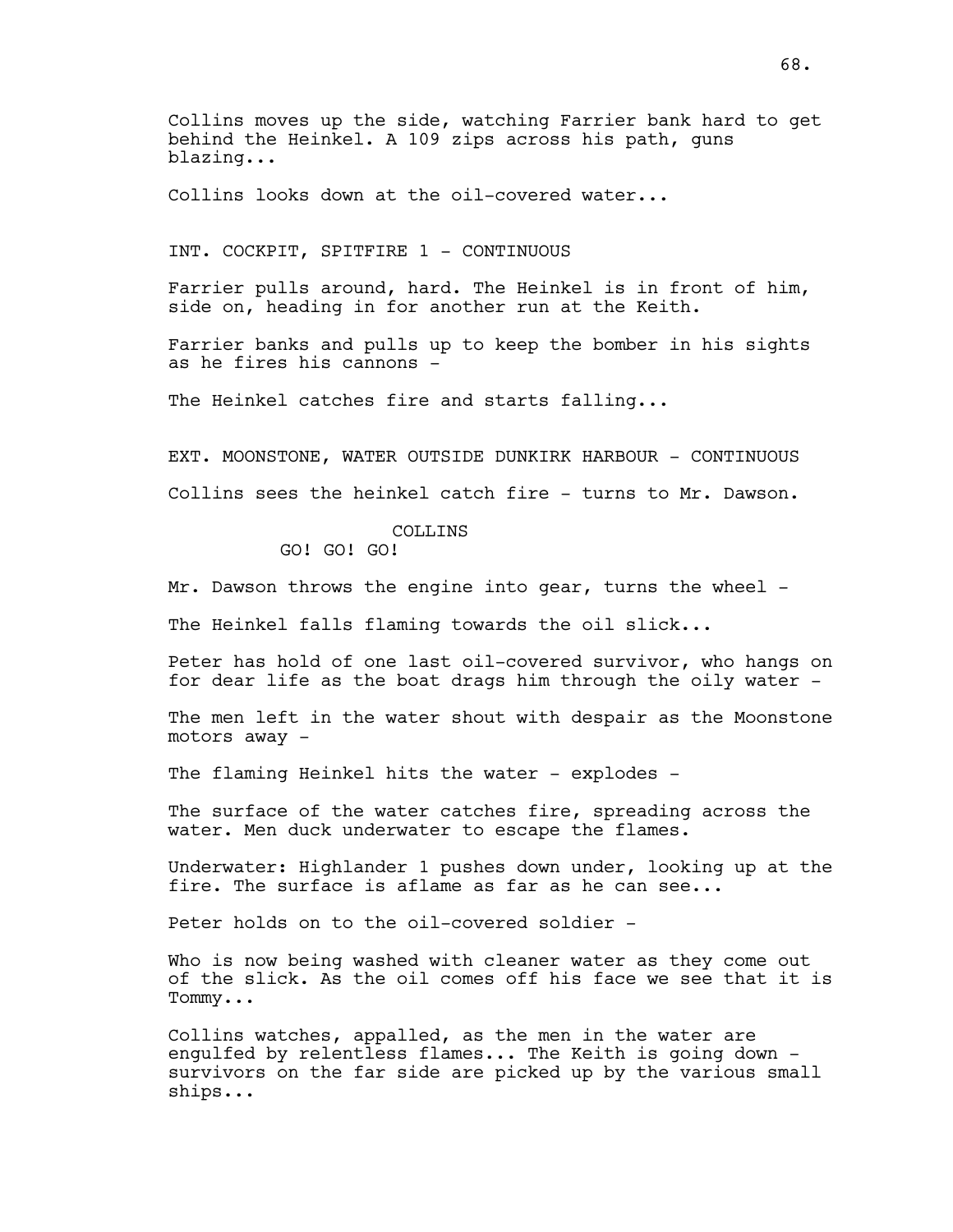Collins moves up the side, watching Farrier bank hard to get behind the Heinkel. A 109 zips across his path, guns blazing...

Collins looks down at the oil-covered water...

INT. COCKPIT, SPITFIRE 1 - CONTINUOUS

Farrier pulls around, hard. The Heinkel is in front of him, side on, heading in for another run at the Keith.

Farrier banks and pulls up to keep the bomber in his sights as he fires his cannons -

The Heinkel catches fire and starts falling...

EXT. MOONSTONE, WATER OUTSIDE DUNKIRK HARBOUR - CONTINUOUS Collins sees the heinkel catch fire - turns to Mr. Dawson.

### COLLINS

GO! GO! GO!

Mr. Dawson throws the engine into gear, turns the wheel -

The Heinkel falls flaming towards the oil slick...

Peter has hold of one last oil-covered survivor, who hangs on for dear life as the boat drags him through the oily water -

The men left in the water shout with despair as the Moonstone motors away -

The flaming Heinkel hits the water - explodes -

The surface of the water catches fire, spreading across the water. Men duck underwater to escape the flames.

Underwater: Highlander 1 pushes down under, looking up at the fire. The surface is aflame as far as he can see...

Peter holds on to the oil-covered soldier -

Who is now being washed with cleaner water as they come out of the slick. As the oil comes off his face we see that it is Tommy...

Collins watches, appalled, as the men in the water are engulfed by relentless flames... The Keith is going down survivors on the far side are picked up by the various small ships...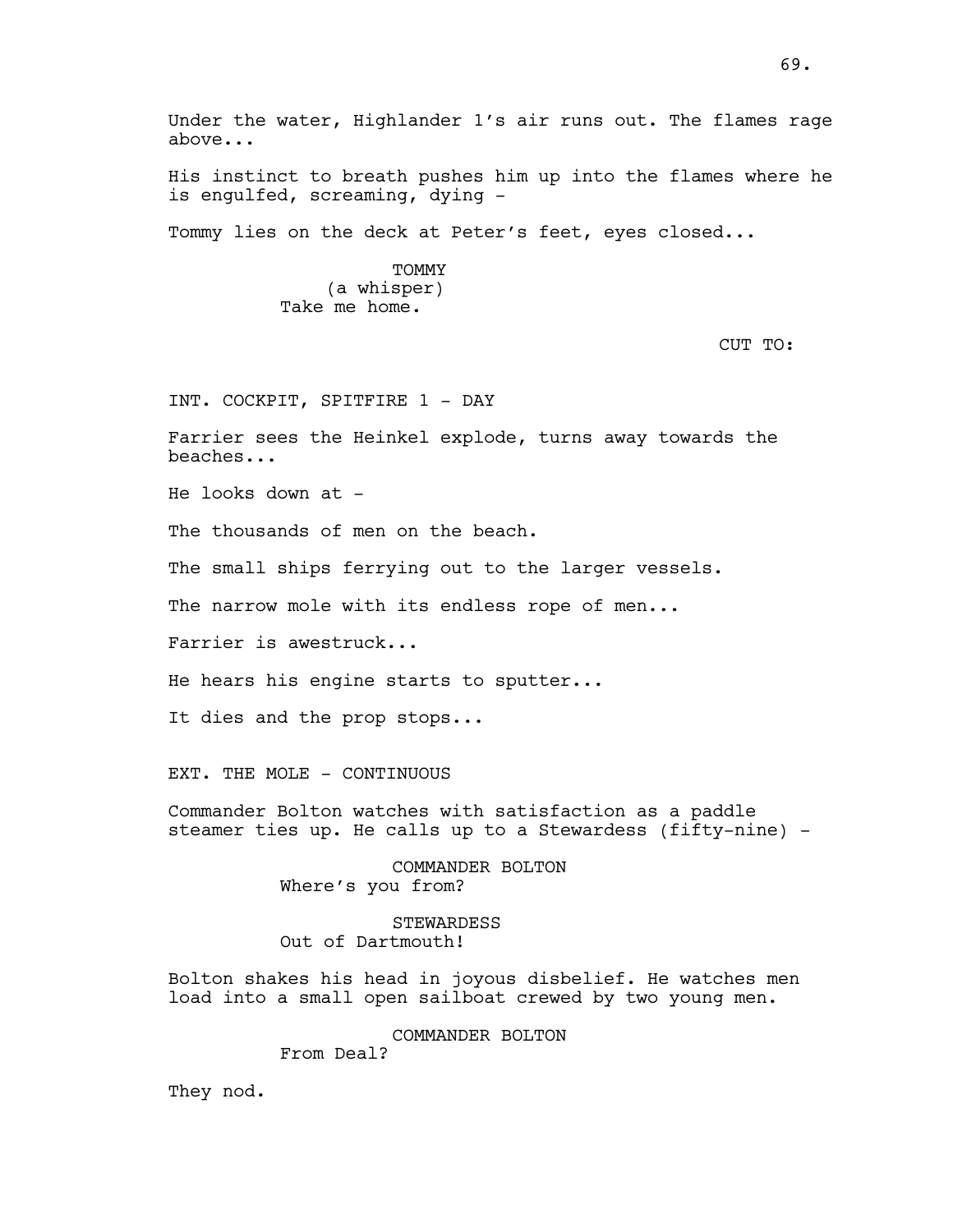Under the water, Highlander 1's air runs out. The flames rage above...

His instinct to breath pushes him up into the flames where he is engulfed, screaming, dying -

Tommy lies on the deck at Peter's feet, eyes closed...

TOMMY (a whisper) Take me home.

CUT TO:

INT. COCKPIT, SPITFIRE 1 - DAY

Farrier sees the Heinkel explode, turns away towards the beaches...

He looks down at -

The thousands of men on the beach.

The small ships ferrying out to the larger vessels.

The narrow mole with its endless rope of men...

Farrier is awestruck...

He hears his engine starts to sputter...

It dies and the prop stops...

EXT. THE MOLE - CONTINUOUS

Commander Bolton watches with satisfaction as a paddle steamer ties up. He calls up to a Stewardess (fifty-nine) -

> COMMANDER BOLTON Where's you from?

STEWARDESS Out of Dartmouth!

Bolton shakes his head in joyous disbelief. He watches men load into a small open sailboat crewed by two young men.

COMMANDER BOLTON

From Deal?

They nod.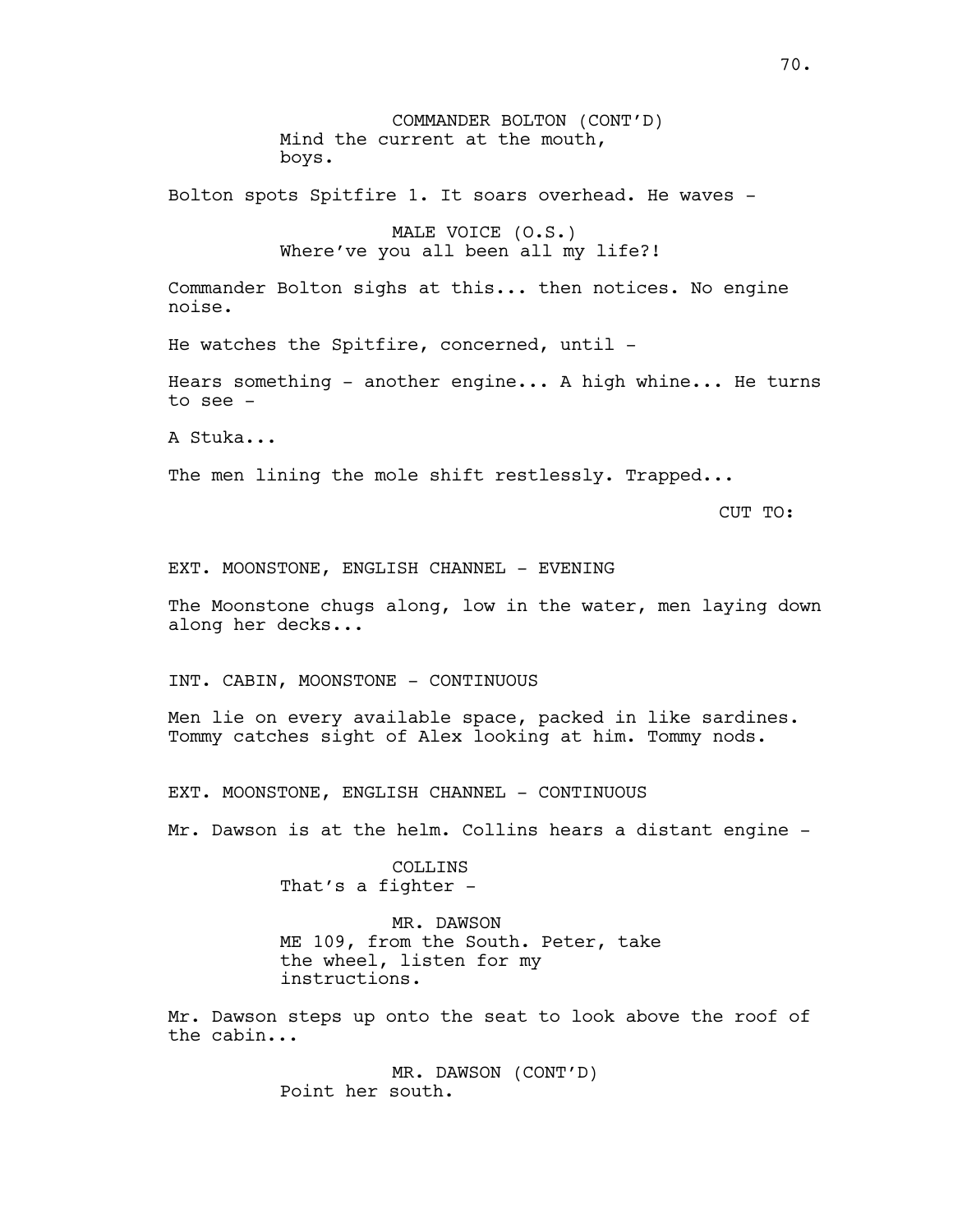COMMANDER BOLTON (CONT'D) Mind the current at the mouth, boys. Bolton spots Spitfire 1. It soars overhead. He waves - MALE VOICE (O.S.) Where've you all been all my life?! Commander Bolton sighs at this... then notices. No engine noise. He watches the Spitfire, concerned, until -Hears something - another engine... A high whine... He turns to see - A Stuka... The men lining the mole shift restlessly. Trapped... CUT TO: EXT. MOONSTONE, ENGLISH CHANNEL - EVENING The Moonstone chugs along, low in the water, men laying down along her decks... INT. CABIN, MOONSTONE - CONTINUOUS Men lie on every available space, packed in like sardines. Tommy catches sight of Alex looking at him. Tommy nods. EXT. MOONSTONE, ENGLISH CHANNEL - CONTINUOUS Mr. Dawson is at the helm. Collins hears a distant engine - COLLINS That's a fighter -MR. DAWSON ME 109, from the South. Peter, take the wheel, listen for my instructions.

Mr. Dawson steps up onto the seat to look above the roof of the cabin...

> MR. DAWSON (CONT'D) Point her south.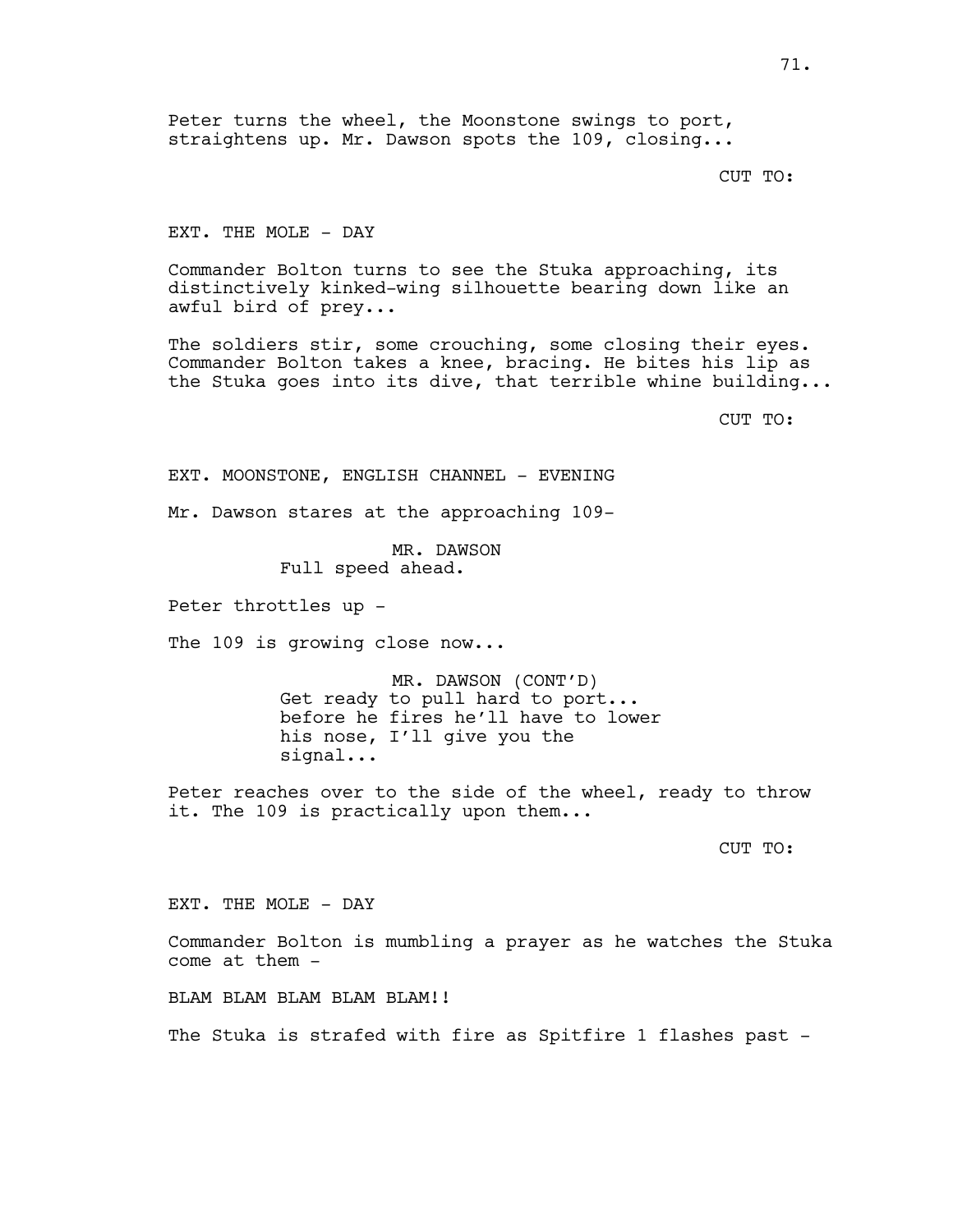Peter turns the wheel, the Moonstone swings to port, straightens up. Mr. Dawson spots the 109, closing...

CUT TO:

EXT. THE MOLE - DAY

Commander Bolton turns to see the Stuka approaching, its distinctively kinked-wing silhouette bearing down like an awful bird of prey...

The soldiers stir, some crouching, some closing their eyes. Commander Bolton takes a knee, bracing. He bites his lip as the Stuka goes into its dive, that terrible whine building...

CUT TO:

EXT. MOONSTONE, ENGLISH CHANNEL - EVENING

Mr. Dawson stares at the approaching 109-

MR. DAWSON Full speed ahead.

Peter throttles up -

The 109 is growing close now...

MR. DAWSON (CONT'D) Get ready to pull hard to port... before he fires he'll have to lower his nose, I'll give you the signal...

Peter reaches over to the side of the wheel, ready to throw it. The 109 is practically upon them...

CUT TO:

EXT. THE MOLE - DAY

Commander Bolton is mumbling a prayer as he watches the Stuka come at them -

BLAM BLAM BLAM BLAM BLAM!!

The Stuka is strafed with fire as Spitfire 1 flashes past -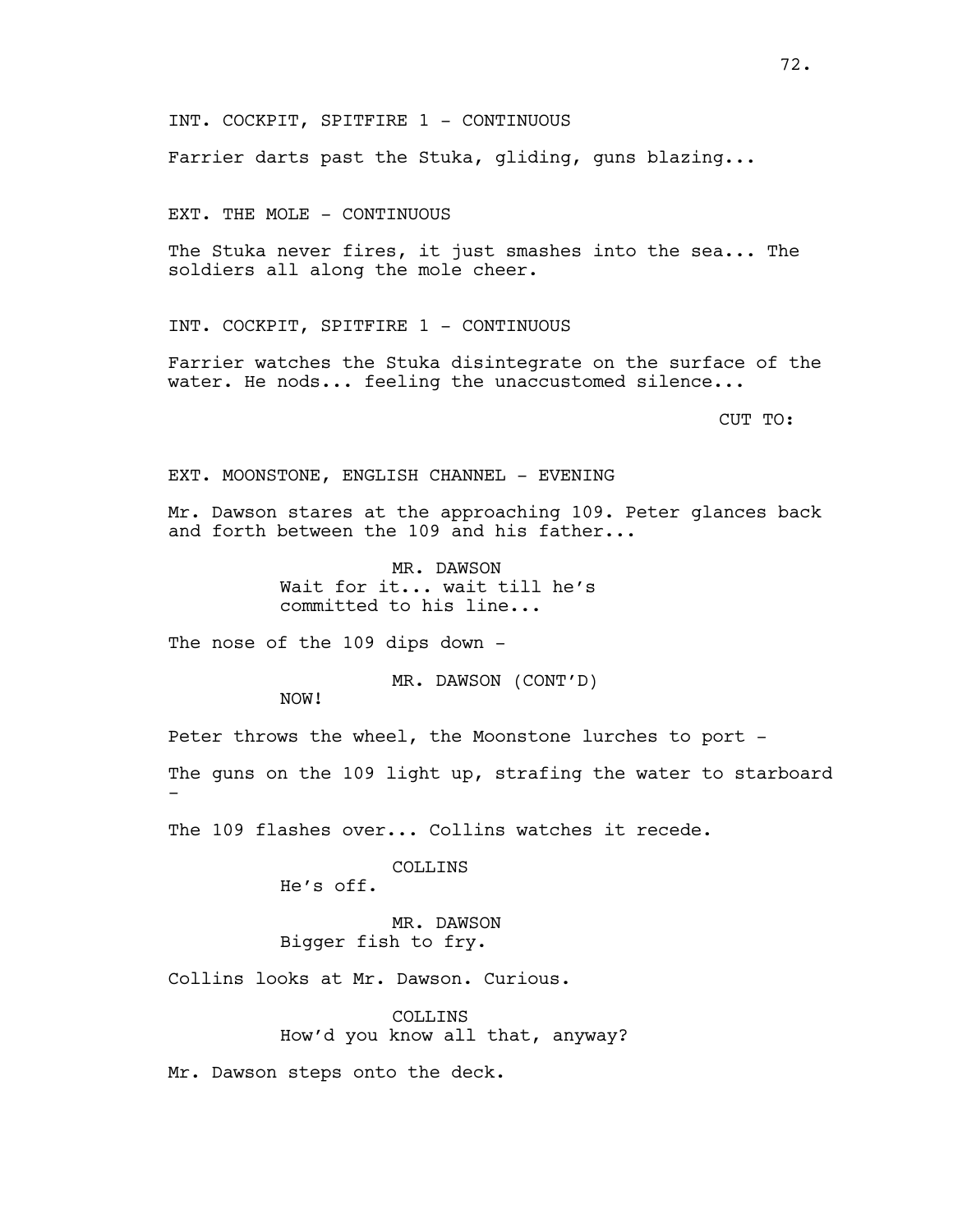Farrier darts past the Stuka, gliding, guns blazing...

EXT. THE MOLE - CONTINUOUS

The Stuka never fires, it just smashes into the sea... The soldiers all along the mole cheer.

INT. COCKPIT, SPITFIRE 1 - CONTINUOUS

Farrier watches the Stuka disintegrate on the surface of the water. He nods... feeling the unaccustomed silence...

CUT TO:

EXT. MOONSTONE, ENGLISH CHANNEL - EVENING

Mr. Dawson stares at the approaching 109. Peter glances back and forth between the 109 and his father...

> MR. DAWSON Wait for it... wait till he's committed to his line...

The nose of the 109 dips down -

MR. DAWSON (CONT'D)

NOW!

-

Peter throws the wheel, the Moonstone lurches to port -

The guns on the 109 light up, strafing the water to starboard

The 109 flashes over... Collins watches it recede.

COLLINS He's off.

MR. DAWSON Bigger fish to fry.

Collins looks at Mr. Dawson. Curious.

COLLINS How'd you know all that, anyway?

Mr. Dawson steps onto the deck.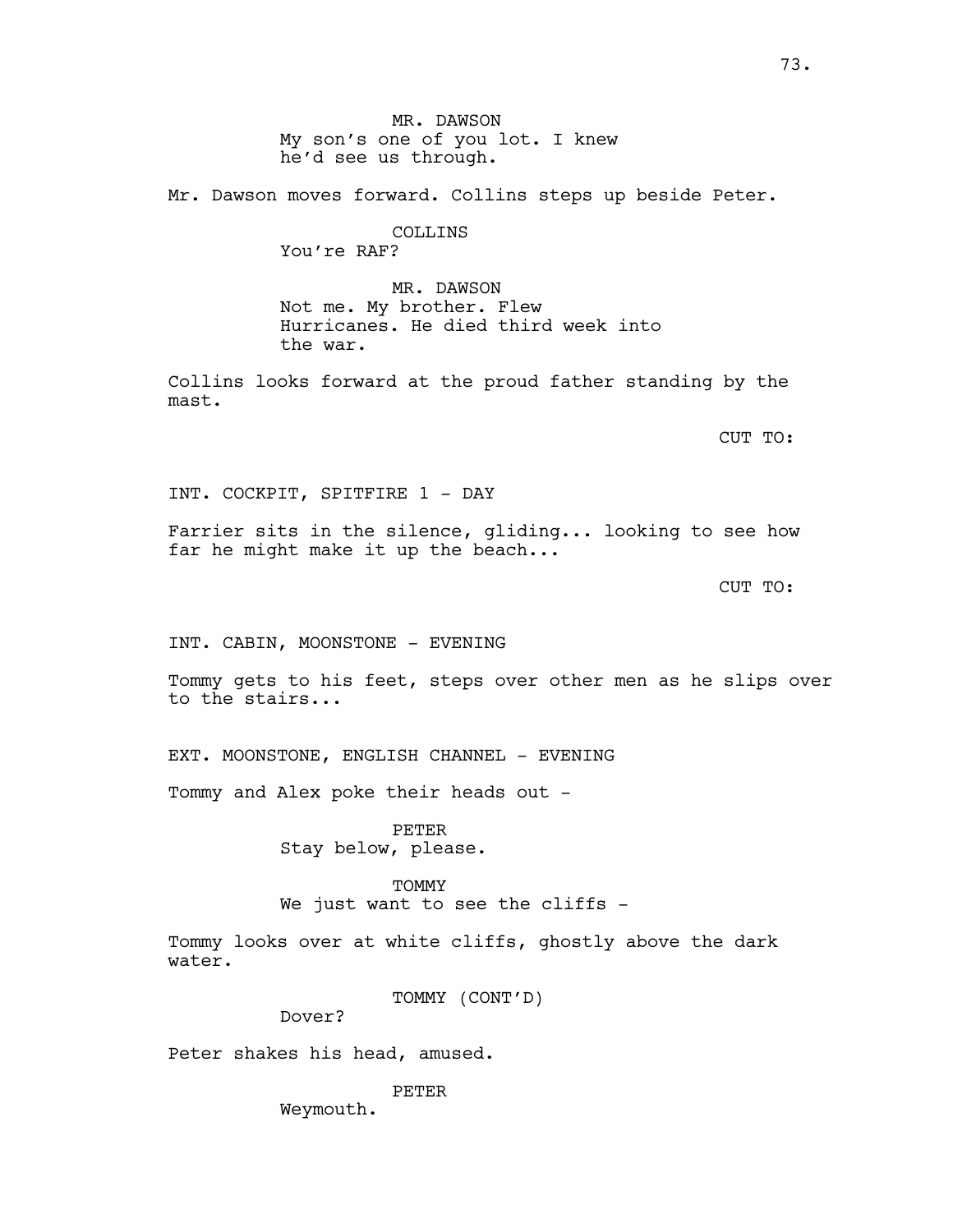MR. DAWSON My son's one of you lot. I knew he'd see us through.

Mr. Dawson moves forward. Collins steps up beside Peter.

## COLLINS You're RAF?

MR. DAWSON Not me. My brother. Flew Hurricanes. He died third week into the war.

Collins looks forward at the proud father standing by the mast.

CUT TO:

INT. COCKPIT, SPITFIRE 1 - DAY

Farrier sits in the silence, gliding... looking to see how far he might make it up the beach...

CUT TO:

INT. CABIN, MOONSTONE - EVENING

Tommy gets to his feet, steps over other men as he slips over to the stairs...

EXT. MOONSTONE, ENGLISH CHANNEL - EVENING

Tommy and Alex poke their heads out -

PETER Stay below, please.

#### **TOMMY**

We just want to see the cliffs -

Tommy looks over at white cliffs, ghostly above the dark water.

TOMMY (CONT'D)

Dover?

Peter shakes his head, amused.

PETER

Weymouth.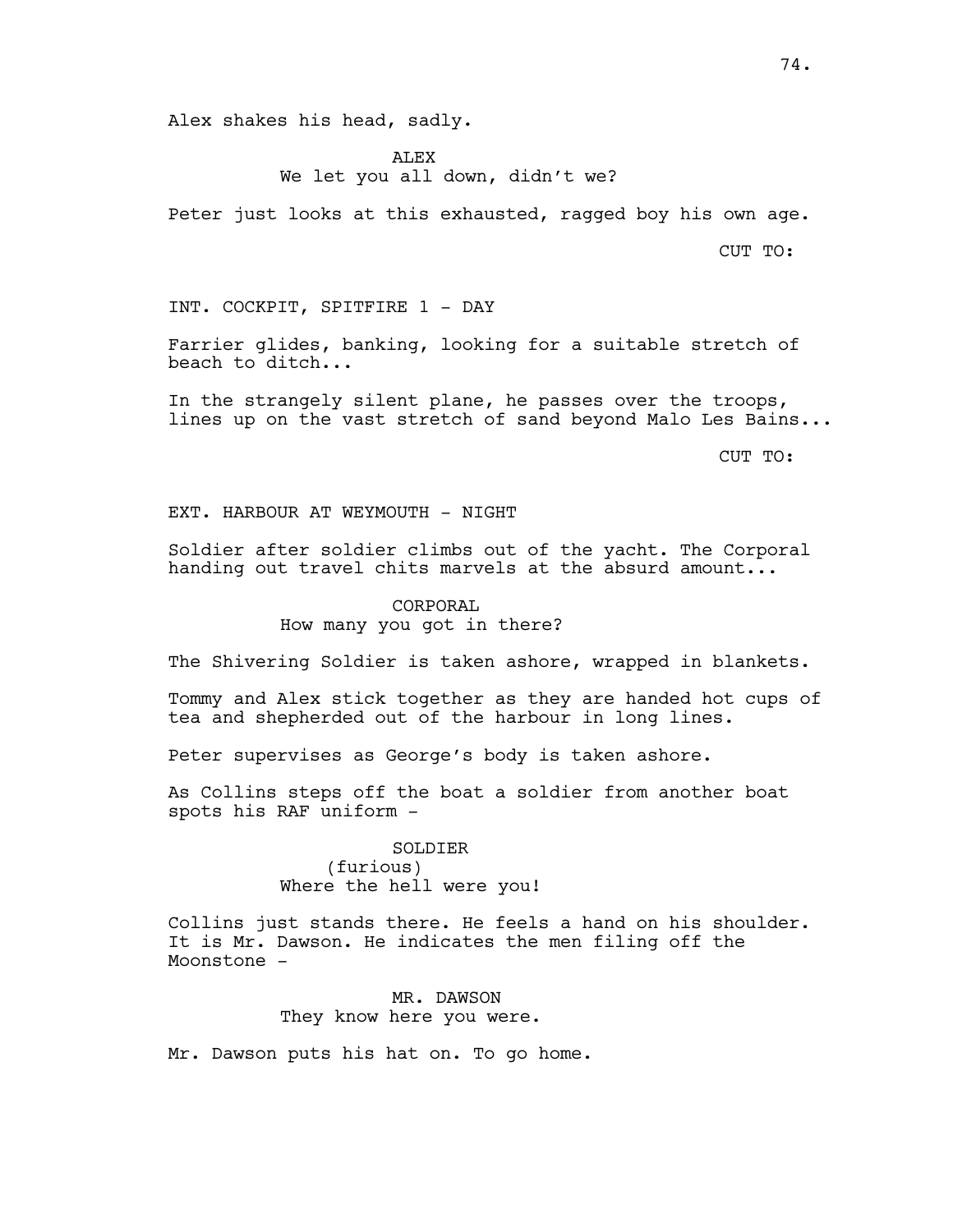Alex shakes his head, sadly.

ALEX We let you all down, didn't we?

Peter just looks at this exhausted, ragged boy his own age.

CUT TO:

INT. COCKPIT, SPITFIRE 1 - DAY

Farrier glides, banking, looking for a suitable stretch of beach to ditch...

In the strangely silent plane, he passes over the troops, lines up on the vast stretch of sand beyond Malo Les Bains...

CUT TO:

EXT. HARBOUR AT WEYMOUTH - NIGHT

Soldier after soldier climbs out of the yacht. The Corporal handing out travel chits marvels at the absurd amount...

# CORPORAL How many you got in there?

The Shivering Soldier is taken ashore, wrapped in blankets.

Tommy and Alex stick together as they are handed hot cups of tea and shepherded out of the harbour in long lines.

Peter supervises as George's body is taken ashore.

As Collins steps off the boat a soldier from another boat spots his RAF uniform -

> SOLDIER (furious) Where the hell were you!

Collins just stands there. He feels a hand on his shoulder. It is Mr. Dawson. He indicates the men filing off the Moonstone -

> MR. DAWSON They know here you were.

Mr. Dawson puts his hat on. To go home.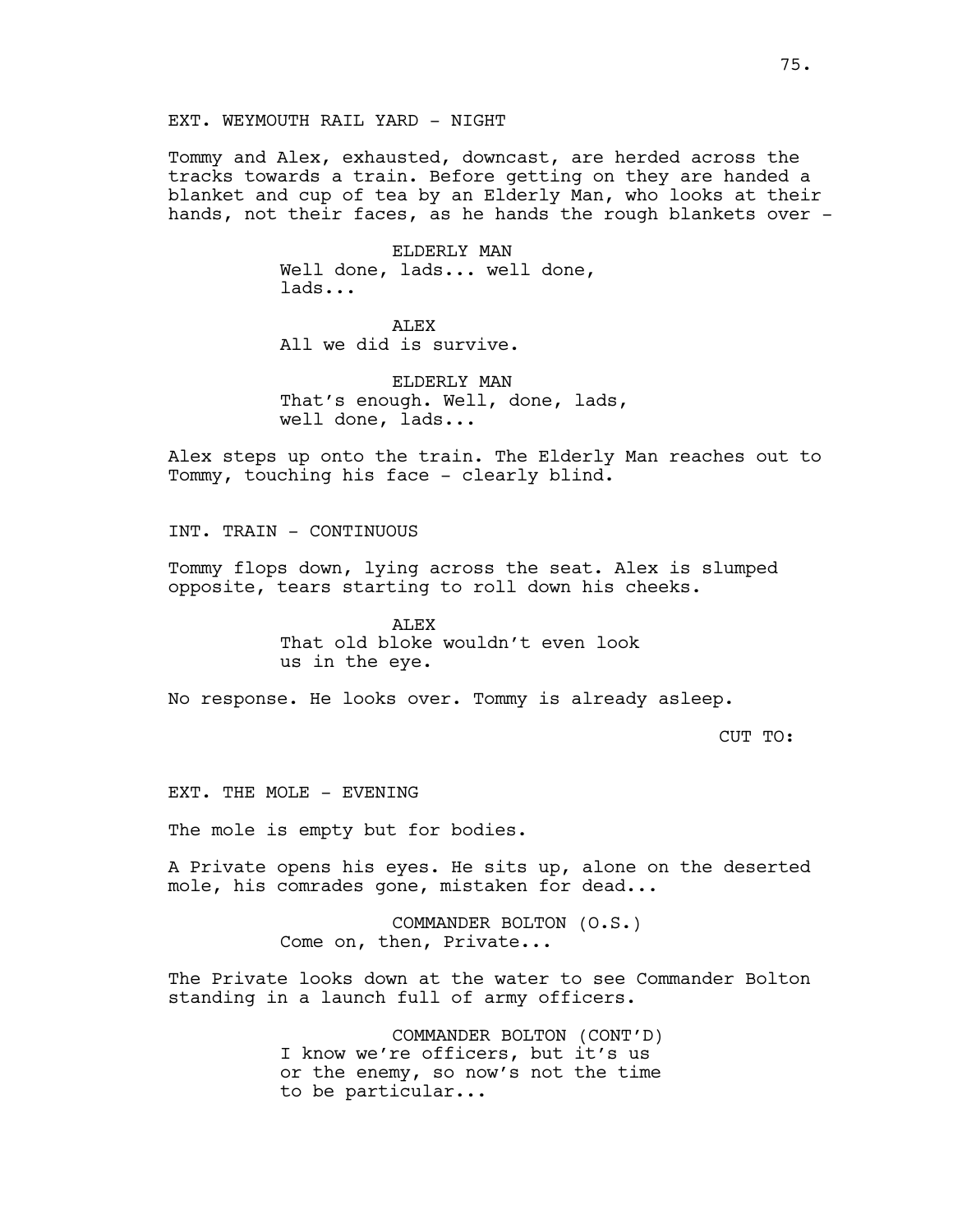EXT. WEYMOUTH RAIL YARD - NIGHT

Tommy and Alex, exhausted, downcast, are herded across the tracks towards a train. Before getting on they are handed a blanket and cup of tea by an Elderly Man, who looks at their hands, not their faces, as he hands the rough blankets over -

> ELDERLY MAN Well done, lads... well done, lads...

ALEX All we did is survive.

ELDERLY MAN That's enough. Well, done, lads, well done, lads...

Alex steps up onto the train. The Elderly Man reaches out to Tommy, touching his face - clearly blind.

INT. TRAIN - CONTINUOUS

Tommy flops down, lying across the seat. Alex is slumped opposite, tears starting to roll down his cheeks.

> ALEX That old bloke wouldn't even look us in the eye.

No response. He looks over. Tommy is already asleep.

CUT TO:

EXT. THE MOLE - EVENING

The mole is empty but for bodies.

A Private opens his eyes. He sits up, alone on the deserted mole, his comrades gone, mistaken for dead...

> COMMANDER BOLTON (O.S.) Come on, then, Private...

The Private looks down at the water to see Commander Bolton standing in a launch full of army officers.

> COMMANDER BOLTON (CONT'D) I know we're officers, but it's us or the enemy, so now's not the time to be particular...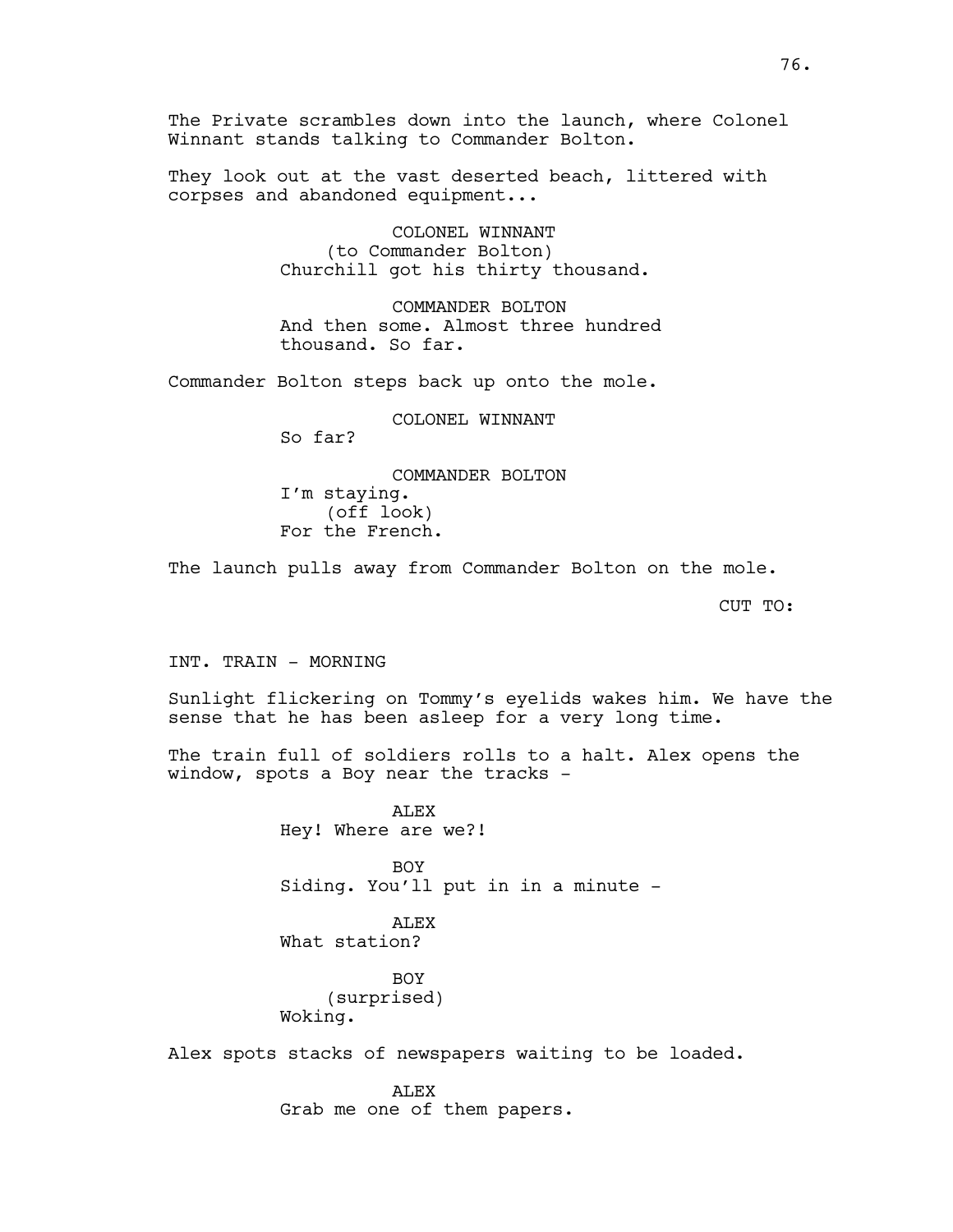The Private scrambles down into the launch, where Colonel Winnant stands talking to Commander Bolton.

They look out at the vast deserted beach, littered with corpses and abandoned equipment...

> COLONEL WINNANT (to Commander Bolton) Churchill got his thirty thousand.

COMMANDER BOLTON And then some. Almost three hundred thousand. So far.

Commander Bolton steps back up onto the mole.

COLONEL WINNANT So far? COMMANDER BOLTON I'm staying.

(off look) For the French.

The launch pulls away from Commander Bolton on the mole.

CUT TO:

INT. TRAIN - MORNING

Sunlight flickering on Tommy's eyelids wakes him. We have the sense that he has been asleep for a very long time.

The train full of soldiers rolls to a halt. Alex opens the window, spots a Boy near the tracks -

> ALEX Hey! Where are we?!

BOY Siding. You'll put in in a minute -

ALEX What station?

BOY (surprised) Woking.

Alex spots stacks of newspapers waiting to be loaded.

**ALEX** 

Grab me one of them papers.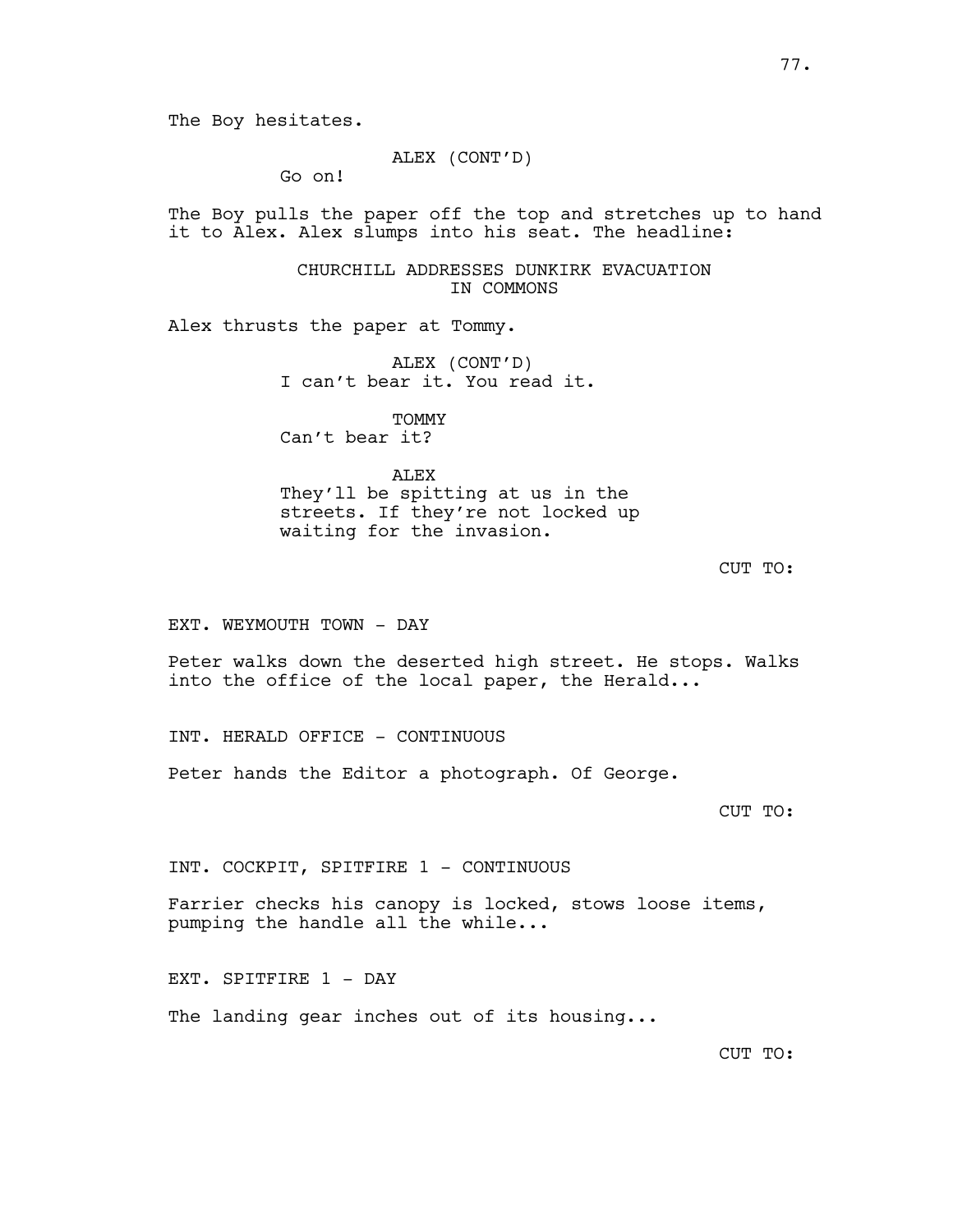## ALEX (CONT'D)

Go on!

The Boy pulls the paper off the top and stretches up to hand it to Alex. Alex slumps into his seat. The headline:

> CHURCHILL ADDRESSES DUNKIRK EVACUATION IN COMMONS

Alex thrusts the paper at Tommy.

ALEX (CONT'D) I can't bear it. You read it.

TOMMY Can't bear it?

ALEX They'll be spitting at us in the streets. If they're not locked up waiting for the invasion.

CUT TO:

EXT. WEYMOUTH TOWN - DAY

Peter walks down the deserted high street. He stops. Walks into the office of the local paper, the Herald...

INT. HERALD OFFICE - CONTINUOUS

Peter hands the Editor a photograph. Of George.

CUT TO:

INT. COCKPIT, SPITFIRE 1 - CONTINUOUS

Farrier checks his canopy is locked, stows loose items, pumping the handle all the while...

EXT. SPITFIRE 1 - DAY

The landing gear inches out of its housing...

CUT TO: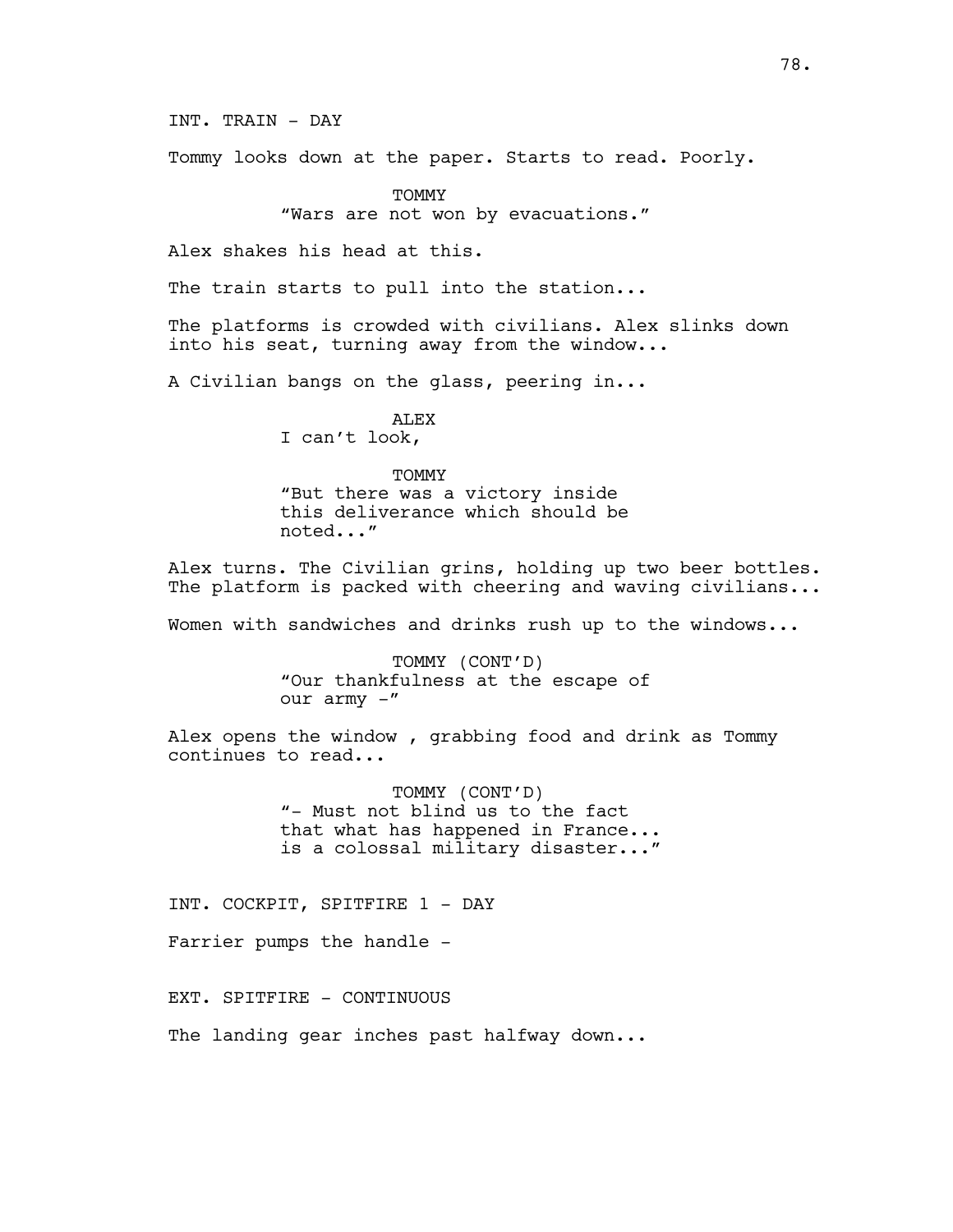INT. TRAIN - DAY

Tommy looks down at the paper. Starts to read. Poorly.

**TOMMY** "Wars are not won by evacuations."

Alex shakes his head at this.

The train starts to pull into the station...

The platforms is crowded with civilians. Alex slinks down into his seat, turning away from the window...

A Civilian bangs on the glass, peering in...

ALEX I can't look,

## TOMMY

"But there was a victory inside this deliverance which should be noted..."

Alex turns. The Civilian grins, holding up two beer bottles. The platform is packed with cheering and waving civilians...

Women with sandwiches and drinks rush up to the windows...

TOMMY (CONT'D) "Our thankfulness at the escape of our army -"

Alex opens the window , grabbing food and drink as Tommy continues to read...

> TOMMY (CONT'D) "- Must not blind us to the fact that what has happened in France... is a colossal military disaster..."

INT. COCKPIT, SPITFIRE 1 - DAY

Farrier pumps the handle -

EXT. SPITFIRE - CONTINUOUS

The landing gear inches past halfway down...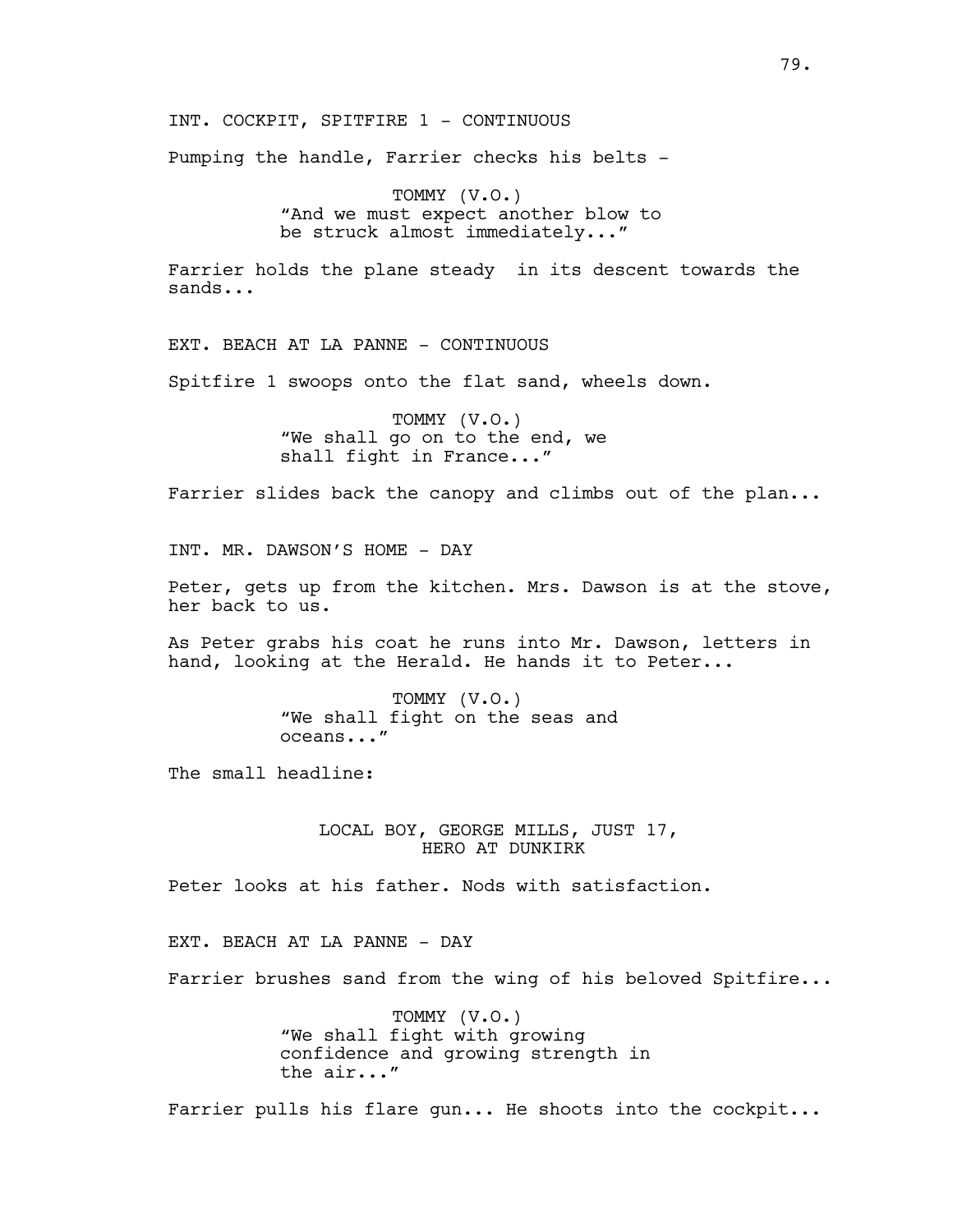INT. COCKPIT, SPITFIRE 1 - CONTINUOUS

Pumping the handle, Farrier checks his belts -

TOMMY (V.O.) "And we must expect another blow to be struck almost immediately..."

Farrier holds the plane steady in its descent towards the sands...

EXT. BEACH AT LA PANNE - CONTINUOUS

Spitfire 1 swoops onto the flat sand, wheels down.

TOMMY (V.O.) "We shall go on to the end, we shall fight in France..."

Farrier slides back the canopy and climbs out of the plan...

INT. MR. DAWSON'S HOME - DAY

Peter, gets up from the kitchen. Mrs. Dawson is at the stove, her back to us.

As Peter grabs his coat he runs into Mr. Dawson, letters in hand, looking at the Herald. He hands it to Peter...

> TOMMY (V.O.) "We shall fight on the seas and oceans..."

The small headline:

LOCAL BOY, GEORGE MILLS, JUST 17, HERO AT DUNKIRK

Peter looks at his father. Nods with satisfaction.

EXT. BEACH AT LA PANNE - DAY

Farrier brushes sand from the wing of his beloved Spitfire...

TOMMY (V.O.) "We shall fight with growing confidence and growing strength in the air..."

Farrier pulls his flare gun... He shoots into the cockpit...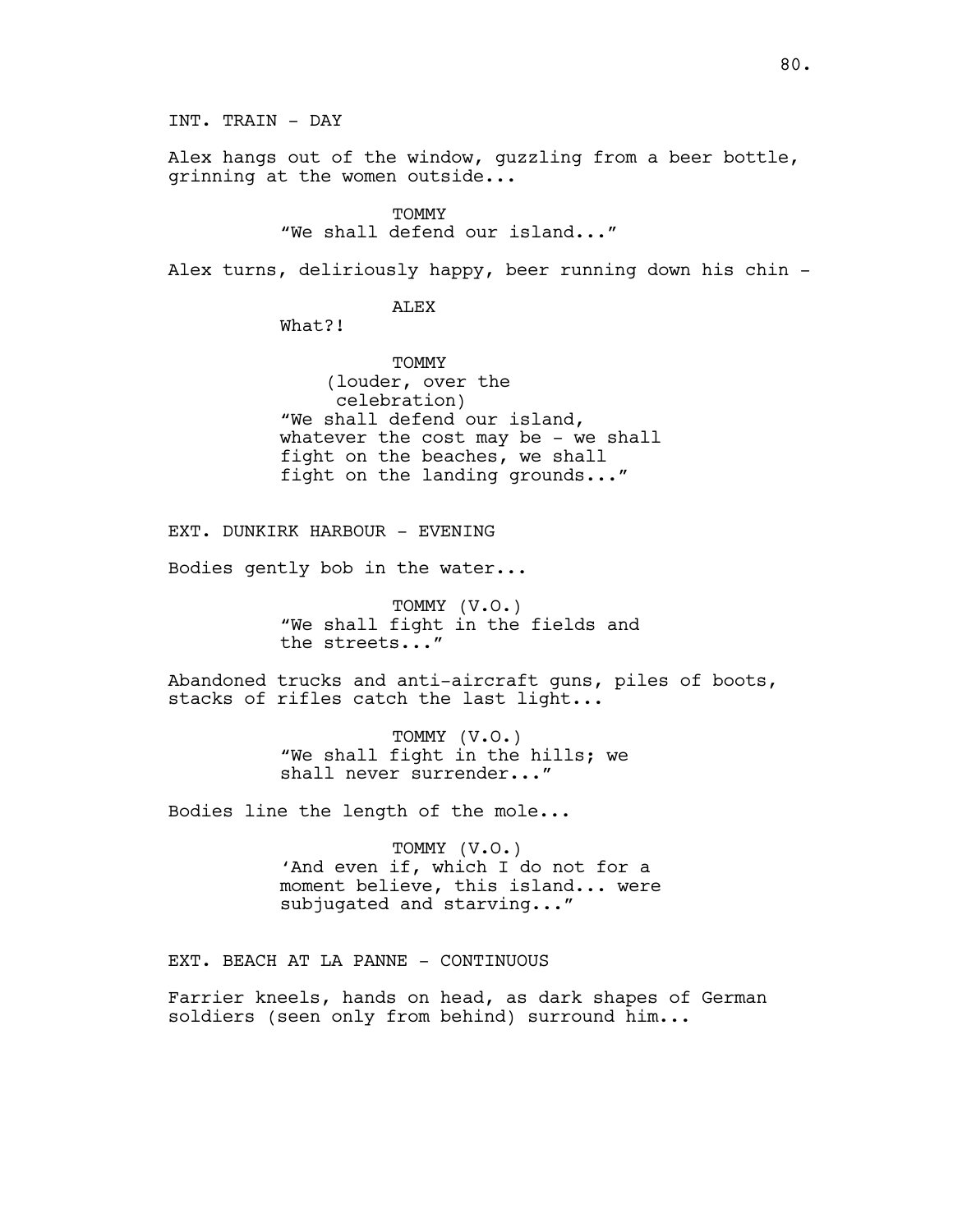Alex hangs out of the window, guzzling from a beer bottle, grinning at the women outside...

TOMMY

"We shall defend our island..."

Alex turns, deliriously happy, beer running down his chin -

ALEX

What?!

TOMMY (louder, over the celebration) "We shall defend our island, whatever the cost may be - we shall fight on the beaches, we shall fight on the landing grounds..."

EXT. DUNKIRK HARBOUR - EVENING

Bodies gently bob in the water...

TOMMY (V.O.) "We shall fight in the fields and the streets..."

Abandoned trucks and anti-aircraft guns, piles of boots, stacks of rifles catch the last light...

> TOMMY (V.O.) "We shall fight in the hills; we shall never surrender..."

Bodies line the length of the mole...

TOMMY (V.O.) 'And even if, which I do not for a moment believe, this island... were subjugated and starving..."

EXT. BEACH AT LA PANNE - CONTINUOUS

Farrier kneels, hands on head, as dark shapes of German soldiers (seen only from behind) surround him...